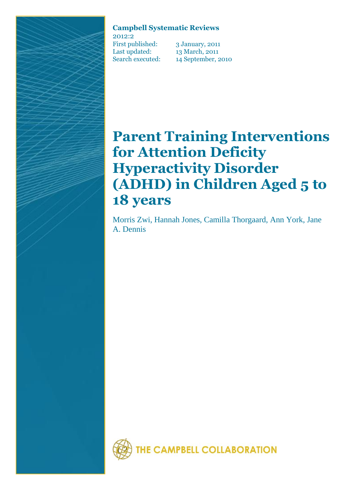## **Campbell Systematic Reviews**

2012:2 First published: 3 January, 2011<br>Last updated: 13 March, 2011 Search executed:

13 March, 2011<br>14 September, 2010

# **Parent Training Interventions for Attention Deficity Hyperactivity Disorder (ADHD) in Children Aged 5 to 18 years**

Morris Zwi, Hannah Jones, Camilla Thorgaard, Ann York, Jane A. Dennis

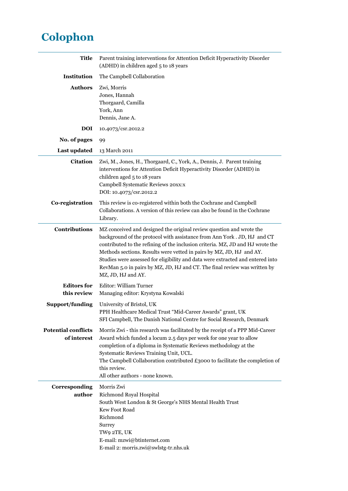# **Colophon**

| <b>Title</b>                              | Parent training interventions for Attention Deficit Hyperactivity Disorder<br>(ADHD) in children aged 5 to 18 years                                                                                                                                                                                                                                                                                                                                                                             |
|-------------------------------------------|-------------------------------------------------------------------------------------------------------------------------------------------------------------------------------------------------------------------------------------------------------------------------------------------------------------------------------------------------------------------------------------------------------------------------------------------------------------------------------------------------|
| Institution                               | The Campbell Collaboration                                                                                                                                                                                                                                                                                                                                                                                                                                                                      |
| <b>Authors</b>                            | Zwi, Morris<br>Jones, Hannah<br>Thorgaard, Camilla<br>York, Ann<br>Dennis, Jane A.                                                                                                                                                                                                                                                                                                                                                                                                              |
| <b>DOI</b>                                | 10.4073/csr.2012.2                                                                                                                                                                                                                                                                                                                                                                                                                                                                              |
| No. of pages                              | 99                                                                                                                                                                                                                                                                                                                                                                                                                                                                                              |
| Last updated                              | 13 March 2011                                                                                                                                                                                                                                                                                                                                                                                                                                                                                   |
| <b>Citation</b>                           | Zwi, M., Jones, H., Thorgaard, C., York, A., Dennis, J. Parent training<br>interventions for Attention Deficit Hyperactivity Disorder (ADHD) in<br>children aged 5 to 18 years<br>Campbell Systematic Reviews 20xx:x<br>DOI: 10.4073/csr.2012.2                                                                                                                                                                                                                                                 |
| Co-registration                           | This review is co-registered within both the Cochrane and Campbell<br>Collaborations. A version of this review can also be found in the Cochrane<br>Library.                                                                                                                                                                                                                                                                                                                                    |
| Contributions                             | MZ conceived and designed the original review question and wrote the<br>background of the protocol with assistance from Ann York . JD, HJ and CT<br>contributed to the refining of the inclusion criteria. MZ, JD and HJ wrote the<br>Methods sections. Results were vetted in pairs by MZ, JD, HJ and AY.<br>Studies were assessed for eligibility and data were extracted and entered into<br>RevMan 5.0 in pairs by MZ, JD, HJ and CT. The final review was written by<br>MZ, JD, HJ and AY. |
| <b>Editors for</b><br>this review         | <b>Editor: William Turner</b><br>Managing editor: Krystyna Kowalski                                                                                                                                                                                                                                                                                                                                                                                                                             |
| Support/funding                           | University of Bristol, UK<br>PPH Healthcare Medical Trust "Mid-Career Awards" grant, UK<br>SFI Campbell, The Danish National Centre for Social Research, Denmark                                                                                                                                                                                                                                                                                                                                |
| <b>Potential conflicts</b><br>of interest | Morris Zwi - this research was facilitated by the receipt of a PPP Mid-Career<br>Award which funded a locum 2.5 days per week for one year to allow<br>completion of a diploma in Systematic Reviews methodology at the<br>Systematic Reviews Training Unit, UCL.<br>The Campbell Collaboration contributed £3000 to facilitate the completion of<br>this review.<br>All other authors - none known.                                                                                            |
| Corresponding<br>author                   | Morris Zwi<br>Richmond Royal Hospital<br>South West London & St George's NHS Mental Health Trust<br>Kew Foot Road<br>Richmond<br>Surrey<br>TW9 2TE, UK<br>E-mail: mzwi@btinternet.com<br>E-mail 2: morris.zwi@swlstg-tr.nhs.uk                                                                                                                                                                                                                                                                  |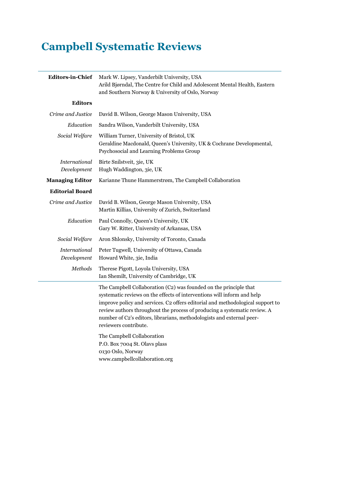# **Campbell Systematic Reviews**

| <b>Editors-in-Chief</b>      | Mark W. Lipsey, Vanderbilt University, USA<br>Arild Bjørndal, The Centre for Child and Adolescent Mental Health, Eastern<br>and Southern Norway & University of Oslo, Norway                                                                                                                                                                                                                                  |
|------------------------------|---------------------------------------------------------------------------------------------------------------------------------------------------------------------------------------------------------------------------------------------------------------------------------------------------------------------------------------------------------------------------------------------------------------|
| <b>Editors</b>               |                                                                                                                                                                                                                                                                                                                                                                                                               |
| Crime and Justice            | David B. Wilson, George Mason University, USA                                                                                                                                                                                                                                                                                                                                                                 |
| Education                    | Sandra Wilson, Vanderbilt University, USA                                                                                                                                                                                                                                                                                                                                                                     |
| Social Welfare               | William Turner, University of Bristol, UK<br>Geraldine Macdonald, Queen's University, UK & Cochrane Developmental,<br>Psychosocial and Learning Problems Group                                                                                                                                                                                                                                                |
| International<br>Development | Birte Snilstveit, 3ie, UK<br>Hugh Waddington, 3ie, UK                                                                                                                                                                                                                                                                                                                                                         |
| <b>Managing Editor</b>       | Karianne Thune Hammerstrøm, The Campbell Collaboration                                                                                                                                                                                                                                                                                                                                                        |
| <b>Editorial Board</b>       |                                                                                                                                                                                                                                                                                                                                                                                                               |
| Crime and Justice            | David B. Wilson, George Mason University, USA<br>Martin Killias, University of Zurich, Switzerland                                                                                                                                                                                                                                                                                                            |
| Education                    | Paul Connolly, Queen's University, UK<br>Gary W. Ritter, University of Arkansas, USA                                                                                                                                                                                                                                                                                                                          |
| Social Welfare               | Aron Shlonsky, University of Toronto, Canada                                                                                                                                                                                                                                                                                                                                                                  |
| International<br>Development | Peter Tugwell, University of Ottawa, Canada<br>Howard White, 3ie, India                                                                                                                                                                                                                                                                                                                                       |
| Methods                      | Therese Pigott, Loyola University, USA<br>Ian Shemilt, University of Cambridge, UK                                                                                                                                                                                                                                                                                                                            |
|                              | The Campbell Collaboration (C2) was founded on the principle that<br>systematic reviews on the effects of interventions will inform and help<br>improve policy and services. C2 offers editorial and methodological support to<br>review authors throughout the process of producing a systematic review. A<br>number of C2's editors, librarians, methodologists and external peer-<br>reviewers contribute. |
|                              | The Campbell Collaboration<br>P.O. Box 7004 St. Olavs plass<br>0130 Oslo, Norway<br>www.campbellcollaboration.org                                                                                                                                                                                                                                                                                             |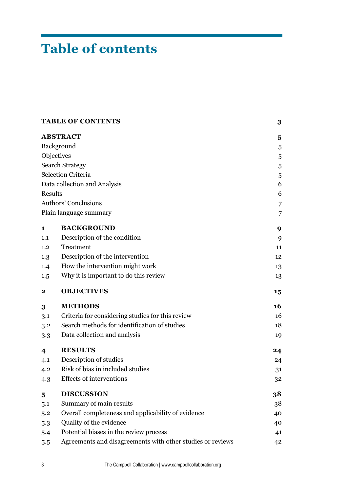# <span id="page-3-0"></span>**Table of contents**

| <b>TABLE OF CONTENTS</b> |                                                            |    |
|--------------------------|------------------------------------------------------------|----|
|                          | <b>ABSTRACT</b>                                            | 5  |
| Background               |                                                            |    |
| Objectives               |                                                            |    |
|                          | <b>Search Strategy</b>                                     | 5  |
|                          | <b>Selection Criteria</b>                                  | 5  |
|                          | Data collection and Analysis                               | 6  |
| Results                  |                                                            |    |
|                          | Authors' Conclusions                                       | 7  |
|                          | Plain language summary                                     | 7  |
| 1                        | <b>BACKGROUND</b>                                          | 9  |
| 1.1                      | Description of the condition                               | 9  |
| 1.2                      | Treatment                                                  | 11 |
| 1.3                      | Description of the intervention                            | 12 |
| 1.4                      | How the intervention might work                            | 13 |
| 1.5                      | Why it is important to do this review                      | 13 |
| 2                        | <b>OBJECTIVES</b>                                          | 15 |
| 3                        | <b>METHODS</b>                                             | 16 |
| 3.1                      | Criteria for considering studies for this review           | 16 |
| 3.2                      | Search methods for identification of studies               | 18 |
| 3.3                      | Data collection and analysis                               | 19 |
| $\overline{\mathbf{4}}$  | <b>RESULTS</b>                                             | 24 |
| 4.1                      | Description of studies                                     | 24 |
| 4.2                      | Risk of bias in included studies                           | 31 |
| 4.3                      | <b>Effects of interventions</b>                            | 32 |
| $\overline{\mathbf{5}}$  | <b>DISCUSSION</b>                                          | 38 |
| 5.1                      | Summary of main results                                    | 38 |
| 5.2                      | Overall completeness and applicability of evidence         | 40 |
| 5.3                      | Quality of the evidence                                    | 40 |
| 5.4                      | Potential biases in the review process                     | 41 |
| 5.5                      | Agreements and disagreements with other studies or reviews | 42 |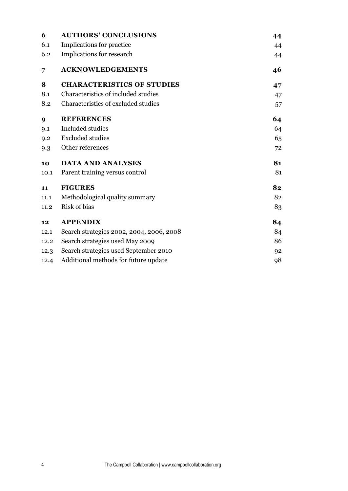| 6    | <b>AUTHORS' CONCLUSIONS</b>              | 44 |
|------|------------------------------------------|----|
| 6.1  | Implications for practice                | 44 |
| 6.2  | Implications for research                | 44 |
| 7    | <b>ACKNOWLEDGEMENTS</b>                  | 46 |
| 8    | <b>CHARACTERISTICS OF STUDIES</b>        | 47 |
| 8.1  | Characteristics of included studies      | 47 |
| 8.2  | Characteristics of excluded studies      | 57 |
| 9    | <b>REFERENCES</b>                        | 64 |
| 9.1  | Included studies                         | 64 |
| 9.2  | <b>Excluded studies</b>                  | 65 |
| 9.3  | Other references                         | 72 |
| 10   | <b>DATA AND ANALYSES</b>                 | 81 |
| 10.1 | Parent training versus control           | 81 |
| 11   | <b>FIGURES</b>                           | 82 |
| 11.1 | Methodological quality summary           | 82 |
| 11.2 | Risk of bias                             | 83 |
| 12   | <b>APPENDIX</b>                          | 84 |
| 12.1 | Search strategies 2002, 2004, 2006, 2008 | 84 |
| 12.2 | Search strategies used May 2009          | 86 |
| 12.3 | Search strategies used September 2010    | 92 |
| 12.4 | Additional methods for future update     | 98 |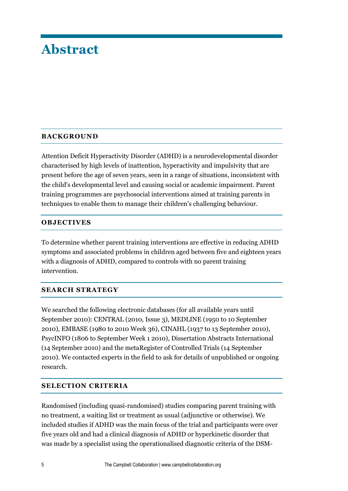# <span id="page-5-0"></span>**Abstract**

#### <span id="page-5-1"></span>**BACKGROUND**

Attention Deficit Hyperactivity Disorder (ADHD) is a neurodevelopmental disorder characterised by high levels of inattention, hyperactivity and impulsivity that are present before the age of seven years, seen in a range of situations, inconsistent with the child's developmental level and causing social or academic impairment. Parent training programmes are psychosocial interventions aimed at training parents in techniques to enable them to manage their children's challenging behaviour.

#### <span id="page-5-2"></span>**OBJECTIVES**

To determine whether parent training interventions are effective in reducing ADHD symptoms and associated problems in children aged between five and eighteen years with a diagnosis of ADHD, compared to controls with no parent training intervention.

#### <span id="page-5-3"></span>**SEARCH STRATEGY**

We searched the following electronic databases (for all available years until September 2010): CENTRAL (2010, Issue 3), MEDLINE (1950 to 10 September 2010), EMBASE (1980 to 2010 Week 36), CINAHL (1937 to 13 September 2010), PsycINFO (1806 to September Week 1 2010), Dissertation Abstracts International (14 September 2010) and the metaRegister of Controlled Trials (14 September 2010). We contacted experts in the field to ask for details of unpublished or ongoing research.

#### <span id="page-5-4"></span>**SELECTION CRITERIA**

Randomised (including quasi-randomised) studies comparing parent training with no treatment, a waiting list or treatment as usual (adjunctive or otherwise). We included studies if ADHD was the main focus of the trial and participants were over five years old and had a clinical diagnosis of ADHD or hyperkinetic disorder that was made by a specialist using the operationalised diagnostic criteria of the DSM-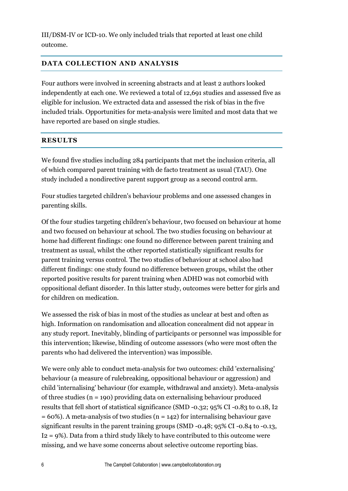III/DSM-IV or ICD-10. We only included trials that reported at least one child outcome.

## <span id="page-6-0"></span>**DATA COLLECTION AND ANALYSIS**

Four authors were involved in screening abstracts and at least 2 authors looked independently at each one. We reviewed a total of 12,691 studies and assessed five as eligible for inclusion. We extracted data and assessed the risk of bias in the five included trials. Opportunities for meta-analysis were limited and most data that we have reported are based on single studies.

## <span id="page-6-1"></span>**RESULTS**

We found five studies including 284 participants that met the inclusion criteria, all of which compared parent training with de facto treatment as usual (TAU). One study included a nondirective parent support group as a second control arm.

Four studies targeted children's behaviour problems and one assessed changes in parenting skills.

Of the four studies targeting children's behaviour, two focused on behaviour at home and two focused on behaviour at school. The two studies focusing on behaviour at home had different findings: one found no difference between parent training and treatment as usual, whilst the other reported statistically significant results for parent training versus control. The two studies of behaviour at school also had different findings: one study found no difference between groups, whilst the other reported positive results for parent training when ADHD was not comorbid with oppositional defiant disorder. In this latter study, outcomes were better for girls and for children on medication.

We assessed the risk of bias in most of the studies as unclear at best and often as high. Information on randomisation and allocation concealment did not appear in any study report. Inevitably, blinding of participants or personnel was impossible for this intervention; likewise, blinding of outcome assessors (who were most often the parents who had delivered the intervention) was impossible.

We were only able to conduct meta-analysis for two outcomes: child 'externalising' behaviour (a measure of rulebreaking, oppositional behaviour or aggression) and child 'internalising' behaviour (for example, withdrawal and anxiety). Meta-analysis of three studies ( $n = 190$ ) providing data on externalising behaviour produced results that fell short of statistical significance (SMD -0.32; 95% CI -0.83 to 0.18, I2  $= 60\%$ ). A meta-analysis of two studies (n = 142) for internalising behaviour gave significant results in the parent training groups (SMD -0.48; 95% CI -0.84 to -0.13, I2 = 9%). Data from a third study likely to have contributed to this outcome were missing, and we have some concerns about selective outcome reporting bias.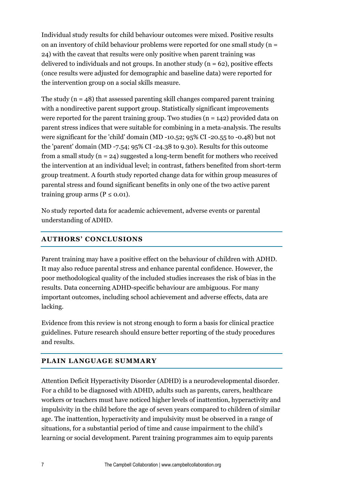Individual study results for child behaviour outcomes were mixed. Positive results on an inventory of child behaviour problems were reported for one small study (n = 24) with the caveat that results were only positive when parent training was delivered to individuals and not groups. In another study  $(n = 62)$ , positive effects (once results were adjusted for demographic and baseline data) were reported for the intervention group on a social skills measure.

The study  $(n = 48)$  that assessed parenting skill changes compared parent training with a nondirective parent support group. Statistically significant improvements were reported for the parent training group. Two studies  $(n = 142)$  provided data on parent stress indices that were suitable for combining in a meta-analysis. The results were significant for the 'child' domain (MD -10.52; 95% CI -20.55 to -0.48) but not the 'parent' domain (MD -7.54; 95% CI -24.38 to 9.30). Results for this outcome from a small study (n = 24) suggested a long-term benefit for mothers who received the intervention at an individual level; in contrast, fathers benefited from short-term group treatment. A fourth study reported change data for within group measures of parental stress and found significant benefits in only one of the two active parent training group arms ( $P \le 0.01$ ).

No study reported data for academic achievement, adverse events or parental understanding of ADHD.

# <span id="page-7-0"></span>**AUTHORS' CONCLUSIONS**

Parent training may have a positive effect on the behaviour of children with ADHD. It may also reduce parental stress and enhance parental confidence. However, the poor methodological quality of the included studies increases the risk of bias in the results. Data concerning ADHD-specific behaviour are ambiguous. For many important outcomes, including school achievement and adverse effects, data are lacking.

Evidence from this review is not strong enough to form a basis for clinical practice guidelines. Future research should ensure better reporting of the study procedures and results.

## <span id="page-7-1"></span>**PLAIN LANGUAGE SUMMARY**

Attention Deficit Hyperactivity Disorder (ADHD) is a neurodevelopmental disorder. For a child to be diagnosed with ADHD, adults such as parents, carers, healthcare workers or teachers must have noticed higher levels of inattention, hyperactivity and impulsivity in the child before the age of seven years compared to children of similar age. The inattention, hyperactivity and impulsivity must be observed in a range of situations, for a substantial period of time and cause impairment to the child"s learning or social development. Parent training programmes aim to equip parents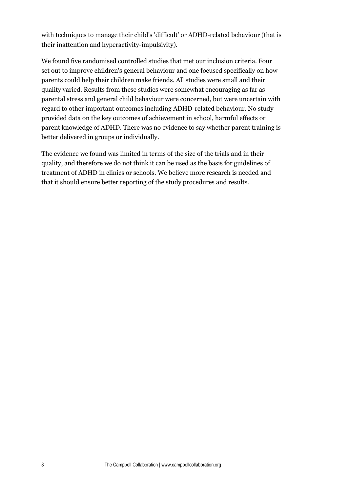with techniques to manage their child's 'difficult' or ADHD-related behaviour (that is their inattention and hyperactivity-impulsivity).

We found five randomised controlled studies that met our inclusion criteria. Four set out to improve children's general behaviour and one focused specifically on how parents could help their children make friends. All studies were small and their quality varied. Results from these studies were somewhat encouraging as far as parental stress and general child behaviour were concerned, but were uncertain with regard to other important outcomes including ADHD-related behaviour. No study provided data on the key outcomes of achievement in school, harmful effects or parent knowledge of ADHD. There was no evidence to say whether parent training is better delivered in groups or individually.

The evidence we found was limited in terms of the size of the trials and in their quality, and therefore we do not think it can be used as the basis for guidelines of treatment of ADHD in clinics or schools. We believe more research is needed and that it should ensure better reporting of the study procedures and results.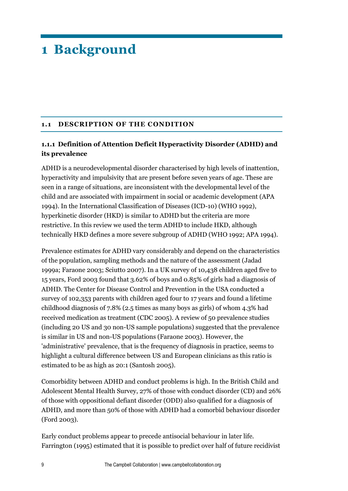# <span id="page-9-0"></span>**1 Background**

# <span id="page-9-1"></span>**1.1 DESCRIPTION OF THE CONDITION**

# **1.1.1 Definition of Attention Deficit Hyperactivity Disorder (ADHD) and its prevalence**

ADHD is a neurodevelopmental disorder characterised by high levels of inattention, hyperactivity and impulsivity that are present before seven years of age. These are seen in a range of situations, are inconsistent with the developmental level of the child and are associated with impairment in social or academic development (APA 1994). In the International Classification of Diseases (ICD-10) (WHO 1992), hyperkinetic disorder (HKD) is similar to ADHD but the criteria are more restrictive. In this review we used the term ADHD to include HKD, although technically HKD defines a more severe subgroup of ADHD (WHO 1992; APA 1994).

Prevalence estimates for ADHD vary considerably and depend on the characteristics of the population, sampling methods and the nature of the assessment (Jadad 1999a; Faraone 2003; Sciutto 2007). In a UK survey of 10,438 children aged five to 15 years, Ford 2003 found that 3.62% of boys and 0.85% of girls had a diagnosis of ADHD. The Center for Disease Control and Prevention in the USA conducted a survey of 102,353 parents with children aged four to 17 years and found a lifetime childhood diagnosis of 7.8% (2.5 times as many boys as girls) of whom 4.3% had received medication as treatment (CDC 2005). A review of 50 prevalence studies (including 20 US and 30 non-US sample populations) suggested that the prevalence is similar in US and non-US populations (Faraone 2003). However, the 'administrative' prevalence, that is the frequency of diagnosis in practice, seems to highlight a cultural difference between US and European clinicians as this ratio is estimated to be as high as 20:1 (Santosh 2005).

Comorbidity between ADHD and conduct problems is high. In the British Child and Adolescent Mental Health Survey, 27% of those with conduct disorder (CD) and 26% of those with oppositional defiant disorder (ODD) also qualified for a diagnosis of ADHD, and more than 50% of those with ADHD had a comorbid behaviour disorder (Ford 2003).

Early conduct problems appear to precede antisocial behaviour in later life. Farrington (1995) estimated that it is possible to predict over half of future recidivist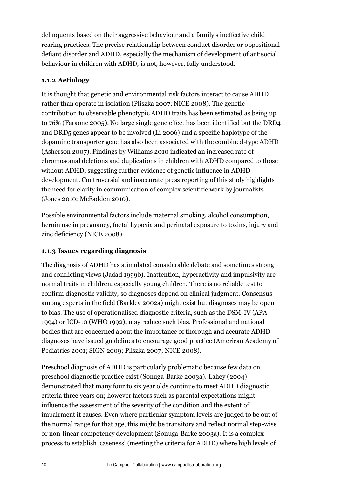delinquents based on their aggressive behaviour and a family's ineffective child rearing practices. The precise relationship between conduct disorder or oppositional defiant disorder and ADHD, especially the mechanism of development of antisocial behaviour in children with ADHD, is not, however, fully understood.

## **1.1.2 Aetiology**

It is thought that genetic and environmental risk factors interact to cause ADHD rather than operate in isolation (Pliszka 2007; NICE 2008). The genetic contribution to observable phenotypic ADHD traits has been estimated as being up to 76% (Faraone 2005). No large single gene effect has been identified but the DRD4 and DRD5 genes appear to be involved (Li 2006) and a specific haplotype of the dopamine transporter gene has also been associated with the combined-type ADHD (Asherson 2007). Findings by Williams 2010 indicated an increased rate of chromosomal deletions and duplications in children with ADHD compared to those without ADHD, suggesting further evidence of genetic influence in ADHD development. Controversial and inaccurate press reporting of this study highlights the need for clarity in communication of complex scientific work by journalists (Jones 2010; McFadden 2010).

Possible environmental factors include maternal smoking, alcohol consumption, heroin use in pregnancy, foetal hypoxia and perinatal exposure to toxins, injury and zinc deficiency (NICE 2008).

# **1.1.3 Issues regarding diagnosis**

The diagnosis of ADHD has stimulated considerable debate and sometimes strong and conflicting views (Jadad 1999b). Inattention, hyperactivity and impulsivity are normal traits in children, especially young children. There is no reliable test to confirm diagnostic validity, so diagnoses depend on clinical judgment. Consensus among experts in the field (Barkley 2002a) might exist but diagnoses may be open to bias. The use of operationalised diagnostic criteria, such as the DSM-IV (APA 1994) or ICD-10 (WHO 1992), may reduce such bias. Professional and national bodies that are concerned about the importance of thorough and accurate ADHD diagnoses have issued guidelines to encourage good practice (American Academy of Pediatrics 2001; SIGN 2009; Pliszka 2007; NICE 2008).

Preschool diagnosis of ADHD is particularly problematic because few data on preschool diagnostic practice exist (Sonuga-Barke 2003a). Lahey (2004) demonstrated that many four to six year olds continue to meet ADHD diagnostic criteria three years on; however factors such as parental expectations might influence the assessment of the severity of the condition and the extent of impairment it causes. Even where particular symptom levels are judged to be out of the normal range for that age, this might be transitory and reflect normal step-wise or non-linear competency development (Sonuga-Barke 2003a). It is a complex process to establish 'caseness' (meeting the criteria for ADHD) where high levels of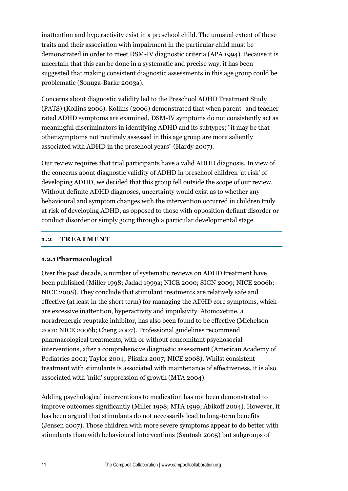inattention and hyperactivity exist in a preschool child. The unusual extent of these traits and their association with impairment in the particular child must be demonstrated in order to meet DSM-IV diagnostic criteria (APA 1994). Because it is uncertain that this can be done in a systematic and precise way, it has been suggested that making consistent diagnostic assessments in this age group could be problematic (Sonuga-Barke 2003a).

Concerns about diagnostic validity led to the Preschool ADHD Treatment Study (PATS) (Kollins 2006). Kollins (2006) demonstrated that when parent- and teacherrated ADHD symptoms are examined, DSM-IV symptoms do not consistently act as meaningful discriminators in identifying ADHD and its subtypes; "it may be that other symptoms not routinely assessed in this age group are more saliently associated with ADHD in the preschool years" (Hardy 2007).

Our review requires that trial participants have a valid ADHD diagnosis. In view of the concerns about diagnostic validity of ADHD in preschool children 'at risk' of developing ADHD, we decided that this group fell outside the scope of our review. Without definite ADHD diagnoses, uncertainty would exist as to whether any behavioural and symptom changes with the intervention occurred in children truly at risk of developing ADHD, as opposed to those with opposition defiant disorder or conduct disorder or simply going through a particular developmental stage.

#### <span id="page-11-0"></span>**1.2 TREATMENT**

## **1.2.1Pharmacological**

Over the past decade, a number of systematic reviews on ADHD treatment have been published (Miller 1998; Jadad 1999a; NICE 2000; SIGN 2009; NICE 2006b; NICE 2008). They conclude that stimulant treatments are relatively safe and effective (at least in the short term) for managing the ADHD core symptoms, which are excessive inattention, hyperactivity and impulsivity. Atomoxetine, a noradrenergic reuptake inhibitor, has also been found to be effective (Michelson 2001; NICE 2006b; Cheng 2007). Professional guidelines recommend pharmacological treatments, with or without concomitant psychosocial interventions, after a comprehensive diagnostic assessment (American Academy of Pediatrics 2001; Taylor 2004; Pliszka 2007; NICE 2008). Whilst consistent treatment with stimulants is associated with maintenance of effectiveness, it is also associated with 'mild' suppression of growth (MTA 2004).

Adding psychological interventions to medication has not been demonstrated to improve outcomes significantly (Miller 1998; MTA 1999; Abikoff 2004). However, it has been argued that stimulants do not necessarily lead to long-term benefits (Jensen 2007). Those children with more severe symptoms appear to do better with stimulants than with behavioural interventions (Santosh 2005) but subgroups of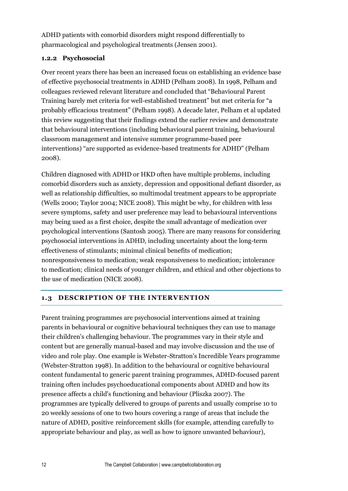ADHD patients with comorbid disorders might respond differentially to pharmacological and psychological treatments (Jensen 2001).

## **1.2.2 Psychosocial**

Over recent years there has been an increased focus on establishing an evidence base of effective psychosocial treatments in ADHD (Pelham 2008). In 1998, Pelham and colleagues reviewed relevant literature and concluded that "Behavioural Parent Training barely met criteria for well-established treatment" but met criteria for "a probably efficacious treatment" (Pelham 1998). A decade later, Pelham et al updated this review suggesting that their findings extend the earlier review and demonstrate that behavioural interventions (including behavioural parent training, behavioural classroom management and intensive summer programme-based peer interventions) "are supported as evidence-based treatments for ADHD" (Pelham 2008).

Children diagnosed with ADHD or HKD often have multiple problems, including comorbid disorders such as anxiety, depression and oppositional defiant disorder, as well as relationship difficulties, so multimodal treatment appears to be appropriate (Wells 2000; Taylor 2004; NICE 2008). This might be why, for children with less severe symptoms, safety and user preference may lead to behavioural interventions may being used as a first choice, despite the small advantage of medication over psychological interventions (Santosh 2005). There are many reasons for considering psychosocial interventions in ADHD, including uncertainty about the long-term effectiveness of stimulants; minimal clinical benefits of medication; nonresponsiveness to medication; weak responsiveness to medication; intolerance to medication; clinical needs of younger children, and ethical and other objections to the use of medication (NICE 2008).

# <span id="page-12-0"></span>**1.3 DESCRIPTION OF THE INTERVENTION**

Parent training programmes are psychosocial interventions aimed at training parents in behavioural or cognitive behavioural techniques they can use to manage their children's challenging behaviour. The programmes vary in their style and content but are generally manual-based and may involve discussion and the use of video and role play. One example is Webster-Stratton's Incredible Years programme (Webster-Stratton 1998). In addition to the behavioural or cognitive behavioural content fundamental to generic parent training programmes, ADHD-focused parent training often includes psychoeducational components about ADHD and how its presence affects a child's functioning and behaviour (Pliszka 2007). The programmes are typically delivered to groups of parents and usually comprise 10 to 20 weekly sessions of one to two hours covering a range of areas that include the nature of ADHD, positive reinforcement skills (for example, attending carefully to appropriate behaviour and play, as well as how to ignore unwanted behaviour),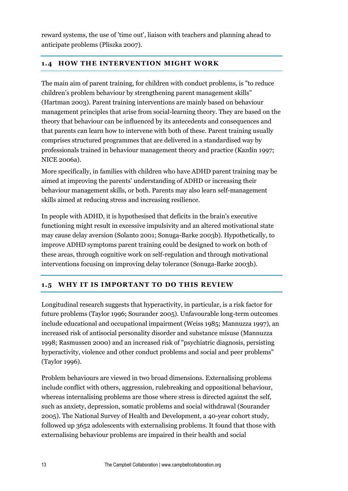reward systems, the use of 'time out', liaison with teachers and planning ahead to anticipate problems (Pliszka 2007).

# <span id="page-13-0"></span>**1.4 HOW THE INTERVENTION MIGHT WORK**

The main aim of parent training, for children with conduct problems, is "to reduce children"s problem behaviour by strengthening parent management skills" (Hartman 2003). Parent training interventions are mainly based on behaviour management principles that arise from social-learning theory. They are based on the theory that behaviour can be influenced by its antecedents and consequences and that parents can learn how to intervene with both of these. Parent training usually comprises structured programmes that are delivered in a standardised way by professionals trained in behaviour management theory and practice (Kazdin 1997; NICE 2006a).

More specifically, in families with children who have ADHD parent training may be aimed at improving the parents' understanding of ADHD or increasing their behaviour management skills, or both. Parents may also learn self-management skills aimed at reducing stress and increasing resilience.

In people with ADHD, it is hypothesised that deficits in the brain's executive functioning might result in excessive impulsivity and an altered motivational state may cause delay aversion (Solanto 2001; Sonuga-Barke 2003b). Hypothetically, to improve ADHD symptoms parent training could be designed to work on both of these areas, through cognitive work on self-regulation and through motivational interventions focusing on improving delay tolerance (Sonuga-Barke 2003b).

# <span id="page-13-1"></span>**1.5 WHY IT IS IMPORTANT TO DO THIS REVIEW**

Longitudinal research suggests that hyperactivity, in particular, is a risk factor for future problems (Taylor 1996; Sourander 2005). Unfavourable long-term outcomes include educational and occupational impairment (Weiss 1985; Mannuzza 1997), an increased risk of antisocial personality disorder and substance misuse (Mannuzza 1998; Rasmussen 2000) and an increased risk of "psychiatric diagnosis, persisting hyperactivity, violence and other conduct problems and social and peer problems" (Taylor 1996).

Problem behaviours are viewed in two broad dimensions. Externalising problems include conflict with others, aggression, rulebreaking and oppositional behaviour, whereas internalising problems are those where stress is directed against the self, such as anxiety, depression, somatic problems and social withdrawal (Sourander 2005). The National Survey of Health and Development, a 40-year cohort study, followed up 3652 adolescents with externalising problems. It found that those with externalising behaviour problems are impaired in their health and social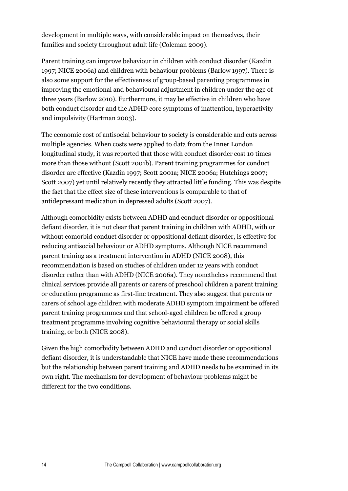development in multiple ways, with considerable impact on themselves, their families and society throughout adult life (Coleman 2009).

Parent training can improve behaviour in children with conduct disorder (Kazdin 1997; NICE 2006a) and children with behaviour problems (Barlow 1997). There is also some support for the effectiveness of group-based parenting programmes in improving the emotional and behavioural adjustment in children under the age of three years (Barlow 2010). Furthermore, it may be effective in children who have both conduct disorder and the ADHD core symptoms of inattention, hyperactivity and impulsivity (Hartman 2003).

The economic cost of antisocial behaviour to society is considerable and cuts across multiple agencies. When costs were applied to data from the Inner London longitudinal study, it was reported that those with conduct disorder cost 10 times more than those without (Scott 2001b). Parent training programmes for conduct disorder are effective (Kazdin 1997; Scott 2001a; NICE 2006a; Hutchings 2007; Scott 2007) yet until relatively recently they attracted little funding. This was despite the fact that the effect size of these interventions is comparable to that of antidepressant medication in depressed adults (Scott 2007).

Although comorbidity exists between ADHD and conduct disorder or oppositional defiant disorder, it is not clear that parent training in children with ADHD, with or without comorbid conduct disorder or oppositional defiant disorder, is effective for reducing antisocial behaviour or ADHD symptoms. Although NICE recommend parent training as a treatment intervention in ADHD (NICE 2008), this recommendation is based on studies of children under 12 years with conduct disorder rather than with ADHD (NICE 2006a). They nonetheless recommend that clinical services provide all parents or carers of preschool children a parent training or education programme as first-line treatment. They also suggest that parents or carers of school age children with moderate ADHD symptom impairment be offered parent training programmes and that school-aged children be offered a group treatment programme involving cognitive behavioural therapy or social skills training, or both (NICE 2008).

Given the high comorbidity between ADHD and conduct disorder or oppositional defiant disorder, it is understandable that NICE have made these recommendations but the relationship between parent training and ADHD needs to be examined in its own right. The mechanism for development of behaviour problems might be different for the two conditions.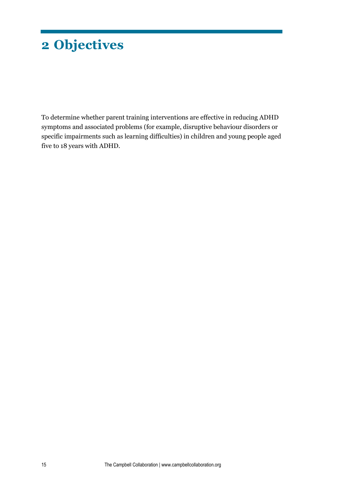# <span id="page-15-0"></span>**2 Objectives**

To determine whether parent training interventions are effective in reducing ADHD symptoms and associated problems (for example, disruptive behaviour disorders or specific impairments such as learning difficulties) in children and young people aged five to 18 years with ADHD.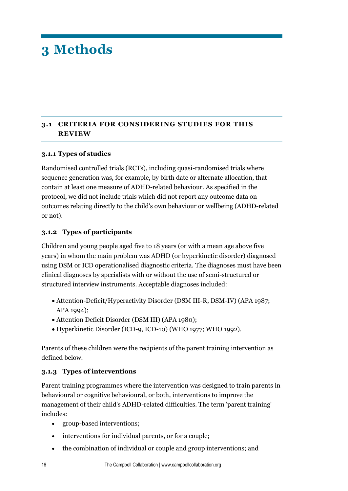# <span id="page-16-0"></span>**3 Methods**

# <span id="page-16-1"></span>**3.1 CRITERIA FOR CONSIDERING STUDIES FOR THIS REVIEW**

## **3.1.1 Types of studies**

Randomised controlled trials (RCTs), including quasi-randomised trials where sequence generation was, for example, by birth date or alternate allocation, that contain at least one measure of ADHD-related behaviour. As specified in the protocol, we did not include trials which did not report any outcome data on outcomes relating directly to the child's own behaviour or wellbeing (ADHD-related or not).

#### **3.1.2 Types of participants**

Children and young people aged five to 18 years (or with a mean age above five years) in whom the main problem was ADHD (or hyperkinetic disorder) diagnosed using DSM or ICD operationalised diagnostic criteria. The diagnoses must have been clinical diagnoses by specialists with or without the use of semi-structured or structured interview instruments. Acceptable diagnoses included:

- Attention-Deficit/Hyperactivity Disorder (DSM III-R, DSM-IV) (APA 1987; APA 1994);
- Attention Deficit Disorder (DSM III) (APA 1980);
- Hyperkinetic Disorder (ICD-9, ICD-10) (WHO 1977; WHO 1992).

Parents of these children were the recipients of the parent training intervention as defined below.

## **3.1.3 Types of interventions**

Parent training programmes where the intervention was designed to train parents in behavioural or cognitive behavioural, or both, interventions to improve the management of their child's ADHD-related difficulties. The term 'parent training' includes:

- group-based interventions;
- interventions for individual parents, or for a couple;
- the combination of individual or couple and group interventions; and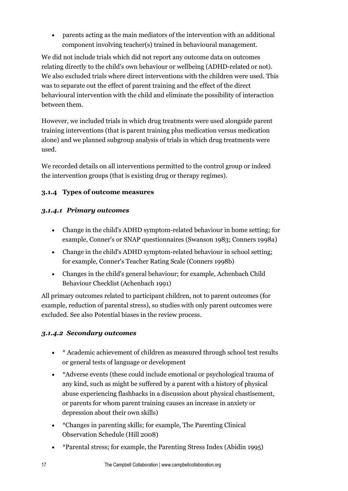parents acting as the main mediators of the intervention with an additional component involving teacher(s) trained in behavioural management.

We did not include trials which did not report any outcome data on outcomes relating directly to the child's own behaviour or wellbeing (ADHD-related or not). We also excluded trials where direct interventions with the children were used. This was to separate out the effect of parent training and the effect of the direct behavioural intervention with the child and eliminate the possibility of interaction between them.

However, we included trials in which drug treatments were used alongside parent training interventions (that is parent training plus medication versus medication alone) and we planned subgroup analysis of trials in which drug treatments were used.

We recorded details on all interventions permitted to the control group or indeed the intervention groups (that is existing drug or therapy regimes).

# **3.1.4 Types of outcome measures**

# *3.1.4.1 Primary outcomes*

- Change in the child's ADHD symptom-related behaviour in home setting; for example, Conner's or SNAP questionnaires (Swanson 1983; Conners 1998a)
- Change in the child's ADHD symptom-related behaviour in school setting; for example, Conner's Teacher Rating Scale (Conners 1998b)
- Changes in the child's general behaviour; for example, Achenbach Child Behaviour Checklist (Achenbach 1991)

All primary outcomes related to participant children, not to parent outcomes (for example, reduction of parental stress), so studies with only parent outcomes were excluded. See also Potential biases in the review process.

# *3.1.4.2 Secondary outcomes*

- \* Academic achievement of children as measured through school test results or general tests of language or development
- \*Adverse events (these could include emotional or psychological trauma of any kind, such as might be suffered by a parent with a history of physical abuse experiencing flashbacks in a discussion about physical chastisement, or parents for whom parent training causes an increase in anxiety or depression about their own skills)
- \*Changes in parenting skills; for example, The Parenting Clinical Observation Schedule (Hill 2008)
- \*Parental stress; for example, the Parenting Stress Index (Abidin 1995)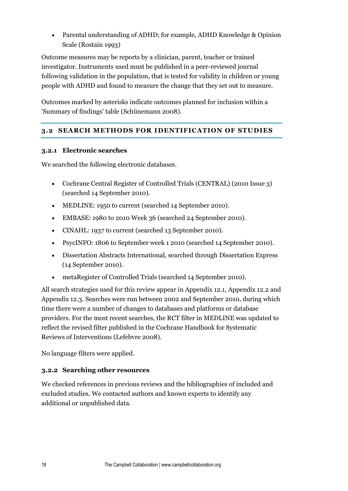Parental understanding of ADHD; for example, ADHD Knowledge & Opinion Scale (Rostain 1993)

Outcome measures may be reports by a clinician, parent, teacher or trained investigator. Instruments used must be published in a peer-reviewed journal following validation in the population, that is tested for validity in children or young people with ADHD and found to measure the change that they set out to measure.

Outcomes marked by asterisks indicate outcomes planned for inclusion within a 'Summary of findings' table (Schünemann 2008).

# <span id="page-18-0"></span>**3.2 SEARCH METHODS FOR IDENTIFICATION OF STUDIES**

## **3.2.1 Electronic searches**

We searched the following electronic databases.

- Cochrane Central Register of Controlled Trials (CENTRAL) (2010 Issue 3) (searched 14 September 2010).
- MEDLINE: 1950 to current (searched 14 September 2010).
- EMBASE: 1980 to 2010 Week 36 (searched 24 September 2010).
- CINAHL: 1937 to current (searched 13 September 2010).
- PsycINFO: 1806 to September week 1 2010 (searched 14 September 2010).
- Dissertation Abstracts International, searched through Dissertation Express (14 September 2010).
- metaRegister of Controlled Trials (searched 14 September 2010).

All search strategies used for this review appear in Appendix 12.1, Appendix 12.2 and Appendix 12.3. Searches were run between 2002 and September 2010, during which time there were a number of changes to databases and platforms or database providers. For the most recent searches, the RCT filter in MEDLINE was updated to reflect the revised filter published in the Cochrane Handbook for Systematic Reviews of Interventions (Lefebvre 2008).

No language filters were applied.

# **3.2.2 Searching other resources**

We checked references in previous reviews and the bibliographies of included and excluded studies. We contacted authors and known experts to identify any additional or unpublished data.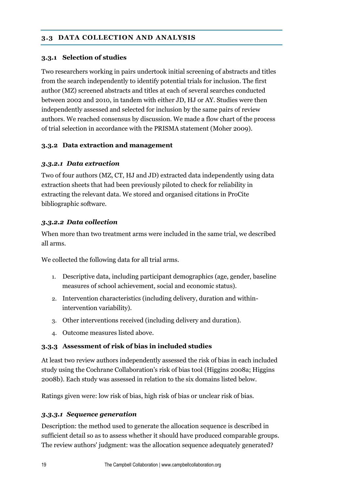## <span id="page-19-0"></span>**3.3 DATA COLLECTION AND ANALYSIS**

## **3.3.1 Selection of studies**

Two researchers working in pairs undertook initial screening of abstracts and titles from the search independently to identify potential trials for inclusion. The first author (MZ) screened abstracts and titles at each of several searches conducted between 2002 and 2010, in tandem with either JD, HJ or AY. Studies were then independently assessed and selected for inclusion by the same pairs of review authors. We reached consensus by discussion. We made a flow chart of the process of trial selection in accordance with the PRISMA statement (Moher 2009).

## **3.3.2 Data extraction and management**

## *3.3.2.1 Data extraction*

Two of four authors (MZ, CT, HJ and JD) extracted data independently using data extraction sheets that had been previously piloted to check for reliability in extracting the relevant data. We stored and organised citations in ProCite bibliographic software.

## *3.3.2.2 Data collection*

When more than two treatment arms were included in the same trial, we described all arms.

We collected the following data for all trial arms.

- 1. Descriptive data, including participant demographics (age, gender, baseline measures of school achievement, social and economic status).
- 2. Intervention characteristics (including delivery, duration and withinintervention variability).
- 3. Other interventions received (including delivery and duration).
- 4. Outcome measures listed above.

## **3.3.3 Assessment of risk of bias in included studies**

At least two review authors independently assessed the risk of bias in each included study using the Cochrane Collaboration's risk of bias tool (Higgins 2008a; Higgins 2008b). Each study was assessed in relation to the six domains listed below.

Ratings given were: low risk of bias, high risk of bias or unclear risk of bias.

## *3.3.3.1 Sequence generation*

Description: the method used to generate the allocation sequence is described in sufficient detail so as to assess whether it should have produced comparable groups. The review authors' judgment: was the allocation sequence adequately generated?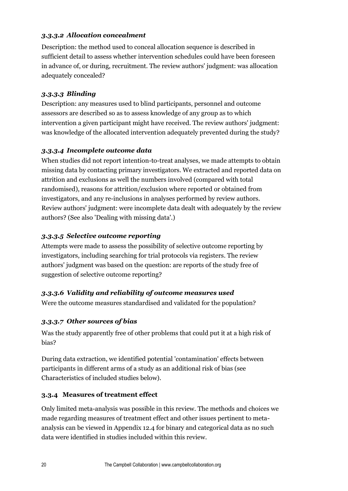## *3.3.3.2 Allocation concealment*

Description: the method used to conceal allocation sequence is described in sufficient detail to assess whether intervention schedules could have been foreseen in advance of, or during, recruitment. The review authors' judgment: was allocation adequately concealed?

## *3.3.3.3 Blinding*

Description: any measures used to blind participants, personnel and outcome assessors are described so as to assess knowledge of any group as to which intervention a given participant might have received. The review authors' judgment: was knowledge of the allocated intervention adequately prevented during the study?

## *3.3.3.4 Incomplete outcome data*

When studies did not report intention-to-treat analyses, we made attempts to obtain missing data by contacting primary investigators. We extracted and reported data on attrition and exclusions as well the numbers involved (compared with total randomised), reasons for attrition/exclusion where reported or obtained from investigators, and any re-inclusions in analyses performed by review authors. Review authors' judgment: were incomplete data dealt with adequately by the review authors? (See also 'Dealing with missing data'.)

#### *3.3.3.5 Selective outcome reporting*

Attempts were made to assess the possibility of selective outcome reporting by investigators, including searching for trial protocols via registers. The review authors' judgment was based on the question: are reports of the study free of suggestion of selective outcome reporting?

#### *3.3.3.6 Validity and reliability of outcome measures used*

Were the outcome measures standardised and validated for the population?

#### *3.3.3.7 Other sources of bias*

Was the study apparently free of other problems that could put it at a high risk of bias?

During data extraction, we identified potential 'contamination' effects between participants in different arms of a study as an additional risk of bias (see Characteristics of included studies below).

#### **3.3.4 Measures of treatment effect**

Only limited meta-analysis was possible in this review. The methods and choices we made regarding measures of treatment effect and other issues pertinent to metaanalysis can be viewed in Appendix 12.4 for binary and categorical data as no such data were identified in studies included within this review.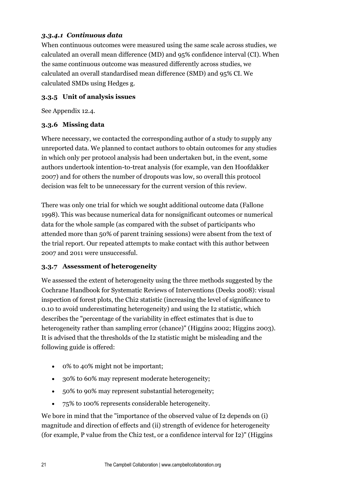## *3.3.4.1 Continuous data*

When continuous outcomes were measured using the same scale across studies, we calculated an overall mean difference (MD) and 95% confidence interval (CI). When the same continuous outcome was measured differently across studies, we calculated an overall standardised mean difference (SMD) and 95% CI. We calculated SMDs using Hedges g.

## **3.3.5 Unit of analysis issues**

See Appendix 12.4.

## **3.3.6 Missing data**

Where necessary, we contacted the corresponding author of a study to supply any unreported data. We planned to contact authors to obtain outcomes for any studies in which only per protocol analysis had been undertaken but, in the event, some authors undertook intention-to-treat analysis (for example, van den Hoofdakker 2007) and for others the number of dropouts was low, so overall this protocol decision was felt to be unnecessary for the current version of this review.

There was only one trial for which we sought additional outcome data (Fallone 1998). This was because numerical data for nonsignificant outcomes or numerical data for the whole sample (as compared with the subset of participants who attended more than 50% of parent training sessions) were absent from the text of the trial report. Our repeated attempts to make contact with this author between 2007 and 2011 were unsuccessful.

## **3.3.7 Assessment of heterogeneity**

We assessed the extent of heterogeneity using the three methods suggested by the Cochrane Handbook for Systematic Reviews of Interventions (Deeks 2008): visual inspection of forest plots, the Chi2 statistic (increasing the level of significance to 0.10 to avoid underestimating heterogeneity) and using the I2 statistic, which describes the "percentage of the variability in effect estimates that is due to heterogeneity rather than sampling error (chance)" (Higgins 2002; Higgins 2003). It is advised that the thresholds of the I2 statistic might be misleading and the following guide is offered:

- 0% to 40% might not be important;
- 30% to 60% may represent moderate heterogeneity;
- 50% to 90% may represent substantial heterogeneity;
- 75% to 100% represents considerable heterogeneity.

We bore in mind that the "importance of the observed value of I2 depends on (i) magnitude and direction of effects and (ii) strength of evidence for heterogeneity (for example, P value from the Chi2 test, or a confidence interval for I2)" (Higgins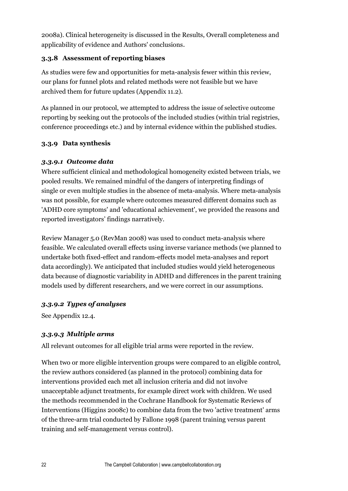2008a). Clinical heterogeneity is discussed in the Results, Overall completeness and applicability of evidence and Authors' conclusions.

## **3.3.8 Assessment of reporting biases**

As studies were few and opportunities for meta-analysis fewer within this review, our plans for funnel plots and related methods were not feasible but we have archived them for future updates (Appendix 11.2).

As planned in our protocol, we attempted to address the issue of selective outcome reporting by seeking out the protocols of the included studies (within trial registries, conference proceedings etc.) and by internal evidence within the published studies.

# **3.3.9 Data synthesis**

# *3.3.9.1 Outcome data*

Where sufficient clinical and methodological homogeneity existed between trials, we pooled results. We remained mindful of the dangers of interpreting findings of single or even multiple studies in the absence of meta-analysis. Where meta-analysis was not possible, for example where outcomes measured different domains such as 'ADHD core symptoms' and 'educational achievement', we provided the reasons and reported investigators" findings narratively.

Review Manager 5.0 (RevMan 2008) was used to conduct meta-analysis where feasible. We calculated overall effects using inverse variance methods (we planned to undertake both fixed-effect and random-effects model meta-analyses and report data accordingly). We anticipated that included studies would yield heterogeneous data because of diagnostic variability in ADHD and differences in the parent training models used by different researchers, and we were correct in our assumptions.

# *3.3.9.2 Types of analyses*

See Appendix 12.4.

# *3.3.9.3 Multiple arms*

All relevant outcomes for all eligible trial arms were reported in the review.

When two or more eligible intervention groups were compared to an eligible control, the review authors considered (as planned in the protocol) combining data for interventions provided each met all inclusion criteria and did not involve unacceptable adjunct treatments, for example direct work with children. We used the methods recommended in the Cochrane Handbook for Systematic Reviews of Interventions (Higgins 2008c) to combine data from the two 'active treatment' arms of the three-arm trial conducted by Fallone 1998 (parent training versus parent training and self-management versus control).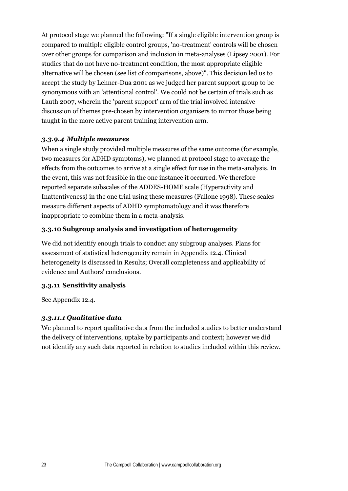At protocol stage we planned the following: "If a single eligible intervention group is compared to multiple eligible control groups, 'no-treatment' controls will be chosen over other groups for comparison and inclusion in meta-analyses (Lipsey 2001). For studies that do not have no-treatment condition, the most appropriate eligible alternative will be chosen (see list of comparisons, above)". This decision led us to accept the study by Lehner-Dua 2001 as we judged her parent support group to be synonymous with an 'attentional control'. We could not be certain of trials such as Lauth 2007, wherein the 'parent support' arm of the trial involved intensive discussion of themes pre-chosen by intervention organisers to mirror those being taught in the more active parent training intervention arm.

## *3.3.9.4 Multiple measures*

When a single study provided multiple measures of the same outcome (for example, two measures for ADHD symptoms), we planned at protocol stage to average the effects from the outcomes to arrive at a single effect for use in the meta-analysis. In the event, this was not feasible in the one instance it occurred. We therefore reported separate subscales of the ADDES-HOME scale (Hyperactivity and Inattentiveness) in the one trial using these measures (Fallone 1998). These scales measure different aspects of ADHD symptomatology and it was therefore inappropriate to combine them in a meta-analysis.

## **3.3.10 Subgroup analysis and investigation of heterogeneity**

We did not identify enough trials to conduct any subgroup analyses. Plans for assessment of statistical heterogeneity remain in Appendix 12.4. Clinical heterogeneity is discussed in Results; Overall completeness and applicability of evidence and Authors' conclusions.

## **3.3.11 Sensitivity analysis**

See Appendix 12.4.

# *3.3.11.1 Qualitative data*

We planned to report qualitative data from the included studies to better understand the delivery of interventions, uptake by participants and context; however we did not identify any such data reported in relation to studies included within this review.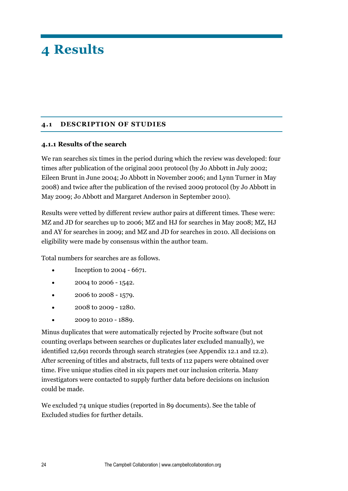# <span id="page-24-0"></span>**4 Results**

## <span id="page-24-1"></span>**4.1 DESCRIPTION OF STUDIES**

#### **4.1.1 Results of the search**

We ran searches six times in the period during which the review was developed: four times after publication of the original 2001 protocol (by Jo Abbott in July 2002; Eileen Brunt in June 2004; Jo Abbott in November 2006; and Lynn Turner in May 2008) and twice after the publication of the revised 2009 protocol (by Jo Abbott in May 2009; Jo Abbott and Margaret Anderson in September 2010).

Results were vetted by different review author pairs at different times. These were: MZ and JD for searches up to 2006; MZ and HJ for searches in May 2008; MZ, HJ and AY for searches in 2009; and MZ and JD for searches in 2010. All decisions on eligibility were made by consensus within the author team.

Total numbers for searches are as follows.

- Inception to 2004 6671.
- 2004 to 2006 1542.
- 2006 to 2008 1579.
- 2008 to 2009 1280.
- 2009 to 2010 1889.

Minus duplicates that were automatically rejected by Procite software (but not counting overlaps between searches or duplicates later excluded manually), we identified 12,691 records through search strategies (see Appendix 12.1 and 12.2). After screening of titles and abstracts, full texts of 112 papers were obtained over time. Five unique studies cited in six papers met our inclusion criteria. Many investigators were contacted to supply further data before decisions on inclusion could be made.

We excluded 74 unique studies (reported in 89 documents). See the table of Excluded studies for further details.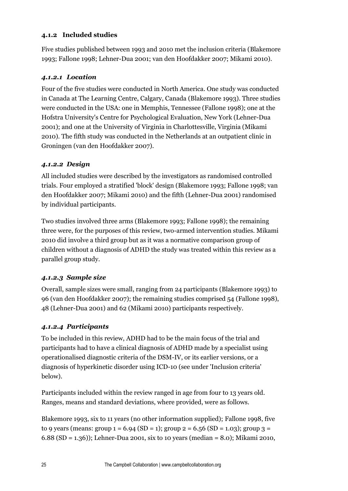## **4.1.2 Included studies**

Five studies published between 1993 and 2010 met the inclusion criteria (Blakemore 1993; Fallone 1998; Lehner-Dua 2001; van den Hoofdakker 2007; Mikami 2010).

# *4.1.2.1 Location*

Four of the five studies were conducted in North America. One study was conducted in Canada at The Learning Centre, Calgary, Canada (Blakemore 1993). Three studies were conducted in the USA: one in Memphis, Tennessee (Fallone 1998); one at the Hofstra University's Centre for Psychological Evaluation, New York (Lehner-Dua 2001); and one at the University of Virginia in Charlottesville, Virginia (Mikami 2010). The fifth study was conducted in the Netherlands at an outpatient clinic in Groningen (van den Hoofdakker 2007).

# *4.1.2.2 Design*

All included studies were described by the investigators as randomised controlled trials. Four employed a stratified 'block' design (Blakemore 1993; Fallone 1998; van den Hoofdakker 2007; Mikami 2010) and the fifth (Lehner-Dua 2001) randomised by individual participants.

Two studies involved three arms (Blakemore 1993; Fallone 1998); the remaining three were, for the purposes of this review, two-armed intervention studies. Mikami 2010 did involve a third group but as it was a normative comparison group of children without a diagnosis of ADHD the study was treated within this review as a parallel group study.

# *4.1.2.3 Sample size*

Overall, sample sizes were small, ranging from 24 participants (Blakemore 1993) to 96 (van den Hoofdakker 2007); the remaining studies comprised 54 (Fallone 1998), 48 (Lehner-Dua 2001) and 62 (Mikami 2010) participants respectively.

# *4.1.2.4 Participants*

To be included in this review, ADHD had to be the main focus of the trial and participants had to have a clinical diagnosis of ADHD made by a specialist using operationalised diagnostic criteria of the DSM-IV, or its earlier versions, or a diagnosis of hyperkinetic disorder using ICD-10 (see under 'Inclusion criteria' below).

Participants included within the review ranged in age from four to 13 years old. Ranges, means and standard deviations, where provided, were as follows.

Blakemore 1993, six to 11 years (no other information supplied); Fallone 1998, five to 9 years (means: group  $1 = 6.94$  (SD = 1); group  $2 = 6.56$  (SD = 1.03); group  $3 = 1$ 6.88 (SD = 1.36)); Lehner-Dua 2001, six to 10 years (median = 8.0); Mikami 2010,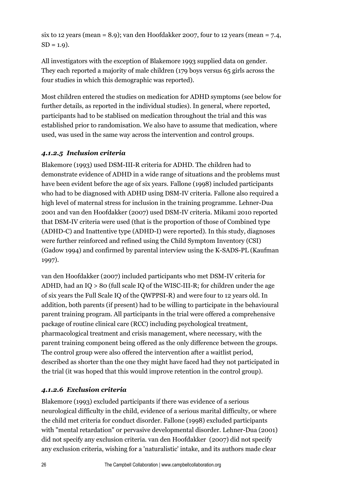six to 12 years (mean = 8.9); van den Hoofdakker 2007, four to 12 years (mean = 7.4,  $SD = 1.9$ .

All investigators with the exception of Blakemore 1993 supplied data on gender. They each reported a majority of male children (179 boys versus 65 girls across the four studies in which this demographic was reported).

Most children entered the studies on medication for ADHD symptoms (see below for further details, as reported in the individual studies). In general, where reported, participants had to be stablised on medication throughout the trial and this was established prior to randomisation. We also have to assume that medication, where used, was used in the same way across the intervention and control groups.

# *4.1.2.5 Inclusion criteria*

Blakemore (1993) used DSM-III-R criteria for ADHD. The children had to demonstrate evidence of ADHD in a wide range of situations and the problems must have been evident before the age of six years. Fallone (1998) included participants who had to be diagnosed with ADHD using DSM-IV criteria. Fallone also required a high level of maternal stress for inclusion in the training programme. Lehner-Dua 2001 and van den Hoofdakker (2007) used DSM-IV criteria. Mikami 2010 reported that DSM-IV criteria were used (that is the proportion of those of Combined type (ADHD-C) and Inattentive type (ADHD-I) were reported). In this study, diagnoses were further reinforced and refined using the Child Symptom Inventory (CSI) (Gadow 1994) and confirmed by parental interview using the K-SADS-PL (Kaufman 1997).

van den Hoofdakker (2007) included participants who met DSM-IV criteria for ADHD, had an IQ > 80 (full scale IQ of the WISC-III-R; for children under the age of six years the Full Scale IQ of the QWPPSI-R) and were four to 12 years old. In addition, both parents (if present) had to be willing to participate in the behavioural parent training program. All participants in the trial were offered a comprehensive package of routine clinical care (RCC) including psychological treatment, pharmacological treatment and crisis management, where necessary, with the parent training component being offered as the only difference between the groups. The control group were also offered the intervention after a waitlist period, described as shorter than the one they might have faced had they not participated in the trial (it was hoped that this would improve retention in the control group).

# *4.1.2.6 Exclusion criteria*

Blakemore (1993) excluded participants if there was evidence of a serious neurological difficulty in the child, evidence of a serious marital difficulty, or where the child met criteria for conduct disorder. Fallone (1998) excluded participants with "mental retardation" or pervasive developmental disorder. Lehner-Dua (2001) did not specify any exclusion criteria. van den Hoofdakker (2007) did not specify any exclusion criteria, wishing for a 'naturalistic' intake, and its authors made clear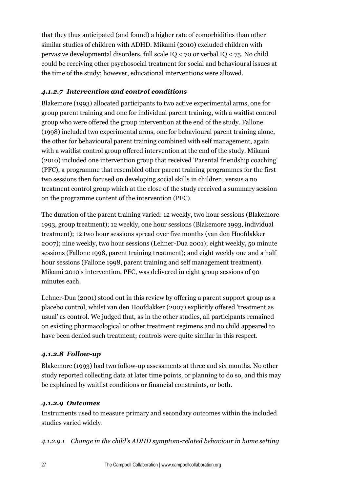that they thus anticipated (and found) a higher rate of comorbidities than other similar studies of children with ADHD. Mikami (2010) excluded children with pervasive developmental disorders, full scale IQ < 70 or verbal IQ < 75. No child could be receiving other psychosocial treatment for social and behavioural issues at the time of the study; however, educational interventions were allowed.

# *4.1.2.7 Intervention and control conditions*

Blakemore (1993) allocated participants to two active experimental arms, one for group parent training and one for individual parent training, with a waitlist control group who were offered the group intervention at the end of the study. Fallone (1998) included two experimental arms, one for behavioural parent training alone, the other for behavioural parent training combined with self management, again with a waitlist control group offered intervention at the end of the study. Mikami (2010) included one intervention group that received 'Parental friendship coaching' (PFC), a programme that resembled other parent training programmes for the first two sessions then focused on developing social skills in children, versus a no treatment control group which at the close of the study received a summary session on the programme content of the intervention (PFC).

The duration of the parent training varied: 12 weekly, two hour sessions (Blakemore 1993, group treatment); 12 weekly, one hour sessions (Blakemore 1993, individual treatment); 12 two hour sessions spread over five months (van den Hoofdakker 2007); nine weekly, two hour sessions (Lehner-Dua 2001); eight weekly, 50 minute sessions (Fallone 1998, parent training treatment); and eight weekly one and a half hour sessions (Fallone 1998, parent training and self management treatment). Mikami 2010's intervention, PFC, was delivered in eight group sessions of 90 minutes each.

Lehner-Dua (2001) stood out in this review by offering a parent support group as a placebo control, whilst van den Hoofdakker (2007) explicitly offered 'treatment as usual' as control. We judged that, as in the other studies, all participants remained on existing pharmacological or other treatment regimens and no child appeared to have been denied such treatment; controls were quite similar in this respect.

# *4.1.2.8 Follow-up*

Blakemore (1993) had two follow-up assessments at three and six months. No other study reported collecting data at later time points, or planning to do so, and this may be explained by waitlist conditions or financial constraints, or both.

# *4.1.2.9 Outcomes*

Instruments used to measure primary and secondary outcomes within the included studies varied widely.

*4.1.2.9.1 Change in the child's ADHD symptom-related behaviour in home setting*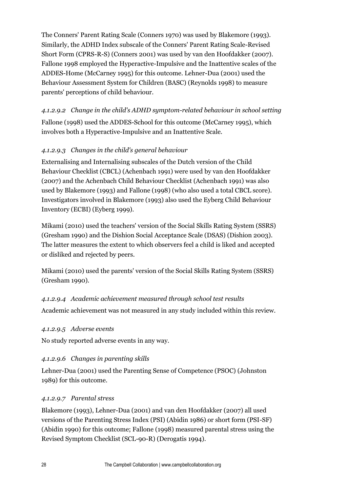The Conners' Parent Rating Scale (Conners 1970) was used by Blakemore (1993). Similarly, the ADHD Index subscale of the Conners' Parent Rating Scale-Revised Short Form (CPRS-R-S) (Conners 2001) was used by van den Hoofdakker (2007). Fallone 1998 employed the Hyperactive-Impulsive and the Inattentive scales of the ADDES-Home (McCarney 1995) for this outcome. Lehner-Dua (2001) used the Behaviour Assessment System for Children (BASC) (Reynolds 1998) to measure parents' perceptions of child behaviour.

*4.1.2.9.2 Change in the child's ADHD symptom-related behaviour in school setting* Fallone (1998) used the ADDES-School for this outcome (McCarney 1995), which involves both a Hyperactive-Impulsive and an Inattentive Scale.

# *4.1.2.9.3 Changes in the child's general behaviour*

Externalising and Internalising subscales of the Dutch version of the Child Behaviour Checklist (CBCL) (Achenbach 1991) were used by van den Hoofdakker (2007) and the Achenbach Child Behaviour Checklist (Achenbach 1991) was also used by Blakemore (1993) and Fallone (1998) (who also used a total CBCL score). Investigators involved in Blakemore (1993) also used the Eyberg Child Behaviour Inventory (ECBI) (Eyberg 1999).

Mikami (2010) used the teachers' version of the Social Skills Rating System (SSRS) (Gresham 1990) and the Dishion Social Acceptance Scale (DSAS) (Dishion 2003). The latter measures the extent to which observers feel a child is liked and accepted or disliked and rejected by peers.

Mikami (2010) used the parents' version of the Social Skills Rating System (SSRS) (Gresham 1990).

# *4.1.2.9.4 Academic achievement measured through school test results*

Academic achievement was not measured in any study included within this review.

# *4.1.2.9.5 Adverse events*

No study reported adverse events in any way.

# *4.1.2.9.6 Changes in parenting skills*

Lehner-Dua (2001) used the Parenting Sense of Competence (PSOC) (Johnston 1989) for this outcome.

# *4.1.2.9.7 Parental stress*

Blakemore (1993), Lehner-Dua (2001) and van den Hoofdakker (2007) all used versions of the Parenting Stress Index (PSI) (Abidin 1986) or short form (PSI-SF) (Abidin 1990) for this outcome; Fallone (1998) measured parental stress using the Revised Symptom Checklist (SCL-90-R) (Derogatis 1994).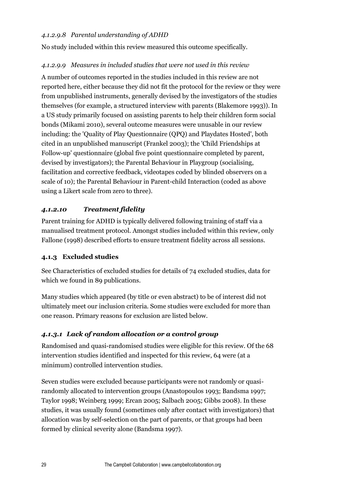## *4.1.2.9.8 Parental understanding of ADHD*

No study included within this review measured this outcome specifically.

## *4.1.2.9.9 Measures in included studies that were not used in this review*

A number of outcomes reported in the studies included in this review are not reported here, either because they did not fit the protocol for the review or they were from unpublished instruments, generally devised by the investigators of the studies themselves (for example, a structured interview with parents (Blakemore 1993)). In a US study primarily focused on assisting parents to help their children form social bonds (Mikami 2010), several outcome measures were unusable in our review including: the 'Quality of Play Questionnaire (QPQ) and Playdates Hosted', both cited in an unpublished manuscript (Frankel 2003); the 'Child Friendships at Follow-up' questionnaire (global five point questionnaire completed by parent, devised by investigators); the Parental Behaviour in Playgroup (socialising, facilitation and corrective feedback, videotapes coded by blinded observers on a scale of 10); the Parental Behaviour in Parent-child Interaction (coded as above using a Likert scale from zero to three).

# *4.1.2.10 Treatment fidelity*

Parent training for ADHD is typically delivered following training of staff via a manualised treatment protocol. Amongst studies included within this review, only Fallone (1998) described efforts to ensure treatment fidelity across all sessions.

# **4.1.3 Excluded studies**

See Characteristics of excluded studies for details of 74 excluded studies, data for which we found in 89 publications.

Many studies which appeared (by title or even abstract) to be of interest did not ultimately meet our inclusion criteria. Some studies were excluded for more than one reason. Primary reasons for exclusion are listed below.

# *4.1.3.1 Lack of random allocation or a control group*

Randomised and quasi-randomised studies were eligible for this review. Of the 68 intervention studies identified and inspected for this review, 64 were (at a minimum) controlled intervention studies.

Seven studies were excluded because participants were not randomly or quasirandomly allocated to intervention groups (Anastopoulos 1993; Bandsma 1997; Taylor 1998; Weinberg 1999; Ercan 2005; Salbach 2005; Gibbs 2008). In these studies, it was usually found (sometimes only after contact with investigators) that allocation was by self-selection on the part of parents, or that groups had been formed by clinical severity alone (Bandsma 1997).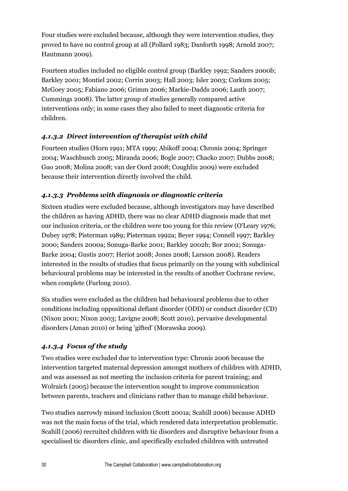Four studies were excluded because, although they were intervention studies, they proved to have no control group at all (Pollard 1983; Danforth 1998; Arnold 2007; Hautmann 2009).

Fourteen studies included no eligible control group (Barkley 1992; Sanders 2000b; Barkley 2001; Montiel 2002; Corrin 2003; Hall 2003; Isler 2003; Corkum 2005; McGoey 2005; Fabiano 2006; Grimm 2006; Markie-Dadds 2006; Lauth 2007; Cummings 2008). The latter group of studies generally compared active interventions only; in some cases they also failed to meet diagnostic criteria for children.

# *4.1.3.2 Direct intervention of therapist with child*

Fourteen studies (Horn 1991; MTA 1999; Abikoff 2004; Chronis 2004; Springer 2004; Waschbusch 2005; Miranda 2006; Bogle 2007; Chacko 2007; Dubbs 2008; Guo 2008; Molina 2008; van der Oord 2008; Coughlin 2009) were excluded because their intervention directly involved the child.

# *4.1.3.3 Problems with diagnosis or diagnostic criteria*

Sixteen studies were excluded because, although investigators may have described the children as having ADHD, there was no clear ADHD diagnosis made that met our inclusion criteria, or the children were too young for this review (O'Leary 1976; Dubey 1978; Pisterman 1989; Pisterman 1992a; Beyer 1994; Connell 1997; Barkley 2000; Sanders 2000a; Sonuga-Barke 2001; Barkley 2002b; Bor 2002; Sonuga-Barke 2004; Gustis 2007; Heriot 2008; Jones 2008; Larsson 2008). Readers interested in the results of studies that focus primarily on the young with subclinical behavioural problems may be interested in the results of another Cochrane review, when complete (Furlong 2010).

Six studies were excluded as the children had behavioural problems due to other conditions including oppositional defiant disorder (ODD) or conduct disorder (CD) (Nixon 2001; Nixon 2003; Lavigne 2008; Scott 2010), pervasive developmental disorders (Aman 2010) or being 'gifted' (Morawska 2009).

# *4.1.3.4 Focus of the study*

Two studies were excluded due to intervention type: Chronis 2006 because the intervention targeted maternal depression amongst mothers of children with ADHD, and was assessed as not meeting the inclusion criteria for parent training; and Wolraich (2005) because the intervention sought to improve communication between parents, teachers and clinicians rather than to manage child behaviour.

Two studies narrowly missed inclusion (Scott 2001a; Scahill 2006) because ADHD was not the main focus of the trial, which rendered data interpretation problematic. Scahill (2006) recruited children with tic disorders and disruptive behaviour from a specialised tic disorders clinic, and specifically excluded children with untreated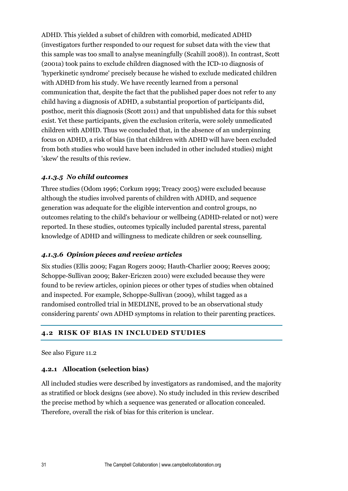ADHD. This yielded a subset of children with comorbid, medicated ADHD (investigators further responded to our request for subset data with the view that this sample was too small to analyse meaningfully (Scahill 2008)). In contrast, Scott (2001a) took pains to exclude children diagnosed with the ICD-10 diagnosis of 'hyperkinetic syndrome' precisely because he wished to exclude medicated children with ADHD from his study. We have recently learned from a personal communication that, despite the fact that the published paper does not refer to any child having a diagnosis of ADHD, a substantial proportion of participants did, posthoc, merit this diagnosis (Scott 2011) and that unpublished data for this subset exist. Yet these participants, given the exclusion criteria, were solely unmedicated children with ADHD. Thus we concluded that, in the absence of an underpinning focus on ADHD, a risk of bias (in that children with ADHD will have been excluded from both studies who would have been included in other included studies) might 'skew' the results of this review.

## *4.1.3.5 No child outcomes*

Three studies (Odom 1996; Corkum 1999; Treacy 2005) were excluded because although the studies involved parents of children with ADHD, and sequence generation was adequate for the eligible intervention and control groups, no outcomes relating to the child's behaviour or wellbeing (ADHD-related or not) were reported. In these studies, outcomes typically included parental stress, parental knowledge of ADHD and willingness to medicate children or seek counselling.

#### *4.1.3.6 Opinion pieces and review articles*

Six studies (Ellis 2009; Fagan Rogers 2009; Hauth-Charlier 2009; Reeves 2009; Schoppe-Sullivan 2009; Baker-Ericzen 2010) were excluded because they were found to be review articles, opinion pieces or other types of studies when obtained and inspected. For example, Schoppe-Sullivan (2009), whilst tagged as a randomised controlled trial in MEDLINE, proved to be an observational study considering parents' own ADHD symptoms in relation to their parenting practices.

#### <span id="page-31-0"></span>**4.2 RISK OF BIAS IN INCLUDED STUDIES**

See also Figure 11.2

#### **4.2.1 Allocation (selection bias)**

All included studies were described by investigators as randomised, and the majority as stratified or block designs (see above). No study included in this review described the precise method by which a sequence was generated or allocation concealed. Therefore, overall the risk of bias for this criterion is unclear.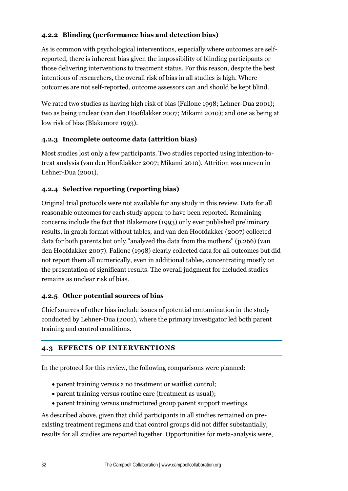## **4.2.2 Blinding (performance bias and detection bias)**

As is common with psychological interventions, especially where outcomes are selfreported, there is inherent bias given the impossibility of blinding participants or those delivering interventions to treatment status. For this reason, despite the best intentions of researchers, the overall risk of bias in all studies is high. Where outcomes are not self-reported, outcome assessors can and should be kept blind.

We rated two studies as having high risk of bias (Fallone 1998; Lehner-Dua 2001); two as being unclear (van den Hoofdakker 2007; Mikami 2010); and one as being at low risk of bias (Blakemore 1993).

## **4.2.3 Incomplete outcome data (attrition bias)**

Most studies lost only a few participants. Two studies reported using intention-totreat analysis (van den Hoofdakker 2007; Mikami 2010). Attrition was uneven in Lehner-Dua (2001).

# **4.2.4 Selective reporting (reporting bias)**

Original trial protocols were not available for any study in this review. Data for all reasonable outcomes for each study appear to have been reported. Remaining concerns include the fact that Blakemore (1993) only ever published preliminary results, in graph format without tables, and van den Hoofdakker (2007) collected data for both parents but only "analyzed the data from the mothers" (p.266) (van den Hoofdakker 2007). Fallone (1998) clearly collected data for all outcomes but did not report them all numerically, even in additional tables, concentrating mostly on the presentation of significant results. The overall judgment for included studies remains as unclear risk of bias.

## **4.2.5 Other potential sources of bias**

Chief sources of other bias include issues of potential contamination in the study conducted by Lehner-Dua (2001), where the primary investigator led both parent training and control conditions.

## <span id="page-32-0"></span>**4.3 EFFECTS OF INTERVENTIONS**

In the protocol for this review, the following comparisons were planned:

- parent training versus a no treatment or waitlist control;
- parent training versus routine care (treatment as usual);
- parent training versus unstructured group parent support meetings.

As described above, given that child participants in all studies remained on preexisting treatment regimens and that control groups did not differ substantially, results for all studies are reported together. Opportunities for meta-analysis were,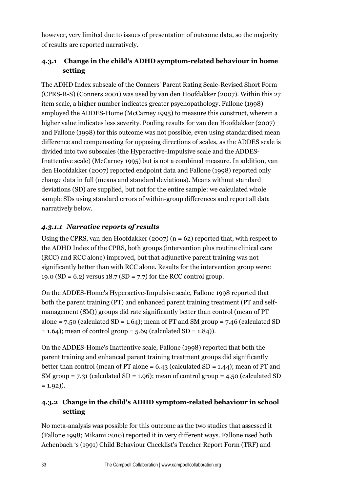however, very limited due to issues of presentation of outcome data, so the majority of results are reported narratively.

# **4.3.1 Change in the child's ADHD symptom-related behaviour in home setting**

The ADHD Index subscale of the Conners' Parent Rating Scale-Revised Short Form (CPRS-R-S) (Conners 2001) was used by van den Hoofdakker (2007). Within this 27 item scale, a higher number indicates greater psychopathology. Fallone (1998) employed the ADDES-Home (McCarney 1995) to measure this construct, wherein a higher value indicates less severity. Pooling results for van den Hoofdakker (2007) and Fallone (1998) for this outcome was not possible, even using standardised mean difference and compensating for opposing directions of scales, as the ADDES scale is divided into two subscales (the Hyperactive-Impulsive scale and the ADDES-Inattentive scale) (McCarney 1995) but is not a combined measure. In addition, van den Hoofdakker (2007) reported endpoint data and Fallone (1998) reported only change data in full (means and standard deviations). Means without standard deviations (SD) are supplied, but not for the entire sample: we calculated whole sample SDs using standard errors of within-group differences and report all data narratively below.

# *4.3.1.1 Narrative reports of results*

Using the CPRS, van den Hoofdakker (2007) ( $n = 62$ ) reported that, with respect to the ADHD Index of the CPRS, both groups (intervention plus routine clinical care (RCC) and RCC alone) improved, but that adjunctive parent training was not significantly better than with RCC alone. Results for the intervention group were: 19.0 (SD = 6.2) versus  $18.7$  (SD = 7.7) for the RCC control group.

On the ADDES-Home's Hyperactive-Impulsive scale, Fallone 1998 reported that both the parent training (PT) and enhanced parent training treatment (PT and selfmanagement (SM)) groups did rate significantly better than control (mean of PT alone = 7.50 (calculated SD = 1.64); mean of PT and SM group = 7.46 (calculated SD  $= 1.64$ ; mean of control group  $= 5.69$  (calculated SD  $= 1.84$ )).

On the ADDES-Home's Inattentive scale, Fallone (1998) reported that both the parent training and enhanced parent training treatment groups did significantly better than control (mean of PT alone  $= 6.43$  (calculated SD  $= 1.44$ ); mean of PT and SM group  $= 7.31$  (calculated SD  $= 1.96$ ); mean of control group  $= 4.50$  (calculated SD  $= 1.92$ ).

# **4.3.2 Change in the child's ADHD symptom-related behaviour in school setting**

No meta-analysis was possible for this outcome as the two studies that assessed it (Fallone 1998; Mikami 2010) reported it in very different ways. Fallone used both Achenbach "s (1991) Child Behaviour Checklist's Teacher Report Form (TRF) and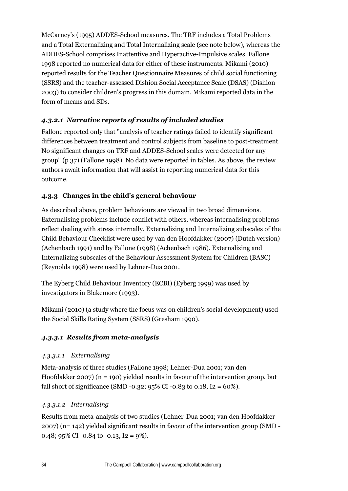McCarney"s (1995) ADDES-School measures. The TRF includes a Total Problems and a Total Externalizing and Total Internalizing scale (see note below), whereas the ADDES-School comprises Inattentive and Hyperactive-Impulsive scales. Fallone 1998 reported no numerical data for either of these instruments. Mikami (2010) reported results for the Teacher Questionnaire Measures of child social functioning (SSRS) and the teacher-assessed Dishion Social Acceptance Scale (DSAS) (Dishion 2003) to consider children's progress in this domain. Mikami reported data in the form of means and SDs.

# *4.3.2.1 Narrative reports of results of included studies*

Fallone reported only that "analysis of teacher ratings failed to identify significant differences between treatment and control subjects from baseline to post-treatment. No significant changes on TRF and ADDES-School scales were detected for any group" (p 37) (Fallone 1998). No data were reported in tables. As above, the review authors await information that will assist in reporting numerical data for this outcome.

# **4.3.3 Changes in the child's general behaviour**

As described above, problem behaviours are viewed in two broad dimensions. Externalising problems include conflict with others, whereas internalising problems reflect dealing with stress internally. Externalizing and Internalizing subscales of the Child Behaviour Checklist were used by van den Hoofdakker (2007) (Dutch version) (Achenbach 1991) and by Fallone (1998) (Achenbach 1986). Externalizing and Internalizing subscales of the Behaviour Assessment System for Children (BASC) (Reynolds 1998) were used by Lehner-Dua 2001.

The Eyberg Child Behaviour Inventory (ECBI) (Eyberg 1999) was used by investigators in Blakemore (1993).

Mikami (2010) (a study where the focus was on children's social development) used the Social Skills Rating System (SSRS) (Gresham 1990).

# *4.3.3.1 Results from meta-analysis*

# *4.3.3.1.1 Externalising*

Meta-analysis of three studies (Fallone 1998; Lehner-Dua 2001; van den Hoofdakker 2007) (n = 190) yielded results in favour of the intervention group, but fall short of significance (SMD -0.32; 95% CI -0.83 to 0.18, I2 = 60%).

# *4.3.3.1.2 Internalising*

Results from meta-analysis of two studies (Lehner-Dua 2001; van den Hoofdakker 2007) (n= 142) yielded significant results in favour of the intervention group (SMD - 0.48;  $95\%$  CI -0.84 to -0.13, I2 = 9%).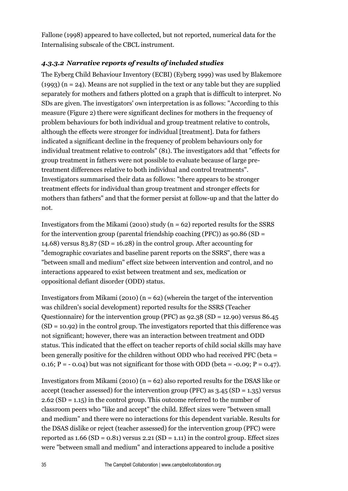Fallone (1998) appeared to have collected, but not reported, numerical data for the Internalising subscale of the CBCL instrument.

## *4.3.3.2 Narrative reports of results of included studies*

The Eyberg Child Behaviour Inventory (ECBI) (Eyberg 1999) was used by Blakemore (1993) (n = 24). Means are not supplied in the text or any table but they are supplied separately for mothers and fathers plotted on a graph that is difficult to interpret. No SDs are given. The investigators' own interpretation is as follows: "According to this measure (Figure 2) there were significant declines for mothers in the frequency of problem behaviours for both individual and group treatment relative to controls, although the effects were stronger for individual [treatment]. Data for fathers indicated a significant decline in the frequency of problem behaviours only for individual treatment relative to controls" (81). The investigators add that "effects for group treatment in fathers were not possible to evaluate because of large pretreatment differences relative to both individual and control treatments". Investigators summarised their data as follows: "there appears to be stronger treatment effects for individual than group treatment and stronger effects for mothers than fathers" and that the former persist at follow-up and that the latter do not.

Investigators from the Mikami (2010) study  $(n = 62)$  reported results for the SSRS for the intervention group (parental friendship coaching (PFC)) as  $90.86$  (SD = 14.68) versus  $83.87$  (SD = 16.28) in the control group. After accounting for "demographic covariates and baseline parent reports on the SSRS", there was a "between small and medium" effect size between intervention and control, and no interactions appeared to exist between treatment and sex, medication or oppositional defiant disorder (ODD) status.

Investigators from Mikami (2010) ( $n = 62$ ) (wherein the target of the intervention was children's social development) reported results for the SSRS (Teacher Questionnaire) for the intervention group (PFC) as 92.38 (SD = 12.90) versus 86.45 (SD = 10.92) in the control group. The investigators reported that this difference was not significant; however, there was an interaction between treatment and ODD status. This indicated that the effect on teacher reports of child social skills may have been generally positive for the children without ODD who had received PFC (beta = 0.16;  $P = -0.04$ ) but was not significant for those with ODD (beta =  $-0.09$ ;  $P = 0.47$ ).

Investigators from Mikami (2010) ( $n = 62$ ) also reported results for the DSAS like or accept (teacher assessed) for the intervention group (PFC) as 3.45 (SD = 1.35) versus 2.62 (SD = 1.15) in the control group. This outcome referred to the number of classroom peers who "like and accept" the child. Effect sizes were "between small and medium" and there were no interactions for this dependent variable. Results for the DSAS dislike or reject (teacher assessed) for the intervention group (PFC) were reported as  $1.66$  (SD = 0.81) versus  $2.21$  (SD = 1.11) in the control group. Effect sizes were "between small and medium" and interactions appeared to include a positive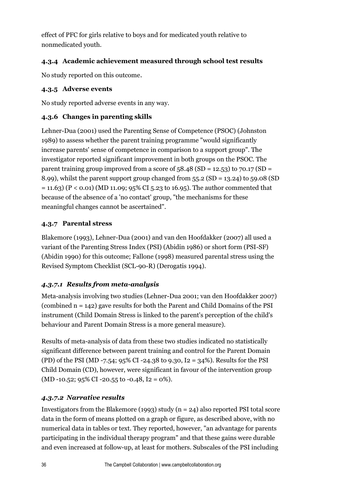effect of PFC for girls relative to boys and for medicated youth relative to nonmedicated youth.

## **4.3.4 Academic achievement measured through school test results**

No study reported on this outcome.

## **4.3.5 Adverse events**

No study reported adverse events in any way.

## **4.3.6 Changes in parenting skills**

Lehner-Dua (2001) used the Parenting Sense of Competence (PSOC) (Johnston 1989) to assess whether the parent training programme "would significantly increase parents' sense of competence in comparison to a support group". The investigator reported significant improvement in both groups on the PSOC. The parent training group improved from a score of  $58.48$  (SD = 12.53) to  $70.17$  (SD = 8.99), whilst the parent support group changed from 55.2 (SD = 13.24) to 59.08 (SD  $= 11.63$ ) (P < 0.01) (MD 11.09; 95% CI 5.23 to 16.95). The author commented that because of the absence of a 'no contact' group, "the mechanisms for these meaningful changes cannot be ascertained".

## **4.3.7 Parental stress**

Blakemore (1993), Lehner-Dua (2001) and van den Hoofdakker (2007) all used a variant of the Parenting Stress Index (PSI) (Abidin 1986) or short form (PSI-SF) (Abidin 1990) for this outcome; Fallone (1998) measured parental stress using the Revised Symptom Checklist (SCL-90-R) (Derogatis 1994).

## *4.3.7.1 Results from meta-analysis*

Meta-analysis involving two studies (Lehner-Dua 2001; van den Hoofdakker 2007) (combined  $n = 142$ ) gave results for both the Parent and Child Domains of the PSI instrument (Child Domain Stress is linked to the parent's perception of the child's behaviour and Parent Domain Stress is a more general measure).

Results of meta-analysis of data from these two studies indicated no statistically significant difference between parent training and control for the Parent Domain (PD) of the PSI (MD -7.54; 95% CI -24.38 to 9.30, I2 = 34%). Results for the PSI Child Domain (CD), however, were significant in favour of the intervention group  $(MD - 10.52; 95\% CI - 20.55$  to  $-0.48$ ,  $I2 = 0\%$ ).

## *4.3.7.2 Narrative results*

Investigators from the Blakemore (1993) study (n = 24) also reported PSI total score data in the form of means plotted on a graph or figure, as described above, with no numerical data in tables or text. They reported, however, "an advantage for parents participating in the individual therapy program" and that these gains were durable and even increased at follow-up, at least for mothers. Subscales of the PSI including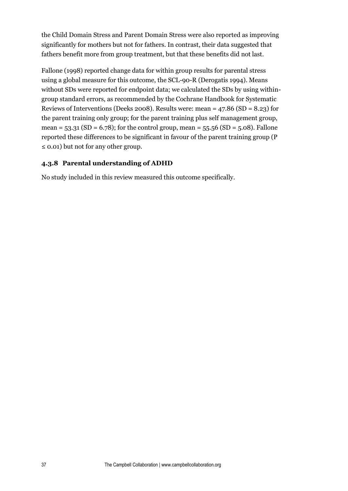the Child Domain Stress and Parent Domain Stress were also reported as improving significantly for mothers but not for fathers. In contrast, their data suggested that fathers benefit more from group treatment, but that these benefits did not last.

Fallone (1998) reported change data for within group results for parental stress using a global measure for this outcome, the SCL-90-R (Derogatis 1994). Means without SDs were reported for endpoint data; we calculated the SDs by using withingroup standard errors, as recommended by the Cochrane Handbook for Systematic Reviews of Interventions (Deeks 2008). Results were: mean =  $47.86$  (SD =  $8.23$ ) for the parent training only group; for the parent training plus self management group, mean =  $53.31$  (SD =  $6.78$ ); for the control group, mean =  $55.56$  (SD =  $5.08$ ). Fallone reported these differences to be significant in favour of the parent training group (P  $\leq$  0.01) but not for any other group.

#### **4.3.8 Parental understanding of ADHD**

No study included in this review measured this outcome specifically.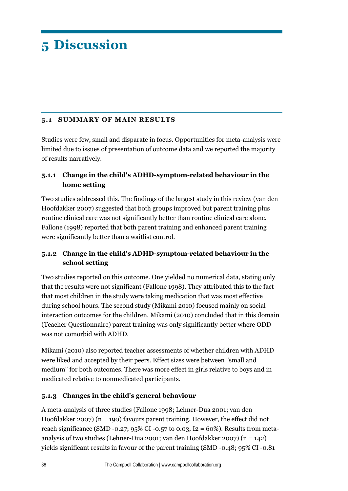# **5 Discussion**

#### **5.1 SUMMARY OF MAIN RESULTS**

Studies were few, small and disparate in focus. Opportunities for meta-analysis were limited due to issues of presentation of outcome data and we reported the majority of results narratively.

## **5.1.1 Change in the child's ADHD-symptom-related behaviour in the home setting**

Two studies addressed this. The findings of the largest study in this review (van den Hoofdakker 2007) suggested that both groups improved but parent training plus routine clinical care was not significantly better than routine clinical care alone. Fallone (1998) reported that both parent training and enhanced parent training were significantly better than a waitlist control.

### **5.1.2 Change in the child's ADHD-symptom-related behaviour in the school setting**

Two studies reported on this outcome. One yielded no numerical data, stating only that the results were not significant (Fallone 1998). They attributed this to the fact that most children in the study were taking medication that was most effective during school hours. The second study (Mikami 2010) focused mainly on social interaction outcomes for the children. Mikami (2010) concluded that in this domain (Teacher Questionnaire) parent training was only significantly better where ODD was not comorbid with ADHD.

Mikami (2010) also reported teacher assessments of whether children with ADHD were liked and accepted by their peers. Effect sizes were between "small and medium" for both outcomes. There was more effect in girls relative to boys and in medicated relative to nonmedicated participants.

#### **5.1.3 Changes in the child's general behaviour**

A meta-analysis of three studies (Fallone 1998; Lehner-Dua 2001; van den Hoofdakker 2007) (n = 190) favours parent training. However, the effect did not reach significance (SMD -0.27; 95% CI -0.57 to 0.03, I2 = 60%). Results from metaanalysis of two studies (Lehner-Dua 2001; van den Hoofdakker 2007) (n = 142) yields significant results in favour of the parent training (SMD -0.48; 95% CI -0.81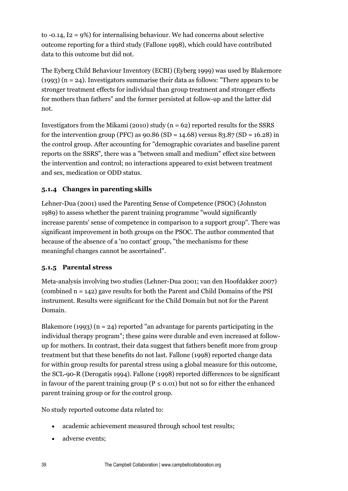to -0.14, I2 = 9%) for internalising behaviour. We had concerns about selective outcome reporting for a third study (Fallone 1998), which could have contributed data to this outcome but did not.

The Eyberg Child Behaviour Inventory (ECBI) (Eyberg 1999) was used by Blakemore (1993) (n = 24). Investigators summarise their data as follows: "There appears to be stronger treatment effects for individual than group treatment and stronger effects for mothers than fathers" and the former persisted at follow-up and the latter did not.

Investigators from the Mikami (2010) study ( $n = 62$ ) reported results for the SSRS for the intervention group (PFC) as  $90.86$  (SD =  $14.68$ ) versus  $83.87$  (SD =  $16.28$ ) in the control group. After accounting for "demographic covariates and baseline parent reports on the SSRS", there was a "between small and medium" effect size between the intervention and control; no interactions appeared to exist between treatment and sex, medication or ODD status.

## **5.1.4 Changes in parenting skills**

Lehner-Dua (2001) used the Parenting Sense of Competence (PSOC) (Johnston 1989) to assess whether the parent training programme "would significantly increase parents' sense of competence in comparison to a support group". There was significant improvement in both groups on the PSOC. The author commented that because of the absence of a 'no contact' group, "the mechanisms for these meaningful changes cannot be ascertained".

### **5.1.5 Parental stress**

Meta-analysis involving two studies (Lehner-Dua 2001; van den Hoofdakker 2007) (combined  $n = 142$ ) gave results for both the Parent and Child Domains of the PSI instrument. Results were significant for the Child Domain but not for the Parent Domain.

Blakemore (1993) ( $n = 24$ ) reported "an advantage for parents participating in the individual therapy program"; these gains were durable and even increased at followup for mothers. In contrast, their data suggest that fathers benefit more from group treatment but that these benefits do not last. Fallone (1998) reported change data for within group results for parental stress using a global measure for this outcome, the SCL-90-R (Derogatis 1994). Fallone (1998) reported differences to be significant in favour of the parent training group ( $P \le 0.01$ ) but not so for either the enhanced parent training group or for the control group.

No study reported outcome data related to:

- academic achievement measured through school test results;
- adverse events;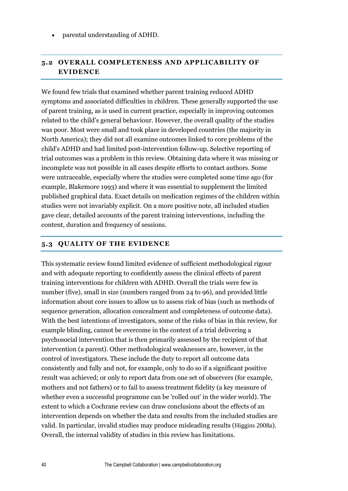parental understanding of ADHD.

### **5.2 OVERALL COMPLETENESS AND APPLICABILITY OF EVIDENCE**

We found few trials that examined whether parent training reduced ADHD symptoms and associated difficulties in children. These generally supported the use of parent training, as is used in current practice, especially in improving outcomes related to the child's general behaviour. However, the overall quality of the studies was poor. Most were small and took place in developed countries (the majority in North America); they did not all examine outcomes linked to core problems of the child's ADHD and had limited post-intervention follow-up. Selective reporting of trial outcomes was a problem in this review. Obtaining data where it was missing or incomplete was not possible in all cases despite efforts to contact authors. Some were untraceable, especially where the studies were completed some time ago (for example, Blakemore 1993) and where it was essential to supplement the limited published graphical data. Exact details on medication regimes of the children within studies were not invariably explicit. On a more positive note, all included studies gave clear, detailed accounts of the parent training interventions, including the content, duration and frequency of sessions.

#### **5.3 QUALITY OF THE EVIDENCE**

This systematic review found limited evidence of sufficient methodological rigour and with adequate reporting to confidently assess the clinical effects of parent training interventions for children with ADHD. Overall the trials were few in number (five), small in size (numbers ranged from 24 to 96), and provided little information about core issues to allow us to assess risk of bias (such as methods of sequence generation, allocation concealment and completeness of outcome data). With the best intentions of investigators, some of the risks of bias in this review, for example blinding, cannot be overcome in the context of a trial delivering a psychosocial intervention that is then primarily assessed by the recipient of that intervention (a parent). Other methodological weaknesses are, however, in the control of investigators. These include the duty to report all outcome data consistently and fully and not, for example, only to do so if a significant positive result was achieved; or only to report data from one set of observers (for example, mothers and not fathers) or to fail to assess treatment fidelity (a key measure of whether even a successful programme can be 'rolled out' in the wider world). The extent to which a Cochrane review can draw conclusions about the effects of an intervention depends on whether the data and results from the included studies are valid. In particular, invalid studies may produce misleading results (Higgins 2008a). Overall, the internal validity of studies in this review has limitations.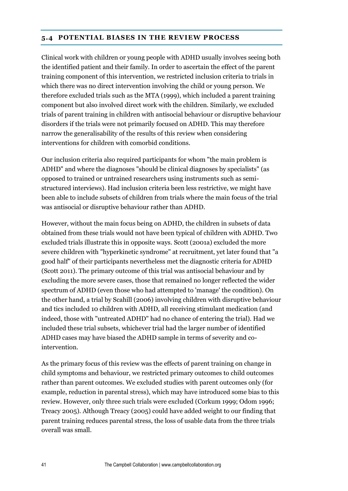#### **5.4 POTENTIAL BIASES IN THE REVIEW PROCESS**

Clinical work with children or young people with ADHD usually involves seeing both the identified patient and their family. In order to ascertain the effect of the parent training component of this intervention, we restricted inclusion criteria to trials in which there was no direct intervention involving the child or young person. We therefore excluded trials such as the MTA (1999), which included a parent training component but also involved direct work with the children. Similarly, we excluded trials of parent training in children with antisocial behaviour or disruptive behaviour disorders if the trials were not primarily focused on ADHD. This may therefore narrow the generalisability of the results of this review when considering interventions for children with comorbid conditions.

Our inclusion criteria also required participants for whom "the main problem is ADHD" and where the diagnoses "should be clinical diagnoses by specialists" (as opposed to trained or untrained researchers using instruments such as semistructured interviews). Had inclusion criteria been less restrictive, we might have been able to include subsets of children from trials where the main focus of the trial was antisocial or disruptive behaviour rather than ADHD.

However, without the main focus being on ADHD, the children in subsets of data obtained from these trials would not have been typical of children with ADHD. Two excluded trials illustrate this in opposite ways. Scott (2001a) excluded the more severe children with "hyperkinetic syndrome" at recruitment, yet later found that "a good half" of their participants nevertheless met the diagnostic criteria for ADHD (Scott 2011). The primary outcome of this trial was antisocial behaviour and by excluding the more severe cases, those that remained no longer reflected the wider spectrum of ADHD (even those who had attempted to 'manage' the condition). On the other hand, a trial by Scahill (2006) involving children with disruptive behaviour and tics included 10 children with ADHD, all receiving stimulant medication (and indeed, those with "untreated ADHD" had no chance of entering the trial). Had we included these trial subsets, whichever trial had the larger number of identified ADHD cases may have biased the ADHD sample in terms of severity and cointervention.

As the primary focus of this review was the effects of parent training on change in child symptoms and behaviour, we restricted primary outcomes to child outcomes rather than parent outcomes. We excluded studies with parent outcomes only (for example, reduction in parental stress), which may have introduced some bias to this review. However, only three such trials were excluded (Corkum 1999; Odom 1996; Treacy 2005). Although Treacy (2005) could have added weight to our finding that parent training reduces parental stress, the loss of usable data from the three trials overall was small.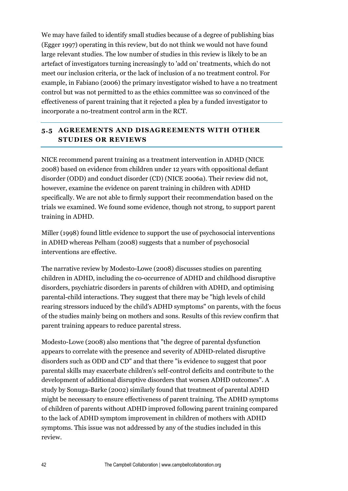We may have failed to identify small studies because of a degree of publishing bias (Egger 1997) operating in this review, but do not think we would not have found large relevant studies. The low number of studies in this review is likely to be an artefact of investigators turning increasingly to 'add on' treatments, which do not meet our inclusion criteria, or the lack of inclusion of a no treatment control. For example, in Fabiano (2006) the primary investigator wished to have a no treatment control but was not permitted to as the ethics committee was so convinced of the effectiveness of parent training that it rejected a plea by a funded investigator to incorporate a no-treatment control arm in the RCT.

## **5.5 AGREEMENTS AND DISAGREEMENTS WITH OTHER STUDIES OR REVIEWS**

NICE recommend parent training as a treatment intervention in ADHD (NICE 2008) based on evidence from children under 12 years with oppositional defiant disorder (ODD) and conduct disorder (CD) (NICE 2006a). Their review did not, however, examine the evidence on parent training in children with ADHD specifically. We are not able to firmly support their recommendation based on the trials we examined. We found some evidence, though not strong, to support parent training in ADHD.

Miller (1998) found little evidence to support the use of psychosocial interventions in ADHD whereas Pelham (2008) suggests that a number of psychosocial interventions are effective.

The narrative review by Modesto-Lowe (2008) discusses studies on parenting children in ADHD, including the co-occurrence of ADHD and childhood disruptive disorders, psychiatric disorders in parents of children with ADHD, and optimising parental-child interactions. They suggest that there may be "high levels of child rearing stressors induced by the child's ADHD symptoms" on parents, with the focus of the studies mainly being on mothers and sons. Results of this review confirm that parent training appears to reduce parental stress.

Modesto-Lowe (2008) also mentions that "the degree of parental dysfunction appears to correlate with the presence and severity of ADHD-related disruptive disorders such as ODD and CD" and that there "is evidence to suggest that poor parental skills may exacerbate children's self-control deficits and contribute to the development of additional disruptive disorders that worsen ADHD outcomes". A study by Sonuga-Barke (2002) similarly found that treatment of parental ADHD might be necessary to ensure effectiveness of parent training. The ADHD symptoms of children of parents without ADHD improved following parent training compared to the lack of ADHD symptom improvement in children of mothers with ADHD symptoms. This issue was not addressed by any of the studies included in this review.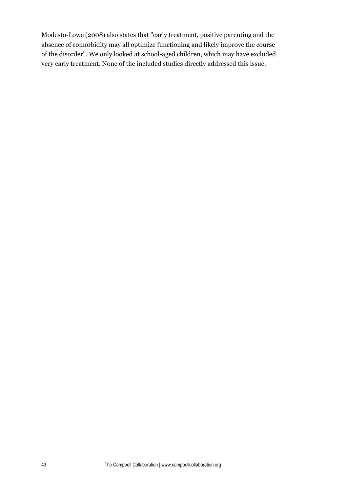Modesto-Lowe (2008) also states that "early treatment, positive parenting and the absence of comorbidity may all optimize functioning and likely improve the course of the disorder". We only looked at school-aged children, which may have excluded very early treatment. None of the included studies directly addressed this issue.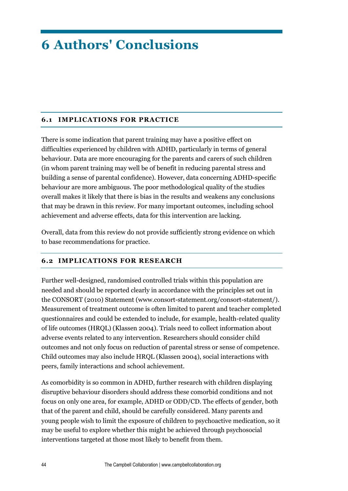# **6 Authors' Conclusions**

#### **6.1 IMPLICATIONS FOR PRACTICE**

There is some indication that parent training may have a positive effect on difficulties experienced by children with ADHD, particularly in terms of general behaviour. Data are more encouraging for the parents and carers of such children (in whom parent training may well be of benefit in reducing parental stress and building a sense of parental confidence). However, data concerning ADHD-specific behaviour are more ambiguous. The poor methodological quality of the studies overall makes it likely that there is bias in the results and weakens any conclusions that may be drawn in this review. For many important outcomes, including school achievement and adverse effects, data for this intervention are lacking.

Overall, data from this review do not provide sufficiently strong evidence on which to base recommendations for practice.

#### **6.2 IMPLICATIONS FOR RESEARCH**

Further well-designed, randomised controlled trials within this population are needed and should be reported clearly in accordance with the principles set out in the CONSORT (2010) Statement (www.consort-statement.org/consort-statement/). Measurement of treatment outcome is often limited to parent and teacher completed questionnaires and could be extended to include, for example, health-related quality of life outcomes (HRQL) (Klassen 2004). Trials need to collect information about adverse events related to any intervention. Researchers should consider child outcomes and not only focus on reduction of parental stress or sense of competence. Child outcomes may also include HRQL (Klassen 2004), social interactions with peers, family interactions and school achievement.

As comorbidity is so common in ADHD, further research with children displaying disruptive behaviour disorders should address these comorbid conditions and not focus on only one area, for example, ADHD or ODD/CD. The effects of gender, both that of the parent and child, should be carefully considered. Many parents and young people wish to limit the exposure of children to psychoactive medication, so it may be useful to explore whether this might be achieved through psychosocial interventions targeted at those most likely to benefit from them.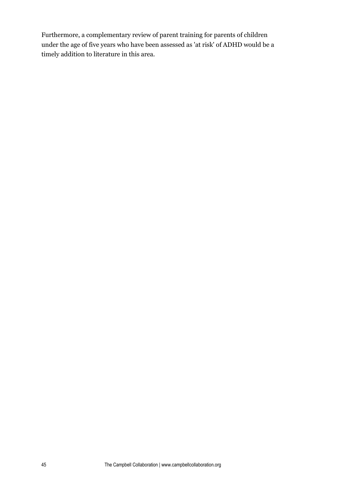Furthermore, a complementary review of parent training for parents of children under the age of five years who have been assessed as 'at risk' of ADHD would be a timely addition to literature in this area.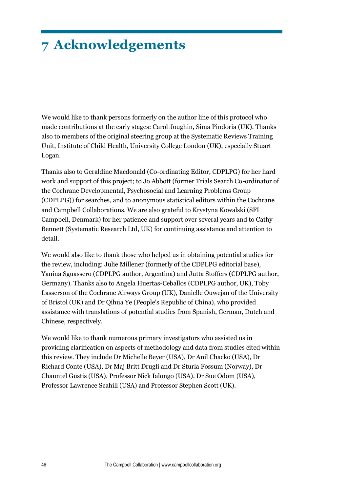# **7 Acknowledgements**

We would like to thank persons formerly on the author line of this protocol who made contributions at the early stages: Carol Joughin, Sima Pindoria (UK). Thanks also to members of the original steering group at the Systematic Reviews Training Unit, Institute of Child Health, University College London (UK), especially Stuart Logan.

Thanks also to Geraldine Macdonald (Co-ordinating Editor, CDPLPG) for her hard work and support of this project; to Jo Abbott (former Trials Search Co-ordinator of the Cochrane Developmental, Psychosocial and Learning Problems Group (CDPLPG)) for searches, and to anonymous statistical editors within the Cochrane and Campbell Collaborations. We are also grateful to Krystyna Kowalski (SFI Campbell, Denmark) for her patience and support over several years and to Cathy Bennett (Systematic Research Ltd, UK) for continuing assistance and attention to detail.

We would also like to thank those who helped us in obtaining potential studies for the review, including: Julie Millener (formerly of the CDPLPG editorial base), Yanina Sguassero (CDPLPG author, Argentina) and Jutta Stoffers (CDPLPG author, Germany). Thanks also to Angela Huertas-Ceballos (CDPLPG author, UK), Toby Lasserson of the Cochrane Airways Group (UK), Danielle Ouwejan of the University of Bristol (UK) and Dr Qihua Ye (People's Republic of China), who provided assistance with translations of potential studies from Spanish, German, Dutch and Chinese, respectively.

We would like to thank numerous primary investigators who assisted us in providing clarification on aspects of methodology and data from studies cited within this review. They include Dr Michelle Beyer (USA), Dr Anil Chacko (USA), Dr Richard Conte (USA), Dr Maj Britt Drugli and Dr Sturla Fossum (Norway), Dr Chauntel Gustis (USA), Professor Nick Ialongo (USA), Dr Sue Odom (USA), Professor Lawrence Scahill (USA) and Professor Stephen Scott (UK).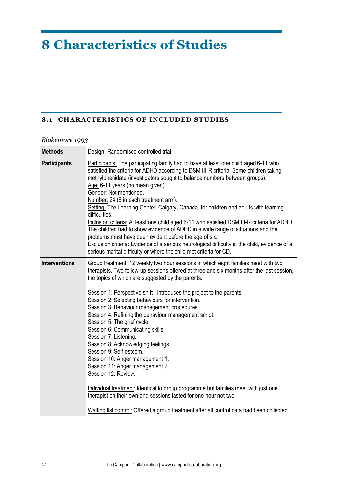# **8 Characteristics of Studies**

#### **8.1 CHARACTERISTICS OF INCLUDED STUDIES**

#### *Blakemore 1993*

| <b>Methods</b>       | Design: Randomised controlled trial.                                                                                                                                                                                                                                                                                                                                                                                                                                                                                                                                                                                                                                                                                                                                                                                                                                                                                                                                                         |  |  |
|----------------------|----------------------------------------------------------------------------------------------------------------------------------------------------------------------------------------------------------------------------------------------------------------------------------------------------------------------------------------------------------------------------------------------------------------------------------------------------------------------------------------------------------------------------------------------------------------------------------------------------------------------------------------------------------------------------------------------------------------------------------------------------------------------------------------------------------------------------------------------------------------------------------------------------------------------------------------------------------------------------------------------|--|--|
| <b>Participants</b>  | Participants: The participating family had to have at least one child aged 6-11 who<br>satisfied the criteria for ADHD according to DSM III-R criteria. Some children taking<br>methylphenidate (investigators sought to balance numbers between groups).<br>Age: 6-11 years (no mean given).<br>Gender: Not mentioned.<br>Number: 24 (8 in each treatment arm).<br>Setting: The Learning Center, Calgary, Canada, for children and adults with learning<br>difficulties.<br>Inclusion criteria: At least one child aged 6-11 who satisfied DSM III-R criteria for ADHD.<br>The children had to show evidence of ADHD in a wide range of situations and the<br>problems must have been evident before the age of six.<br>Exclusion criteria: Evidence of a serious neurological difficulty in the child, evidence of a<br>serious marital difficulty or where the child met criteria for CD.                                                                                                 |  |  |
| <b>Interventions</b> | Group treatment: 12 weekly two hour sessions in which eight families meet with two<br>therapists. Two follow-up sessions offered at three and six months after the last session,<br>the topics of which are suggested by the parents.<br>Session 1: Perspective shift - introduces the project to the parents.<br>Session 2: Selecting behaviours for intervention.<br>Session 3: Behaviour management procedures.<br>Session 4: Refining the behaviour management script.<br>Session 5: The grief cycle.<br>Session 6: Communicating skills.<br>Session 7: Listening.<br>Session 8: Acknowledging feelings.<br>Session 9: Self-esteem.<br>Session 10: Anger management 1.<br>Session 11: Anger management 2.<br>Session 12: Review.<br>Individual treatment: Identical to group programme but families meet with just one<br>therapist on their own and sessions lasted for one hour not two.<br>Waiting list control: Offered a group treatment after all control data had been collected. |  |  |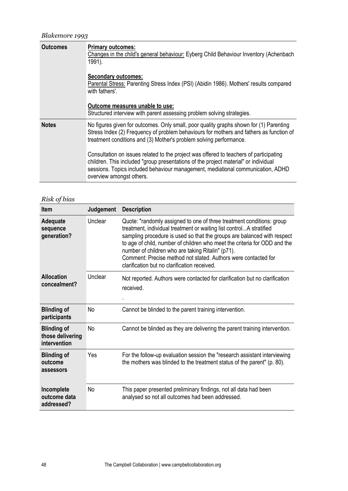#### *Blakemore 1993*

| <b>Outcomes</b> | <b>Primary outcomes:</b><br>Changes in the child's general behaviour: Eyberg Child Behaviour Inventory (Achenbach<br>1991).<br><b>Secondary outcomes:</b><br>Parental Stress: Parenting Stress Index (PSI) (Abidin 1986). Mothers' results compared<br>with fathers'.<br>Outcome measures unable to use: |
|-----------------|----------------------------------------------------------------------------------------------------------------------------------------------------------------------------------------------------------------------------------------------------------------------------------------------------------|
|                 | Structured interview with parent assessing problem solving strategies.                                                                                                                                                                                                                                   |
| <b>Notes</b>    | No figures given for outcomes. Only small, poor quality graphs shown for (1) Parenting<br>Stress Index (2) Frequency of problem behaviours for mothers and fathers as function of<br>treatment conditions and (3) Mother's problem solving performance.                                                  |
|                 | Consultation on issues related to the project was offered to teachers of participating<br>children. This included "group presentations of the project material" or individual<br>sessions. Topics included behaviour management, mediational communication, ADHD<br>overview amongst others.             |

#### *Risk of bias*

| <b>Item</b>                                            | <b>Judgement</b> | <b>Description</b>                                                                                                                                                                                                                                                                                                                                                                                                                                                          |
|--------------------------------------------------------|------------------|-----------------------------------------------------------------------------------------------------------------------------------------------------------------------------------------------------------------------------------------------------------------------------------------------------------------------------------------------------------------------------------------------------------------------------------------------------------------------------|
| <b>Adequate</b><br>sequence<br>generation?             | Unclear          | Quote: "randomly assigned to one of three treatment conditions: group<br>treatment, individual treatment or waiting list controlA stratified<br>sampling procedure is used so that the groups are balanced with respect<br>to age of child, number of children who meet the criteria for ODD and the<br>number of children who are taking Ritalin" (p71).<br>Comment: Precise method not stated. Authors were contacted for<br>clarification but no clarification received. |
| <b>Allocation</b><br>concealment?                      | Unclear          | Not reported. Authors were contacted for clarification but no clarification<br>received.                                                                                                                                                                                                                                                                                                                                                                                    |
| <b>Blinding of</b><br>participants                     | No               | Cannot be blinded to the parent training intervention.                                                                                                                                                                                                                                                                                                                                                                                                                      |
| <b>Blinding of</b><br>those delivering<br>intervention | No               | Cannot be blinded as they are delivering the parent training intervention.                                                                                                                                                                                                                                                                                                                                                                                                  |
| <b>Blinding of</b><br>outcome<br>assessors             | Yes              | For the follow-up evaluation session the "research assistant interviewing<br>the mothers was blinded to the treatment status of the parent" (p. 80).                                                                                                                                                                                                                                                                                                                        |
| Incomplete<br>outcome data<br>addressed?               | No               | This paper presented preliminary findings, not all data had been<br>analysed so not all outcomes had been addressed.                                                                                                                                                                                                                                                                                                                                                        |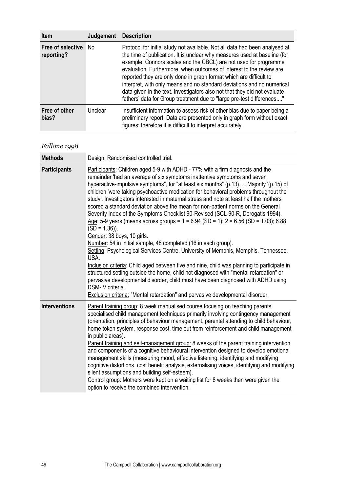| <b>Item</b>                     | Judgement | <b>Description</b>                                                                                                                                                                                                                                                                                                                                                                                                                                                                                                                                                                                         |
|---------------------------------|-----------|------------------------------------------------------------------------------------------------------------------------------------------------------------------------------------------------------------------------------------------------------------------------------------------------------------------------------------------------------------------------------------------------------------------------------------------------------------------------------------------------------------------------------------------------------------------------------------------------------------|
| Free of selective<br>reporting? | No.       | Protocol for initial study not available. Not all data had been analysed at<br>the time of publication. It is unclear why measures used at baseline (for<br>example, Connors scales and the CBCL) are not used for programme<br>evaluation. Furthermore, when outcomes of interest to the review are<br>reported they are only done in graph format which are difficult to<br>interpret, with only means and no standard deviations and no numerical<br>data given in the text. Investigators also not that they did not evaluate<br>fathers' data for Group treatment due to "large pre-test differences" |
| Free of other<br>bias?          | Unclear   | Insufficient information to assess risk of other bias due to paper being a<br>preliminary report. Data are presented only in graph form without exact<br>figures; therefore it is difficult to interpret accurately.                                                                                                                                                                                                                                                                                                                                                                                       |

# *Fallone 1998*

| <b>Methods</b>       | Design: Randomised controlled trial.                                                                                                                                                                                                                                                                                                                                                                                                                                                                                                                                                                                                                                                                                                                                                                                                                                                                                                                                                                                                                                                                                                                                                                                                                                                                               |
|----------------------|--------------------------------------------------------------------------------------------------------------------------------------------------------------------------------------------------------------------------------------------------------------------------------------------------------------------------------------------------------------------------------------------------------------------------------------------------------------------------------------------------------------------------------------------------------------------------------------------------------------------------------------------------------------------------------------------------------------------------------------------------------------------------------------------------------------------------------------------------------------------------------------------------------------------------------------------------------------------------------------------------------------------------------------------------------------------------------------------------------------------------------------------------------------------------------------------------------------------------------------------------------------------------------------------------------------------|
| <b>Participants</b>  | Participants: Children aged 5-9 with ADHD - 77% with a firm diagnosis and the<br>remainder 'had an average of six symptoms inattentive symptoms and seven<br>hyperactive-impulsive symptoms", for "at least six months" (p.13). 'Majority '(p.15) of<br>children 'were taking psychoactive medication for behavioral problems throughout the<br>study'. Investigators interested in maternal stress and note at least half the mothers<br>scored a standard deviation above the mean for non-patient norms on the General<br>Severity Index of the Symptoms Checklist 90-Revised (SCL-90-R, Derogatis 1994).<br><u>Age</u> : 5-9 years (means across groups = $1 = 6.94$ (SD = 1); $2 = 6.56$ (SD = 1.03); 6.88<br>$(SD = 1.36)$ ).<br>Gender: 38 boys, 10 girls.<br>Number: 54 in initial sample, 48 completed (16 in each group).<br>Setting: Psychological Services Centre, University of Memphis, Memphis, Tennessee,<br>USA.<br>Inclusion criteria: Child aged between five and nine, child was planning to participate in<br>structured setting outside the home, child not diagnosed with "mental retardation" or<br>pervasive developmental disorder, child must have been diagnosed with ADHD using<br>DSM-IV criteria.<br>Exclusion criteria: "Mental retardation" and pervasive developmental disorder. |
| <b>Interventions</b> | Parent training group: 8 week manualised course focusing on teaching parents<br>specialised child management techniques primarily involving contingency management<br>(orientation, principles of behaviour management, parental attending to child behaviour,<br>home token system, response cost, time out from reinforcement and child management<br>in public areas).<br>Parent training and self-management group: 8 weeks of the parent training intervention<br>and components of a cognitive behavioural intervention designed to develop emotional<br>management skills (measuring mood, effective listening, identifying and modifying<br>cognitive distortions, cost benefit analysis, externalising voices, identifying and modifying<br>silent assumptions and building self-esteem).<br>Control group: Mothers were kept on a waiting list for 8 weeks then were given the<br>option to receive the combined intervention.                                                                                                                                                                                                                                                                                                                                                                           |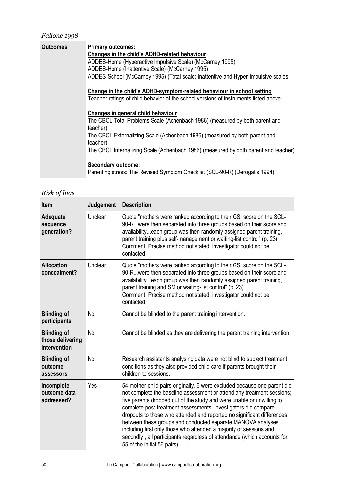## *Fallone 1998*

| <b>Outcomes</b> | <b>Primary outcomes:</b>                                                               |
|-----------------|----------------------------------------------------------------------------------------|
|                 | Changes in the child's ADHD-related behaviour                                          |
|                 | ADDES-Home (Hyperactive Impulsive Scale) (McCarney 1995)                               |
|                 | ADDES-Home (Inattentive Scale) (McCarney 1995)                                         |
|                 | ADDES-School (McCarney 1995) (Total scale; Inattentive and Hyper-Impulsive scales      |
|                 | Change in the child's ADHD-symptom-related behaviour in school setting                 |
|                 | Teacher ratings of child behavior of the school versions of instruments listed above   |
|                 | Changes in general child behaviour                                                     |
|                 | The CBCL Total Problems Scale (Achenbach 1986) (measured by both parent and            |
|                 | teacher)<br>The CBCL Externalizing Scale (Achenbach 1986) (measured by both parent and |
|                 | teacher)                                                                               |
|                 | The CBCL Internalizing Scale (Achenbach 1986) (measured by both parent and teacher)    |
|                 | Secondary outcome:                                                                     |
|                 | Parenting stress: The Revised Symptom Checklist (SCL-90-R) (Derogatis 1994).           |

# *Risk of bias*

| Item                                                   | Judgement | <b>Description</b>                                                                                                                                                                                                                                                                                                                                                                                                                                                                                                                                                                                                      |
|--------------------------------------------------------|-----------|-------------------------------------------------------------------------------------------------------------------------------------------------------------------------------------------------------------------------------------------------------------------------------------------------------------------------------------------------------------------------------------------------------------------------------------------------------------------------------------------------------------------------------------------------------------------------------------------------------------------------|
| Adequate<br>sequence<br>generation?                    | Unclear   | Quote "mothers were ranked according to their GSI score on the SCL-<br>90-Rwere then separated into three groups based on their score and<br>availabilityeach group was then randomly assigned parent training,<br>parent training plus self-management or waiting-list control" (p. 23).<br>Comment: Precise method not stated; investigator could not be<br>contacted.                                                                                                                                                                                                                                                |
| <b>Allocation</b><br>concealment?                      | Unclear   | Quote "mothers were ranked according to their GSI score on the SCL-<br>90-Rwere then separated into three groups based on their score and<br>availabilityeach group was then randomly assigned parent training,<br>parent training and SM or waiting-list control" (p. 23).<br>Comment: Precise method not stated; investigator could not be<br>contacted.                                                                                                                                                                                                                                                              |
| <b>Blinding of</b><br>participants                     | No        | Cannot be blinded to the parent training intervention.                                                                                                                                                                                                                                                                                                                                                                                                                                                                                                                                                                  |
| <b>Blinding of</b><br>those delivering<br>intervention | No        | Cannot be blinded as they are delivering the parent training intervention.                                                                                                                                                                                                                                                                                                                                                                                                                                                                                                                                              |
| <b>Blinding of</b><br>outcome<br>assessors             | No        | Research assistants analysing data were not blind to subject treatment<br>conditions as they also provided child care if parents brought their<br>children to sessions.                                                                                                                                                                                                                                                                                                                                                                                                                                                 |
| Incomplete<br>outcome data<br>addressed?               | Yes       | 54 mother-child pairs originally, 6 were excluded because one parent did<br>not complete the baseline assessment or attend any treatment sessions;<br>five parents dropped out of the study and were unable or unwilling to<br>complete post-treatment assessments. Investigators did compare<br>dropouts to those who attended and reported no significant differences<br>between these groups and conducted separate MANOVA analyses<br>including first only those who attended a majority of sessions and<br>secondly, all participants regardless of attendance (which accounts for<br>55 of the initial 56 pairs). |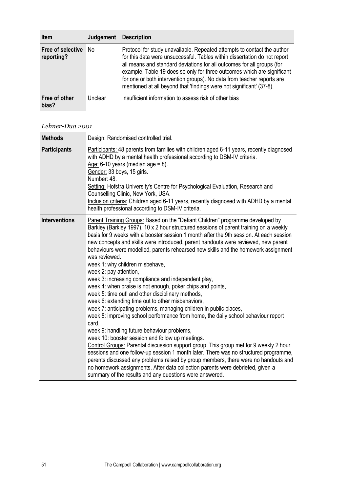| <b>Item</b>                            | Judgement | <b>Description</b>                                                                                                                                                                                                                                                                                                                                                                                                                                          |
|----------------------------------------|-----------|-------------------------------------------------------------------------------------------------------------------------------------------------------------------------------------------------------------------------------------------------------------------------------------------------------------------------------------------------------------------------------------------------------------------------------------------------------------|
| <b>Free of selective</b><br>reporting? | No.       | Protocol for study unavailable. Repeated attempts to contact the author<br>for this data were unsuccessful. Tables within dissertation do not report<br>all means and standard deviations for all outcomes for all groups (for<br>example, Table 19 does so only for three outcomes which are significant<br>for one or both intervention groups). No data from teacher reports are<br>mentioned at all beyond that 'findings were not significant' (37-8). |
| Free of other<br>bias?                 | Unclear   | Insufficient information to assess risk of other bias                                                                                                                                                                                                                                                                                                                                                                                                       |

#### *Lehner-Dua 2001*

| <b>Methods</b>       | Design: Randomised controlled trial.                                                                                                                                                                                                                                                                                                                                                                                                                                                                                                                                                                                                                                                                                                                                                                                                                                                                                                                                                                                                                                                                                                                                                                                                                                                                                                                                                                                                                    |  |
|----------------------|---------------------------------------------------------------------------------------------------------------------------------------------------------------------------------------------------------------------------------------------------------------------------------------------------------------------------------------------------------------------------------------------------------------------------------------------------------------------------------------------------------------------------------------------------------------------------------------------------------------------------------------------------------------------------------------------------------------------------------------------------------------------------------------------------------------------------------------------------------------------------------------------------------------------------------------------------------------------------------------------------------------------------------------------------------------------------------------------------------------------------------------------------------------------------------------------------------------------------------------------------------------------------------------------------------------------------------------------------------------------------------------------------------------------------------------------------------|--|
| <b>Participants</b>  | Participants: 48 parents from families with children aged 6-11 years, recently diagnosed<br>with ADHD by a mental health professional according to DSM-IV criteria.<br>Age: 6-10 years (median age = $8$ ).<br>Gender: 33 boys, 15 girls.<br>Number: 48.<br>Setting: Hofstra University's Centre for Psychological Evaluation, Research and<br>Counselling Clinic, New York, USA.<br>Inclusion criteria: Children aged 6-11 years, recently diagnosed with ADHD by a mental<br>health professional according to DSM-IV criteria.                                                                                                                                                                                                                                                                                                                                                                                                                                                                                                                                                                                                                                                                                                                                                                                                                                                                                                                        |  |
| <b>Interventions</b> | Parent Training Groups: Based on the "Defiant Children" programme developed by<br>Barkley (Barkley 1997). 10 x 2 hour structured sessions of parent training on a weekly<br>basis for 9 weeks with a booster session 1 month after the 9th session. At each session<br>new concepts and skills were introduced, parent handouts were reviewed, new parent<br>behaviours were modelled, parents rehearsed new skills and the homework assignment<br>was reviewed.<br>week 1: why children misbehave,<br>week 2: pay attention,<br>week 3: increasing compliance and independent play,<br>week 4: when praise is not enough, poker chips and points,<br>week 5: time out! and other disciplinary methods,<br>week 6: extending time out to other misbehaviors,<br>week 7: anticipating problems, managing children in public places,<br>week 8: improving school performance from home, the daily school behaviour report<br>card,<br>week 9: handling future behaviour problems,<br>week 10: booster session and follow up meetings.<br>Control Groups: Parental discussion support group. This group met for 9 weekly 2 hour<br>sessions and one follow-up session 1 month later. There was no structured programme,<br>parents discussed any problems raised by group members, there were no handouts and<br>no homework assignments. After data collection parents were debriefed, given a<br>summary of the results and any questions were answered. |  |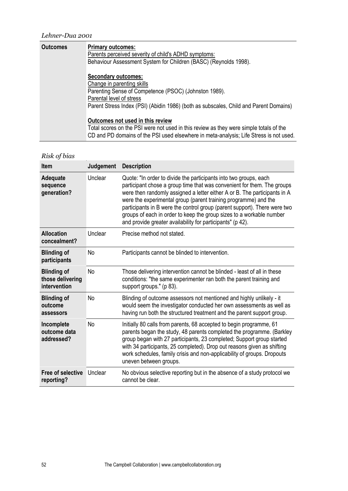#### *Lehner-Dua 2001*

| <b>Outcomes</b> | <b>Primary outcomes:</b>                                                                                                                                                         |  |  |
|-----------------|----------------------------------------------------------------------------------------------------------------------------------------------------------------------------------|--|--|
|                 | Parents perceived severity of child's ADHD symptoms:                                                                                                                             |  |  |
|                 | Behaviour Assessment System for Children (BASC) (Reynolds 1998).                                                                                                                 |  |  |
|                 | <b>Secondary outcomes:</b>                                                                                                                                                       |  |  |
|                 | Change in parenting skills                                                                                                                                                       |  |  |
|                 | Parenting Sense of Competence (PSOC) (Johnston 1989).                                                                                                                            |  |  |
|                 | Parental level of stress                                                                                                                                                         |  |  |
|                 | Parent Stress Index (PSI) (Abidin 1986) (both as subscales, Child and Parent Domains)                                                                                            |  |  |
|                 | Outcomes not used in this review                                                                                                                                                 |  |  |
|                 | Total scores on the PSI were not used in this review as they were simple totals of the<br>CD and PD domains of the PSI used elsewhere in meta-analysis; Life Stress is not used. |  |  |

| Risk of bias |  |
|--------------|--|
|              |  |

| <b>Item</b>                                            | Judgement | <b>Description</b>                                                                                                                                                                                                                                                                                                                                                                                                                                                                                              |
|--------------------------------------------------------|-----------|-----------------------------------------------------------------------------------------------------------------------------------------------------------------------------------------------------------------------------------------------------------------------------------------------------------------------------------------------------------------------------------------------------------------------------------------------------------------------------------------------------------------|
| <b>Adequate</b><br>sequence<br>generation?             | Unclear   | Quote: "In order to divide the participants into two groups, each<br>participant chose a group time that was convenient for them. The groups<br>were then randomly assigned a letter either A or B. The participants in A<br>were the experimental group (parent training programme) and the<br>participants in B were the control group (parent support). There were two<br>groups of each in order to keep the group sizes to a workable number<br>and provide greater availability for participants" (p 42). |
| <b>Allocation</b><br>concealment?                      | Unclear   | Precise method not stated.                                                                                                                                                                                                                                                                                                                                                                                                                                                                                      |
| <b>Blinding of</b><br>participants                     | No        | Participants cannot be blinded to intervention.                                                                                                                                                                                                                                                                                                                                                                                                                                                                 |
| <b>Blinding of</b><br>those delivering<br>intervention | <b>No</b> | Those delivering intervention cannot be blinded - least of all in these<br>conditions: "the same experimenter ran both the parent training and<br>support groups." (p 83).                                                                                                                                                                                                                                                                                                                                      |
| <b>Blinding of</b><br>outcome<br>assessors             | <b>No</b> | Blinding of outcome assessors not mentioned and highly unlikely - it<br>would seem the investigator conducted her own assessments as well as<br>having run both the structured treatment and the parent support group.                                                                                                                                                                                                                                                                                          |
| Incomplete<br>outcome data<br>addressed?               | <b>No</b> | Initially 80 calls from parents, 68 accepted to begin programme, 61<br>parents began the study, 48 parents completed the programme. (Barkley<br>group began with 27 participants, 23 completed; Support group started<br>with 34 participants, 25 completed). Drop out reasons given as shifting<br>work schedules, family crisis and non-applicability of groups. Dropouts<br>uneven between groups.                                                                                                           |
| <b>Free of selective</b><br>reporting?                 | Unclear   | No obvious selective reporting but in the absence of a study protocol we<br>cannot be clear.                                                                                                                                                                                                                                                                                                                                                                                                                    |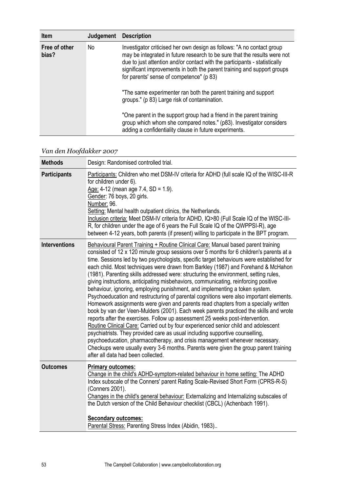| <b>Item</b>            | Judgement | <b>Description</b>                                                                                                                                                                                                                                                                                                                                                                                                                                                                                                                                                                                                                                                                   |
|------------------------|-----------|--------------------------------------------------------------------------------------------------------------------------------------------------------------------------------------------------------------------------------------------------------------------------------------------------------------------------------------------------------------------------------------------------------------------------------------------------------------------------------------------------------------------------------------------------------------------------------------------------------------------------------------------------------------------------------------|
| Free of other<br>bias? | No        | Investigator criticised her own design as follows: "A no contact group<br>may be integrated in future research to be sure that the results were not<br>due to just attention and/or contact with the participants - statistically<br>significant improvements in both the parent training and support groups<br>for parents' sense of competence" (p 83)<br>"The same experimenter ran both the parent training and support<br>groups." (p 83) Large risk of contamination.<br>"One parent in the support group had a friend in the parent training<br>group which whom she compared notes." (p83). Investigator considers<br>adding a confidentiality clause in future experiments. |

# *Van den Hoofdakker 2007*

| <b>Methods</b>       | Design: Randomised controlled trial.                                                                                                                                                                                                                                                                                                                                                                                                                                                                                                                                                                                                                                                                                                                                                                                                                                                                                                                                                                                                                                                                                                                                                                                                                                                                                                                                     |
|----------------------|--------------------------------------------------------------------------------------------------------------------------------------------------------------------------------------------------------------------------------------------------------------------------------------------------------------------------------------------------------------------------------------------------------------------------------------------------------------------------------------------------------------------------------------------------------------------------------------------------------------------------------------------------------------------------------------------------------------------------------------------------------------------------------------------------------------------------------------------------------------------------------------------------------------------------------------------------------------------------------------------------------------------------------------------------------------------------------------------------------------------------------------------------------------------------------------------------------------------------------------------------------------------------------------------------------------------------------------------------------------------------|
| <b>Participants</b>  | Participants: Children who met DSM-IV criteria for ADHD (full scale IQ of the WISC-III-R<br>for children under 6).<br>Age: $4-12$ (mean age $7.4$ , SD = 1.9).<br>Gender: 76 boys, 20 girls.<br>Number: 96.<br>Setting: Mental health outpatient clinics, the Netherlands.<br>Inclusion criteria: Meet DSM-IV criteria for ADHD, IQ>80 (Full Scale IQ of the WISC-III-<br>R, for children under the age of 6 years the Full Scale IQ of the QWPPSI-R), age<br>between 4-12 years, both parents (if present) willing to participate in the BPT program.                                                                                                                                                                                                                                                                                                                                                                                                                                                                                                                                                                                                                                                                                                                                                                                                                   |
| <b>Interventions</b> | Behavioural Parent Training + Routine Clinical Care: Manual based parent training<br>consisted of 12 x 120 minute group sessions over 5 months for 6 children's parents at a<br>time. Sessions led by two psychologists, specific target behaviours were established for<br>each child. Most techniques were drawn from Barkley (1987) and Forehand & McHahon<br>(1981). Parenting skills addressed were: structuring the environment, setting rules,<br>giving instructions, anticipating misbehaviors, communicating, reinforcing positive<br>behaviour, ignoring, employing punishment, and implementing a token system.<br>Psychoeducation and restructuring of parental cognitions were also important elements.<br>Homework assignments were given and parents read chapters from a specially written<br>book by van der Veen-Mulders (2001). Each week parents practiced the skills and wrote<br>reports after the exercises. Follow up assessment 25 weeks post-intervention.<br>Routine Clinical Care: Carried out by four experienced senior child and adolescent<br>psychiatrists. They provided care as usual including supportive counselling,<br>psychoeducation, pharmacotherapy, and crisis management whenever necessary.<br>Checkups were usually every 3-6 months. Parents were given the group parent training<br>after all data had been collected. |
| <b>Outcomes</b>      | <b>Primary outcomes:</b><br>Change in the child's ADHD-symptom-related behaviour in home setting: The ADHD<br>Index subscale of the Conners' parent Rating Scale-Revised Short Form (CPRS-R-S)<br>(Conners 2001).<br>Changes in the child's general behaviour: Externalizing and Internalizing subscales of<br>the Dutch version of the Child Behaviour checklist (CBCL) (Achenbach 1991).<br><b>Secondary outcomes:</b><br>Parental Stress: Parenting Stress Index (Abidin, 1983)                                                                                                                                                                                                                                                                                                                                                                                                                                                                                                                                                                                                                                                                                                                                                                                                                                                                                       |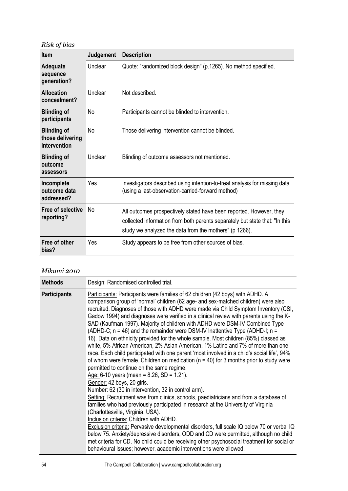# *Risk of bias*

| <b>Item</b>                                            | Judgement      | <b>Description</b>                                                                                                                                                                                           |
|--------------------------------------------------------|----------------|--------------------------------------------------------------------------------------------------------------------------------------------------------------------------------------------------------------|
| <b>Adequate</b><br>sequence<br>generation?             | Unclear        | Quote: "randomized block design" (p.1265). No method specified.                                                                                                                                              |
| <b>Allocation</b><br>concealment?                      | Unclear        | Not described.                                                                                                                                                                                               |
| <b>Blinding of</b><br>participants                     | N <sub>0</sub> | Participants cannot be blinded to intervention.                                                                                                                                                              |
| <b>Blinding of</b><br>those delivering<br>intervention | No             | Those delivering intervention cannot be blinded.                                                                                                                                                             |
| <b>Blinding of</b><br>outcome<br>assessors             | Unclear        | Blinding of outcome assessors not mentioned.                                                                                                                                                                 |
| Incomplete<br>outcome data<br>addressed?               | Yes            | Investigators described using intention-to-treat analysis for missing data<br>(using a last-observation-carried-forward method)                                                                              |
| <b>Free of selective</b><br>reporting?                 | N <sub>0</sub> | All outcomes prospectively stated have been reported. However, they<br>collected information from both parents separately but state that: "In this<br>study we analyzed the data from the mothers" (p 1266). |
| Free of other<br>bias?                                 | Yes            | Study appears to be free from other sources of bias.                                                                                                                                                         |

#### *Mikami 2010*

| <b>Methods</b>      | Design: Randomised controlled trial.                                                                                                                                                                                                                                                                                                                                                                                                                                                                                                                                                                                                                                                                                                                                                                                                                                                                                                                                                                                                                                                                                                                                                                                                                                                                                                                                                                                                                                                                                                                                                                                                                                                                          |
|---------------------|---------------------------------------------------------------------------------------------------------------------------------------------------------------------------------------------------------------------------------------------------------------------------------------------------------------------------------------------------------------------------------------------------------------------------------------------------------------------------------------------------------------------------------------------------------------------------------------------------------------------------------------------------------------------------------------------------------------------------------------------------------------------------------------------------------------------------------------------------------------------------------------------------------------------------------------------------------------------------------------------------------------------------------------------------------------------------------------------------------------------------------------------------------------------------------------------------------------------------------------------------------------------------------------------------------------------------------------------------------------------------------------------------------------------------------------------------------------------------------------------------------------------------------------------------------------------------------------------------------------------------------------------------------------------------------------------------------------|
| <b>Participants</b> | Participants: Participants were families of 62 children (42 boys) with ADHD. A<br>comparison group of 'normal' children (62 age- and sex-matched children) were also<br>recruited. Diagnoses of those with ADHD were made via Child Symptom Inventory (CSI,<br>Gadow 1994) and diagnoses were verified in a clinical review with parents using the K-<br>SAD (Kaufman 1997). Majority of children with ADHD were DSM-IV Combined Type<br>(ADHD-C; $n = 46$ ) and the remainder were DSM-IV Inattentive Type (ADHD-I; $n =$<br>16). Data on ethnicity provided for the whole sample. Most children (85%) classed as<br>white, 5% African American, 2% Asian American, 1% Latino and 7% of more than one<br>race. Each child participated with one parent 'most involved in a child's social life', 94%<br>of whom were female. Children on medication ( $n = 40$ ) for 3 months prior to study were<br>permitted to continue on the same regime.<br>Age: 6-10 years (mean = $8.26$ , SD = 1.21).<br>Gender: 42 boys, 20 girls.<br>Number: 62 (30 in intervention, 32 in control arm).<br>Setting: Recruitment was from clinics, schools, paediatricians and from a database of<br>families who had previously participated in research at the University of Virginia<br>(Charlottesville, Virginia, USA).<br>Inclusion criteria: Children with ADHD.<br>Exclusion criteria: Pervasive developmental disorders, full scale IQ below 70 or verbal IQ<br>below 75. Anxiety/depressive disorders, ODD and CD were permitted, although no child<br>met criteria for CD. No child could be receiving other psychosocial treatment for social or<br>behavioural issues; however, academic interventions were allowed. |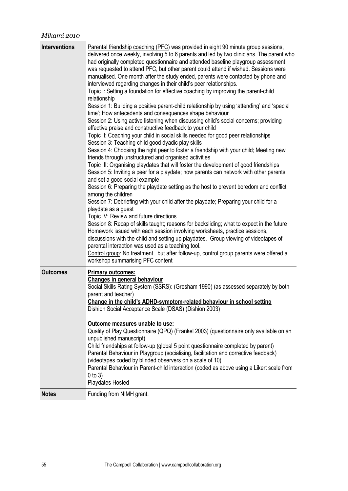#### *Mikami 2010*

| <b>Interventions</b> | Parental friendship coaching (PFC) was provided in eight 90 minute group sessions,<br>delivered once weekly, involving 5 to 6 parents and led by two clinicians. The parent who<br>had originally completed questionnaire and attended baseline playgroup assessment<br>was requested to attend PFC, but other parent could attend if wished. Sessions were<br>manualised. One month after the study ended, parents were contacted by phone and<br>interviewed regarding changes in their child's peer relationships.<br>Topic I: Setting a foundation for effective coaching by improving the parent-child<br>relationship<br>Session 1: Building a positive parent-child relationship by using 'attending' and 'special<br>time'; How antecedents and consequences shape behaviour<br>Session 2: Using active listening when discussing child's social concerns; providing<br>effective praise and constructive feedback to your child<br>Topic II: Coaching your child in social skills needed for good peer relationships<br>Session 3: Teaching child good dyadic play skills<br>Session 4: Choosing the right peer to foster a friendship with your child; Meeting new<br>friends through unstructured and organised activities<br>Topic III: Organising playdates that will foster the development of good friendships<br>Session 5: Inviting a peer for a playdate; how parents can network with other parents<br>and set a good social example<br>Session 6: Preparing the playdate setting as the host to prevent boredom and conflict<br>among the children<br>Session 7: Debriefing with your child after the playdate; Preparing your child for a<br>playdate as a guest<br>Topic IV: Review and future directions<br>Session 8: Recap of skills taught; reasons for backsliding; what to expect in the future<br>Homework issued with each session involving worksheets, practice sessions,<br>discussions with the child and setting up playdates. Group viewing of videotapes of<br>parental interaction was used as a teaching tool.<br>Control group: No treatment, but after follow-up, control group parents were offered a<br>workshop summarising PFC content |
|----------------------|-------------------------------------------------------------------------------------------------------------------------------------------------------------------------------------------------------------------------------------------------------------------------------------------------------------------------------------------------------------------------------------------------------------------------------------------------------------------------------------------------------------------------------------------------------------------------------------------------------------------------------------------------------------------------------------------------------------------------------------------------------------------------------------------------------------------------------------------------------------------------------------------------------------------------------------------------------------------------------------------------------------------------------------------------------------------------------------------------------------------------------------------------------------------------------------------------------------------------------------------------------------------------------------------------------------------------------------------------------------------------------------------------------------------------------------------------------------------------------------------------------------------------------------------------------------------------------------------------------------------------------------------------------------------------------------------------------------------------------------------------------------------------------------------------------------------------------------------------------------------------------------------------------------------------------------------------------------------------------------------------------------------------------------------------------------------------------------------------------------------------------------------------------------------------------------|
| <b>Outcomes</b>      | <b>Primary outcomes:</b><br><b>Changes in general behaviour</b><br>Social Skills Rating System (SSRS): (Gresham 1990) (as assessed separately by both<br>parent and teacher)<br>Change in the child's ADHD-symptom-related behaviour in school setting<br>Dishion Social Acceptance Scale (DSAS) (Dishion 2003)<br>Outcome measures unable to use:<br>Quality of Play Questionnaire (QPQ) (Frankel 2003) (questionnaire only available on an<br>unpublished manuscript)<br>Child friendships at follow-up (global 5 point questionnaire completed by parent)<br>Parental Behaviour in Playgroup (socialising, facilitation and corrective feedback)<br>(videotapes coded by blinded observers on a scale of 10)<br>Parental Behaviour in Parent-child interaction (coded as above using a Likert scale from<br>$0$ to 3)<br>Playdates Hosted                                                                                                                                                                                                                                                                                                                                                                                                                                                                                                                                                                                                                                                                                                                                                                                                                                                                                                                                                                                                                                                                                                                                                                                                                                                                                                                                        |
| <b>Notes</b>         | Funding from NIMH grant.                                                                                                                                                                                                                                                                                                                                                                                                                                                                                                                                                                                                                                                                                                                                                                                                                                                                                                                                                                                                                                                                                                                                                                                                                                                                                                                                                                                                                                                                                                                                                                                                                                                                                                                                                                                                                                                                                                                                                                                                                                                                                                                                                            |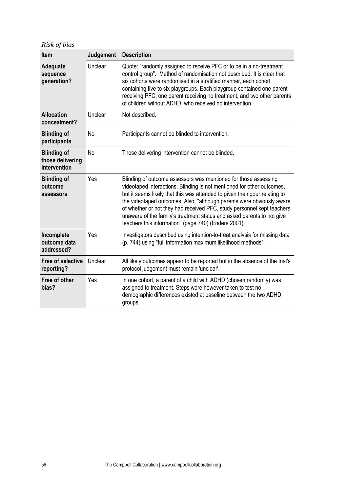*Risk of bias*

| <b>Item</b>                                            | Judgement | <b>Description</b>                                                                                                                                                                                                                                                                                                                                                                                                                                                                                           |
|--------------------------------------------------------|-----------|--------------------------------------------------------------------------------------------------------------------------------------------------------------------------------------------------------------------------------------------------------------------------------------------------------------------------------------------------------------------------------------------------------------------------------------------------------------------------------------------------------------|
| <b>Adequate</b><br>sequence<br>generation?             | Unclear   | Quote: "randomly assigned to receive PFC or to be in a no-treatment<br>control group". Method of randomisation not described. It is clear that<br>six cohorts were randomised in a stratified manner, each cohort<br>containing five to six playgroups. Each playgroup contained one parent<br>receiving PFC, one parent receiving no treatment, and two other parents<br>of children without ADHD, who received no intervention.                                                                            |
| <b>Allocation</b><br>concealment?                      | Unclear   | Not described.                                                                                                                                                                                                                                                                                                                                                                                                                                                                                               |
| <b>Blinding of</b><br>participants                     | No        | Participants cannot be blinded to intervention.                                                                                                                                                                                                                                                                                                                                                                                                                                                              |
| <b>Blinding of</b><br>those delivering<br>intervention | No        | Those delivering intervention cannot be blinded.                                                                                                                                                                                                                                                                                                                                                                                                                                                             |
| <b>Blinding of</b><br>outcome<br>assessors             | Yes       | Blinding of outcome assessors was mentioned for those assessing<br>videotaped interactions. Blinding is not mentioned for other outcomes,<br>but it seems likely that this was attended to given the rigour relating to<br>the videotaped outcomes. Also, "although parents were obviously aware<br>of whether or not they had received PFC, study personnel kept teachers<br>unaware of the family's treatment status and asked parents to not give<br>teachers this information" (page 740) (Enders 2001). |
| Incomplete<br>outcome data<br>addressed?               | Yes       | Investigators described using intention-to-treat analysis for missing data<br>(p. 744) using "full information maximum likelihood methods".                                                                                                                                                                                                                                                                                                                                                                  |
| <b>Free of selective</b><br>reporting?                 | Unclear   | All likely outcomes appear to be reported but in the absence of the trial's<br>protocol judgement must remain 'unclear'.                                                                                                                                                                                                                                                                                                                                                                                     |
| Free of other<br>bias?                                 | Yes       | In one cohort, a parent of a child with ADHD (chosen randomly) was<br>assigned to treatment. Steps were however taken to test no<br>demographic differences existed at baseline between the two ADHD<br>groups.                                                                                                                                                                                                                                                                                              |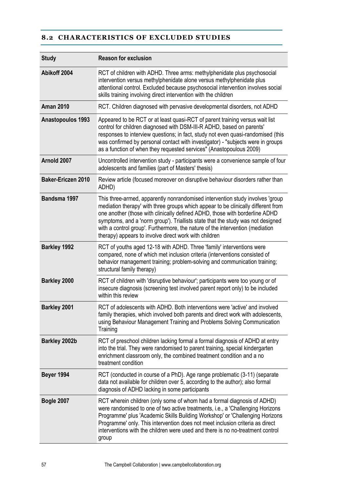# **8.2 CHARACTERISTICS OF EXCLUDED STUDIES**

| <b>Study</b>              | <b>Reason for exclusion</b>                                                                                                                                                                                                                                                                                                                                                                                                                                                    |
|---------------------------|--------------------------------------------------------------------------------------------------------------------------------------------------------------------------------------------------------------------------------------------------------------------------------------------------------------------------------------------------------------------------------------------------------------------------------------------------------------------------------|
| Abikoff 2004              | RCT of children with ADHD. Three arms: methylphenidate plus psychosocial<br>intervention versus methylphenidate alone versus methylphenidate plus<br>attentional control. Excluded because psychosocial intervention involves social<br>skills training involving direct intervention with the children                                                                                                                                                                        |
| <b>Aman 2010</b>          | RCT. Children diagnosed with pervasive developmental disorders, not ADHD                                                                                                                                                                                                                                                                                                                                                                                                       |
| <b>Anastopoulos 1993</b>  | Appeared to be RCT or at least quasi-RCT of parent training versus wait list<br>control for children diagnosed with DSM-III-R ADHD, based on parents'<br>responses to interview questions; in fact, study not even quasi-randomised (this<br>was confirmed by personal contact with investigator) - "subjects were in groups<br>as a function of when they requested services" (Anastopoulous 2009)                                                                            |
| Arnold 2007               | Uncontrolled intervention study - participants were a convenience sample of four<br>adolescents and families (part of Masters' thesis)                                                                                                                                                                                                                                                                                                                                         |
| <b>Baker-Ericzen 2010</b> | Review article (focused moreover on disruptive behaviour disorders rather than<br>ADHD)                                                                                                                                                                                                                                                                                                                                                                                        |
| Bandsma 1997              | This three-armed, apparently nonrandomised intervention study involves 'group<br>mediation therapy' with three groups which appear to be clinically different from<br>one another (those with clinically defined ADHD, those with borderline ADHD<br>symptoms, and a 'norm group'). Triallists state that the study was not designed<br>with a control group'. Furthermore, the nature of the intervention (mediation<br>therapy) appears to involve direct work with children |
| <b>Barkley 1992</b>       | RCT of youths aged 12-18 with ADHD. Three 'family' interventions were<br>compared, none of which met inclusion criteria (interventions consisted of<br>behavior management training; problem-solving and communication training;<br>structural family therapy)                                                                                                                                                                                                                 |
| <b>Barkley 2000</b>       | RCT of children with 'disruptive behaviour'; participants were too young or of<br>insecure diagnosis (screening test involved parent report only) to be included<br>within this review                                                                                                                                                                                                                                                                                         |
| Barkley 2001              | RCT of adolescents with ADHD. Both interventions were 'active' and involved<br>family therapies, which involved both parents and direct work with adolescents,<br>using Behaviour Management Training and Problems Solving Communication<br>Training                                                                                                                                                                                                                           |
| Barkley 2002b             | RCT of preschool children lacking formal a formal diagnosis of ADHD at entry<br>into the trial. They were randomised to parent training, special kindergarten<br>enrichment classroom only, the combined treatment condition and a no<br>treatment condition                                                                                                                                                                                                                   |
| <b>Beyer 1994</b>         | RCT (conducted in course of a PhD). Age range problematic (3-11) (separate<br>data not available for children over 5, according to the author); also formal<br>diagnosis of ADHD lacking in some participants                                                                                                                                                                                                                                                                  |
| <b>Bogle 2007</b>         | RCT wherein children (only some of whom had a formal diagnosis of ADHD)<br>were randomised to one of two active treatments, i.e., a 'Challenging Horizons'<br>Programme' plus 'Academic Skills Building Workshop' or 'Challenging Horizons<br>Programme' only. This intervention does not meet inclusion criteria as direct<br>interventions with the children were used and there is no no-treatment control<br>group                                                         |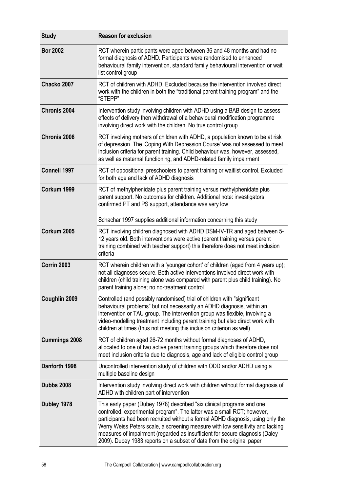| <b>Study</b>         | <b>Reason for exclusion</b>                                                                                                                                                                                                                                                                                                                                                                                                                                                     |
|----------------------|---------------------------------------------------------------------------------------------------------------------------------------------------------------------------------------------------------------------------------------------------------------------------------------------------------------------------------------------------------------------------------------------------------------------------------------------------------------------------------|
| <b>Bor 2002</b>      | RCT wherein participants were aged between 36 and 48 months and had no<br>formal diagnosis of ADHD. Participants were randomised to enhanced<br>behavioural family intervention, standard family behavioural intervention or wait<br>list control group                                                                                                                                                                                                                         |
| Chacko 2007          | RCT of children with ADHD. Excluded because the intervention involved direct<br>work with the children in both the "traditional parent training program" and the<br>"STEPP"                                                                                                                                                                                                                                                                                                     |
| Chronis 2004         | Intervention study involving children with ADHD using a BAB design to assess<br>effects of delivery then withdrawal of a behavioural modification programme<br>involving direct work with the children. No true control group                                                                                                                                                                                                                                                   |
| Chronis 2006         | RCT involving mothers of children with ADHD, a population known to be at risk<br>of depression. The 'Coping With Depression Course' was not assessed to meet<br>inclusion criteria for parent training. Child behaviour was, however, assessed,<br>as well as maternal functioning, and ADHD-related family impairment                                                                                                                                                          |
| Connell 1997         | RCT of oppositional preschoolers to parent training or waitlist control. Excluded<br>for both age and lack of ADHD diagnosis                                                                                                                                                                                                                                                                                                                                                    |
| Corkum 1999          | RCT of methylphenidate plus parent training versus methylphenidate plus<br>parent support. No outcomes for children. Additional note: investigators<br>confirmed PT and PS support, attendance was very low                                                                                                                                                                                                                                                                     |
|                      | Schachar 1997 supplies additional information concerning this study                                                                                                                                                                                                                                                                                                                                                                                                             |
| Corkum 2005          | RCT involving children diagnosed with ADHD DSM-IV-TR and aged between 5-<br>12 years old. Both interventions were active (parent training versus parent<br>training combined with teacher support) this therefore does not meet inclusion<br>criteria                                                                                                                                                                                                                           |
| Corrin 2003          | RCT wherein children with a 'younger cohort' of children (aged from 4 years up);<br>not all diagnoses secure. Both active interventions involved direct work with<br>children (child training alone was compared with parent plus child training). No<br>parent training alone; no no-treatment control                                                                                                                                                                         |
| Coughlin 2009        | Controlled (and possibly randomised) trial of children with "significant<br>behavioural problems" but not necessarily an ADHD diagnosis, within an<br>intervention or TAU group. The intervention group was flexible, involving a<br>video-modelling treatment including parent training but also direct work with<br>children at times (thus not meeting this inclusion criterion as well)                                                                                     |
| <b>Cummings 2008</b> | RCT of children aged 26-72 months without formal diagnoses of ADHD,<br>allocated to one of two active parent training groups which therefore does not<br>meet inclusion criteria due to diagnosis, age and lack of eligible control group                                                                                                                                                                                                                                       |
| Danforth 1998        | Uncontrolled intervention study of children with ODD and/or ADHD using a<br>multiple baseline design                                                                                                                                                                                                                                                                                                                                                                            |
| <b>Dubbs 2008</b>    | Intervention study involving direct work with children without formal diagnosis of<br>ADHD with children part of intervention                                                                                                                                                                                                                                                                                                                                                   |
| Dubley 1978          | This early paper (Dubey 1978) described "six clinical programs and one<br>controlled, experimental program". The latter was a small RCT; however,<br>participants had been recruited without a formal ADHD diagnosis, using only the<br>Werry Weiss Peters scale, a screening measure with low sensitivity and lacking<br>measures of impairment (regarded as insufficient for secure diagnosis (Daley<br>2009). Dubey 1983 reports on a subset of data from the original paper |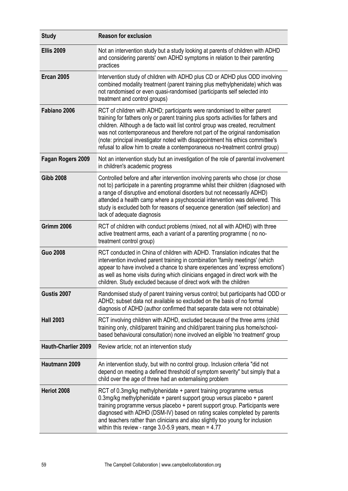| <b>Study</b>               | <b>Reason for exclusion</b>                                                                                                                                                                                                                                                                                                                                                                                                                                                                         |
|----------------------------|-----------------------------------------------------------------------------------------------------------------------------------------------------------------------------------------------------------------------------------------------------------------------------------------------------------------------------------------------------------------------------------------------------------------------------------------------------------------------------------------------------|
| <b>Ellis 2009</b>          | Not an intervention study but a study looking at parents of children with ADHD<br>and considering parents' own ADHD symptoms in relation to their parenting<br>practices                                                                                                                                                                                                                                                                                                                            |
| <b>Ercan 2005</b>          | Intervention study of children with ADHD plus CD or ADHD plus ODD involving<br>combined modality treatment (parent training plus methylphenidate) which was<br>not randomised or even quasi-randomised (participants self selected into<br>treatment and control groups)                                                                                                                                                                                                                            |
| Fabiano 2006               | RCT of children with ADHD; participants were randomised to either parent<br>training for fathers only or parent training plus sports activities for fathers and<br>children. Although a de facto wait list control group was created, recruitment<br>was not contemporaneous and therefore not part of the original randomisation<br>(note: principal investigator noted with disappointment his ethics committee's<br>refusal to allow him to create a contemporaneous no-treatment control group) |
| Fagan Rogers 2009          | Not an intervention study but an investigation of the role of parental involvement<br>in children's academic progress                                                                                                                                                                                                                                                                                                                                                                               |
| <b>Gibb 2008</b>           | Controlled before and after intervention involving parents who chose (or chose<br>not to) participate in a parenting programme whilst their children (diagnosed with<br>a range of disruptive and emotional disorders but not necessarily ADHD)<br>attended a health camp where a psychosocial intervention was delivered. This<br>study is excluded both for reasons of sequence generation (self selection) and<br>lack of adequate diagnosis                                                     |
| <b>Grimm 2006</b>          | RCT of children with conduct problems (mixed, not all with ADHD) with three<br>active treatment arms, each a variant of a parenting programme (no no-<br>treatment control group)                                                                                                                                                                                                                                                                                                                   |
| <b>Guo 2008</b>            | RCT conducted in China of children with ADHD. Translation indicates that the<br>intervention involved parent training in combination 'family meetings' (which<br>appear to have involved a chance to share experiences and 'express emotions')<br>as well as home visits during which clinicians engaged in direct work with the<br>children. Study excluded because of direct work with the children                                                                                               |
| Gustis 2007                | Randomised study of parent training versus control; but participants had ODD or<br>ADHD; subset data not available so excluded on the basis of no formal<br>diagnosis of ADHD (author confirmed that separate data were not obtainable)                                                                                                                                                                                                                                                             |
| <b>Hall 2003</b>           | RCT involving children with ADHD, excluded because of the three arms (child<br>training only, child/parent training and child/parent training plus home/school-<br>based behavioural consultation) none involved an eligible 'no treatment' group                                                                                                                                                                                                                                                   |
| <b>Hauth-Charlier 2009</b> | Review article; not an intervention study                                                                                                                                                                                                                                                                                                                                                                                                                                                           |
| Hautmann 2009              | An intervention study, but with no control group. Inclusion criteria "did not<br>depend on meeting a defined threshold of symptom severity" but simply that a<br>child over the age of three had an externalising problem                                                                                                                                                                                                                                                                           |
| Heriot 2008                | RCT of 0.3mg/kg methylphenidate + parent training programme versus<br>0.3mg/kg methylphenidate + parent support group versus placebo + parent<br>training programme versus placebo + parent support group. Participants were<br>diagnosed with ADHD (DSM-IV) based on rating scales completed by parents<br>and teachers rather than clinicians and also slightly too young for inclusion<br>within this review - range $3.0 - 5.9$ years, mean = $4.77$                                            |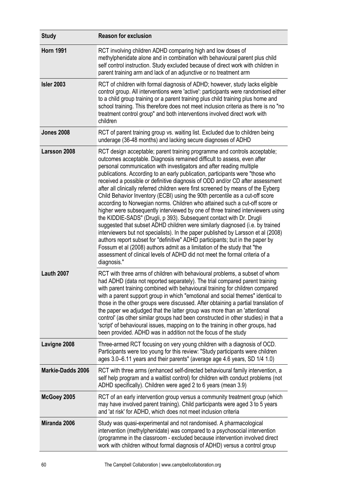| <b>Study</b>             | <b>Reason for exclusion</b>                                                                                                                                                                                                                                                                                                                                                                                                                                                                                                                                                                                                                                                                                                                                                                                                                                                                                                                                                                                                                                                                                                                                                                                                                    |
|--------------------------|------------------------------------------------------------------------------------------------------------------------------------------------------------------------------------------------------------------------------------------------------------------------------------------------------------------------------------------------------------------------------------------------------------------------------------------------------------------------------------------------------------------------------------------------------------------------------------------------------------------------------------------------------------------------------------------------------------------------------------------------------------------------------------------------------------------------------------------------------------------------------------------------------------------------------------------------------------------------------------------------------------------------------------------------------------------------------------------------------------------------------------------------------------------------------------------------------------------------------------------------|
| <b>Horn 1991</b>         | RCT involving children ADHD comparing high and low doses of<br>methylphenidate alone and in combination with behavioural parent plus child<br>self control instruction. Study excluded because of direct work with children in<br>parent training arm and lack of an adjunctive or no treatment arm                                                                                                                                                                                                                                                                                                                                                                                                                                                                                                                                                                                                                                                                                                                                                                                                                                                                                                                                            |
| <b>Isler 2003</b>        | RCT of children with formal diagnosis of ADHD; however, study lacks eligible<br>control group. All interventions were 'active': participants were randomised either<br>to a child group training or a parent training plus child training plus home and<br>school training. This therefore does not meet inclusion criteria as there is no "no<br>treatment control group" and both interventions involved direct work with<br>children                                                                                                                                                                                                                                                                                                                                                                                                                                                                                                                                                                                                                                                                                                                                                                                                        |
| <b>Jones 2008</b>        | RCT of parent training group vs. waiting list. Excluded due to children being<br>underage (36-48 months) and lacking secure diagnoses of ADHD                                                                                                                                                                                                                                                                                                                                                                                                                                                                                                                                                                                                                                                                                                                                                                                                                                                                                                                                                                                                                                                                                                  |
| Larsson 2008             | RCT design acceptable; parent training programme and controls acceptable;<br>outcomes acceptable. Diagnosis remained difficult to assess, even after<br>personal communication with investigators and after reading multiple<br>publications. According to an early publication, participants were "those who<br>received a possible or definitive diagnosis of ODD and/or CD after assessment<br>after all clinically referred children were first screened by means of the Eyberg<br>Child Behavior Inventory (ECBI) using the 90th percentile as a cut-off score<br>according to Norwegian norms. Children who attained such a cut-off score or<br>higher were subsequently interviewed by one of three trained interviewers using<br>the KIDDIE-SADS" (Drugli, p 393). Subsequent contact with Dr. Drugli<br>suggested that subset ADHD children were similarly diagnosed (i.e. by trained<br>interviewers but not specialists). In the paper published by Larsson et al (2008)<br>authors report subset for "definitive" ADHD participants; but in the paper by<br>Fossum et al (2008) authors admit as a limitation of the study that "the<br>assessment of clinical levels of ADHD did not meet the formal criteria of a<br>diagnosis." |
| <b>Lauth 2007</b>        | RCT with three arms of children with behavioural problems, a subset of whom<br>had ADHD (data not reported separately). The trial compared parent training<br>with parent training combined with behavioural training for children compared<br>with a parent support group in which "emotional and social themes" identical to<br>those in the other groups were discussed. After obtaining a partial translation of<br>the paper we adjudged that the latter group was more than an 'attentional<br>control' (as other similar groups had been constructed in other studies) in that a<br>'script' of behavioural issues, mapping on to the training in other groups, had<br>been provided. ADHD was in addition not the focus of the study                                                                                                                                                                                                                                                                                                                                                                                                                                                                                                   |
| Lavigne 2008             | Three-armed RCT focusing on very young children with a diagnosis of OCD.<br>Participants were too young for this review: "Study participants were children<br>ages 3.0–6.11 years and their parents" (average age 4.6 years, SD 1/4 1.0)                                                                                                                                                                                                                                                                                                                                                                                                                                                                                                                                                                                                                                                                                                                                                                                                                                                                                                                                                                                                       |
| <b>Markie-Dadds 2006</b> | RCT with three arms (enhanced self-directed behavioural family intervention, a<br>self help program and a waitlist control) for children with conduct problems (not<br>ADHD specifically). Children were aged 2 to 6 years (mean 3.9)                                                                                                                                                                                                                                                                                                                                                                                                                                                                                                                                                                                                                                                                                                                                                                                                                                                                                                                                                                                                          |
| McGoey 2005              | RCT of an early intervention group versus a community treatment group (which<br>may have involved parent training). Child participants were aged 3 to 5 years<br>and 'at risk' for ADHD, which does not meet inclusion criteria                                                                                                                                                                                                                                                                                                                                                                                                                                                                                                                                                                                                                                                                                                                                                                                                                                                                                                                                                                                                                |
| Miranda 2006             | Study was quasi-experimental and not randomised. A pharmacological<br>intervention (methylphenidate) was compared to a psychosocial intervention<br>(programme in the classroom - excluded because intervention involved direct<br>work with children without formal diagnosis of ADHD) versus a control group                                                                                                                                                                                                                                                                                                                                                                                                                                                                                                                                                                                                                                                                                                                                                                                                                                                                                                                                 |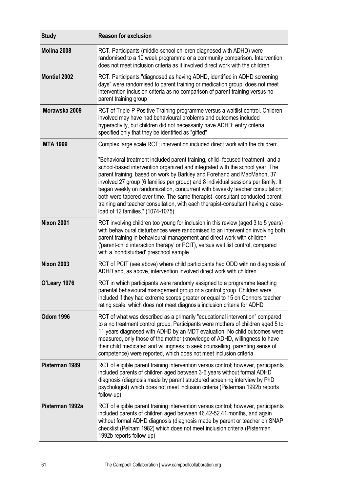| <b>Study</b>        | <b>Reason for exclusion</b>                                                                                                                                                                                                                                                                                                                                                                                                                                                                                                                                                                                               |
|---------------------|---------------------------------------------------------------------------------------------------------------------------------------------------------------------------------------------------------------------------------------------------------------------------------------------------------------------------------------------------------------------------------------------------------------------------------------------------------------------------------------------------------------------------------------------------------------------------------------------------------------------------|
| Molina 2008         | RCT. Participants (middle-school children diagnosed with ADHD) were<br>randomised to a 10 week programme or a community comparison. Intervention<br>does not meet inclusion criteria as it involved direct work with the children                                                                                                                                                                                                                                                                                                                                                                                         |
| <b>Montiel 2002</b> | RCT. Participants "diagnosed as having ADHD, identified in ADHD screening<br>days" were randomised to parent training or medication group; does not meet<br>intervention inclusion criteria as no comparison of parent training versus no<br>parent training group                                                                                                                                                                                                                                                                                                                                                        |
| Morawska 2009       | RCT of Triple-P Positive Training programme versus a waitlist control. Children<br>involved may have had behavioural problems and outcomes included<br>hyperactivity, but children did not necessarily have ADHD; entry criteria<br>specified only that they be identified as "gifted"                                                                                                                                                                                                                                                                                                                                    |
| <b>MTA 1999</b>     | Complex large scale RCT; intervention included direct work with the children:                                                                                                                                                                                                                                                                                                                                                                                                                                                                                                                                             |
|                     | "Behavioral treatment included parent training, child- focused treatment, and a<br>school-based intervention organized and integrated with the school year. The<br>parent training, based on work by Barkley and Forehand and MacMahon, 37<br>involved 27 group (6 families per group) and 8 individual sessions per family. It<br>began weekly on randomization, concurrent with biweekly teacher consultation;<br>both were tapered over time. The same therapist- consultant conducted parent<br>training and teacher consultation, with each therapist-consultant having a case-<br>load of 12 families." (1074-1075) |
| <b>Nixon 2001</b>   | RCT involving children too young for inclusion in this review (aged 3 to 5 years)<br>with behavioural disturbances were randomised to an intervention involving both<br>parent training in behavioural management and direct work with children<br>('parent-child interaction therapy' or PCIT), versus wait list control, compared<br>with a 'nondisturbed' preschool sample                                                                                                                                                                                                                                             |
| <b>Nixon 2003</b>   | RCT of PCIT (see above) where child participants had ODD with no diagnosis of<br>ADHD and, as above, intervention involved direct work with children                                                                                                                                                                                                                                                                                                                                                                                                                                                                      |
| O'Leary 1976        | RCT in which participants were randomly assigned to a programme teaching<br>parental behavioural management group or a control group. Children were<br>included if they had extreme scores greater or equal to 15 on Connors teacher<br>rating scale, which does not meet diagnosis inclusion criteria for ADHD                                                                                                                                                                                                                                                                                                           |
| <b>Odom 1996</b>    | RCT of what was described as a primarily "educational intervention" compared<br>to a no treatment control group. Participants were mothers of children aged 5 to<br>11 years diagnosed with ADHD by an MDT evaluation. No child outcomes were<br>measured, only those of the mother (knowledge of ADHD, willingness to have<br>their child medicated and willingness to seek counselling, parenting sense of<br>competence) were reported, which does not meet inclusion criteria                                                                                                                                         |
| Pisterman 1989      | RCT of eligible parent training intervention versus control; however, participants<br>included parents of children aged between 3-6 years without formal ADHD<br>diagnosis (diagnosis made by parent structured screening interview by PhD<br>psychologist) which does not meet inclusion criteria (Pisterman 1992b reports<br>follow-up)                                                                                                                                                                                                                                                                                 |
| Pisterman 1992a     | RCT of eligible parent training intervention versus control; however, participants<br>included parents of children aged between 46.42-52.41 months, and again<br>without formal ADHD diagnosis (diagnosis made by parent or teacher on SNAP<br>checklist (Pelham 1982) which does not meet inclusion criteria (Pisterman<br>1992b reports follow-up)                                                                                                                                                                                                                                                                      |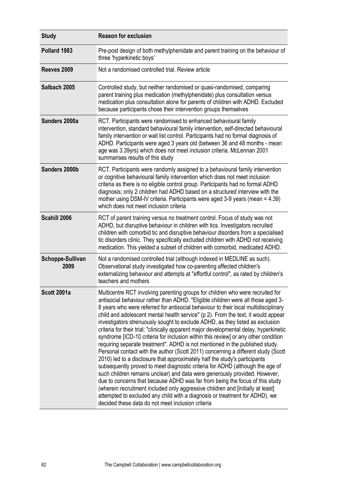| <b>Study</b>             | <b>Reason for exclusion</b>                                                                                                                                                                                                                                                                                                                                                                                                                                                                                                                                                                                                                                                                                                                                                                                                                                                                                                                                                                                                                                                                                                                                                                                                                                                                                                              |
|--------------------------|------------------------------------------------------------------------------------------------------------------------------------------------------------------------------------------------------------------------------------------------------------------------------------------------------------------------------------------------------------------------------------------------------------------------------------------------------------------------------------------------------------------------------------------------------------------------------------------------------------------------------------------------------------------------------------------------------------------------------------------------------------------------------------------------------------------------------------------------------------------------------------------------------------------------------------------------------------------------------------------------------------------------------------------------------------------------------------------------------------------------------------------------------------------------------------------------------------------------------------------------------------------------------------------------------------------------------------------|
| Pollard 1983             | Pre-post design of both methylphenidate and parent training on the behaviour of<br>three 'hyperkinetic boys'                                                                                                                                                                                                                                                                                                                                                                                                                                                                                                                                                                                                                                                                                                                                                                                                                                                                                                                                                                                                                                                                                                                                                                                                                             |
| Reeves 2009              | Not a randomised controlled trial. Review article                                                                                                                                                                                                                                                                                                                                                                                                                                                                                                                                                                                                                                                                                                                                                                                                                                                                                                                                                                                                                                                                                                                                                                                                                                                                                        |
| Salbach 2005             | Controlled study, but neither randomised or quasi-randomised, comparing<br>parent training plus medication (methylphenidate) plus consultation versus<br>medication plus consultation alone for parents of children with ADHD. Excluded<br>because participants chose their intervention groups themselves                                                                                                                                                                                                                                                                                                                                                                                                                                                                                                                                                                                                                                                                                                                                                                                                                                                                                                                                                                                                                               |
| Sanders 2000a            | RCT. Participants were randomised to enhanced behavioural family<br>intervention, standard behavioural family intervention, self-directed behavioural<br>family intervention or wait list control. Participants had no formal diagnosis of<br>ADHD. Participants were aged 3 years old (between 36 and 48 months - mean<br>age was 3.39yrs) which does not meet inclusion criteria. McLennan 2001<br>summarises results of this study                                                                                                                                                                                                                                                                                                                                                                                                                                                                                                                                                                                                                                                                                                                                                                                                                                                                                                    |
| Sanders 2000b            | RCT. Participants were randomly assigned to a behavioural family intervention<br>or cognitive behavioural family intervention which does not meet inclusion<br>criteria as there is no eligible control group. Participants had no formal ADHD<br>diagnosis; only 2 children had ADHD based on a structured interview with the<br>mother using DSM-IV criteria. Participants were aged 3-9 years (mean $= 4.39$ )<br>which does not meet inclusion criteria                                                                                                                                                                                                                                                                                                                                                                                                                                                                                                                                                                                                                                                                                                                                                                                                                                                                              |
| Scahill 2006             | RCT of parent training versus no treatment control. Focus of study was not<br>ADHD, but disruptive behaviour in children with tics. Investigators recruited<br>children with comorbid tic and disruptive behaviour disorders from a specialised<br>tic disorders clinic. They specifically excluded children with ADHD not receiving<br>medication. This yielded a subset of children with comorbid, medicated ADHD.                                                                                                                                                                                                                                                                                                                                                                                                                                                                                                                                                                                                                                                                                                                                                                                                                                                                                                                     |
| Schoppe-Sullivan<br>2009 | Not a randomised controlled trial (although indexed in MEDLINE as such).<br>Observational study investigated how co-parenting affected children's<br>externalizing behaviour and attempts at "effortful control", as rated by children's<br>teachers and mothers                                                                                                                                                                                                                                                                                                                                                                                                                                                                                                                                                                                                                                                                                                                                                                                                                                                                                                                                                                                                                                                                         |
| <b>Scott 2001a</b>       | Multicentre RCT involving parenting groups for children who were recruited for<br>antisocial behaviour rather than ADHD. "Eligible children were all those aged 3-<br>8 years who were referred for antisocial behaviour to their local multidisciplinary<br>child and adolescent mental health service" (p 2). From the text, it would appear<br>investigators strenuously sought to exclude ADHD, as they listed as exclusion<br>criteria for their trial: "clinically apparent major developmental delay, hyperkinetic<br>syndrome [ICD-10 criteria for inclusion within this review] or any other condition<br>requiring separate treatment". ADHD is not mentioned in the published study.<br>Personal contact with the author (Scott 2011) concerning a different study (Scott<br>2010) led to a disclosure that approximately half the study's participants<br>subsequently proved to meet diagnostic criteria for ADHD (although the age of<br>such children remains unclear) and data were generously provided. However,<br>due to concerns that because ADHD was far from being the focus of this study<br>(wherein recruitment included only aggressive children and [initially at least]<br>attempted to excluded any child with a diagnosis or treatment for ADHD), we<br>decided these data do not meet inclusion criteria |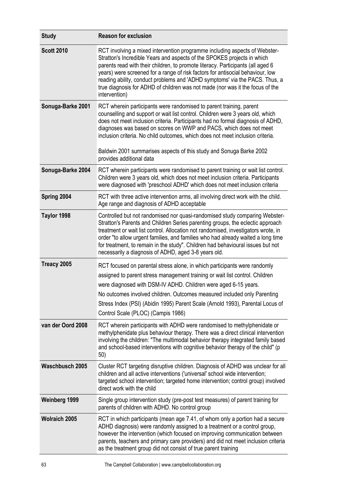| <b>Study</b>         | <b>Reason for exclusion</b>                                                                                                                                                                                                                                                                                                                                                                                                                                                                                 |
|----------------------|-------------------------------------------------------------------------------------------------------------------------------------------------------------------------------------------------------------------------------------------------------------------------------------------------------------------------------------------------------------------------------------------------------------------------------------------------------------------------------------------------------------|
| <b>Scott 2010</b>    | RCT involving a mixed intervention programme including aspects of Webster-<br>Stratton's Incredible Years and aspects of the SPOKES projects in which<br>parents read with their children, to promote literacy. Participants (all aged 6<br>years) were screened for a range of risk factors for antisocial behaviour, low<br>reading ability, conduct problems and 'ADHD symptoms' via the PACS. Thus, a<br>true diagnosis for ADHD of children was not made (nor was it the focus of the<br>intervention) |
| Sonuga-Barke 2001    | RCT wherein participants were randomised to parent training, parent<br>counselling and support or wait list control. Children were 3 years old, which<br>does not meet inclusion criteria. Participants had no formal diagnosis of ADHD,<br>diagnoses was based on scores on WWP and PACS, which does not meet<br>inclusion criteria. No child outcomes, which does not meet inclusion criteria.<br>Baldwin 2001 summarises aspects of this study and Sonuga Barke 2002<br>provides additional data         |
| Sonuga-Barke 2004    | RCT wherein participants were randomised to parent training or wait list control.<br>Children were 3 years old, which does not meet inclusion criteria. Participants<br>were diagnosed with 'preschool ADHD' which does not meet inclusion criteria                                                                                                                                                                                                                                                         |
| Spring 2004          | RCT with three active intervention arms, all involving direct work with the child.<br>Age range and diagnosis of ADHD acceptable                                                                                                                                                                                                                                                                                                                                                                            |
| Taylor 1998          | Controlled but not randomised nor quasi-randomised study comparing Webster-<br>Stratton's Parents and Children Series parenting groups, the eclectic approach<br>treatment or wait list control. Allocation not randomised, investigators wrote, in<br>order "to allow urgent families, and families who had already waited a long time<br>for treatment, to remain in the study". Children had behavioural issues but not<br>necessarily a diagnosis of ADHD, aged 3-8 years old.                          |
| Treacy 2005          | RCT focused on parental stress alone, in which participants were randomly<br>assigned to parent stress management training or wait list control. Children<br>were diagnosed with DSM-IV ADHD. Children were aged 6-15 years.<br>No outcomes involved children. Outcomes measured included only Parenting<br>Stress Index (PSI) (Abidin 1995) Parent Scale (Arnold 1993), Parental Locus of<br>Control Scale (PLOC) (Campis 1986)                                                                            |
| van der Oord 2008    | RCT wherein participants with ADHD were randomised to methylphenidate or<br>methylphenidate plus behaviour therapy. There was a direct clinical intervention<br>involving the children: "The multimodal behavior therapy integrated family based<br>and school-based interventions with cognitive behavior therapy of the child" (p<br>50)                                                                                                                                                                  |
| Waschbusch 2005      | Cluster RCT targeting disruptive children. Diagnosis of ADHD was unclear for all<br>children and all active interventions ('universal' school wide intervention;<br>targeted school intervention; targeted home intervention; control group) involved<br>direct work with the child                                                                                                                                                                                                                         |
| <b>Weinberg 1999</b> | Single group intervention study (pre-post test measures) of parent training for<br>parents of children with ADHD. No control group                                                                                                                                                                                                                                                                                                                                                                          |
| <b>Wolraich 2005</b> | RCT in which participants (mean age 7.41, of whom only a portion had a secure<br>ADHD diagnosis) were randomly assigned to a treatment or a control group,<br>however the intervention (which focused on improving communication between<br>parents, teachers and primary care providers) and did not meet inclusion criteria<br>as the treatment group did not consist of true parent training                                                                                                             |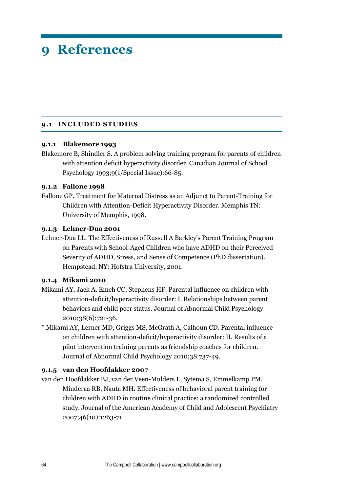# **9 References**

#### **9.1 INCLUDED STUDIES**

#### **9.1.1 Blakemore 1993**

Blakemore B, Shindler S. A problem solving training program for parents of children with attention deficit hyperactivity disorder. Canadian Journal of School Psychology 1993;9(1/Special Issue):66-85.

#### **9.1.2 Fallone 1998**

Fallone GP. Treatment for Maternal Distress as an Adjunct to Parent-Training for Children with Attention-Deficit Hyperactivity Disorder. Memphis TN: University of Memphis, 1998.

#### **9.1.3 Lehner-Dua 2001**

Lehner-Dua LL. The Effectiveness of Russell A Barkley's Parent Training Program on Parents with School-Aged Children who have ADHD on their Perceived Severity of ADHD, Stress, and Sense of Competence (PhD dissertation). Hempstead, NY: Hofstra University, 2001.

#### **9.1.4 Mikami 2010**

- Mikami AY, Jack A, Emeh CC, Stephens HF. Parental influence on children with attention-deficit/hyperactivity disorder: I. Relationships between parent behaviors and child peer status. Journal of Abnormal Child Psychology 2010;38(6):721-36.
- \* Mikami AY, Lerner MD, Griggs MS, McGrath A, Calhoun CD. Parental influence on children with attention-deficit/hyperactivity disorder: II. Results of a pilot intervention training parents as friendship coaches for children. Journal of Abnormal Child Psychology 2010;38:737-49.

#### **9.1.5 van den Hoofdakker 2007**

van den Hoofdakker BJ, van der Veen-Mulders L, Sytema S, Emmelkamp PM, Minderaa RB, Nauta MH. Effectiveness of behavioral parent training for children with ADHD in routine clinical practice: a randomized controlled study. Journal of the American Academy of Child and Adolescent Psychiatry 2007;46(10):1263-71.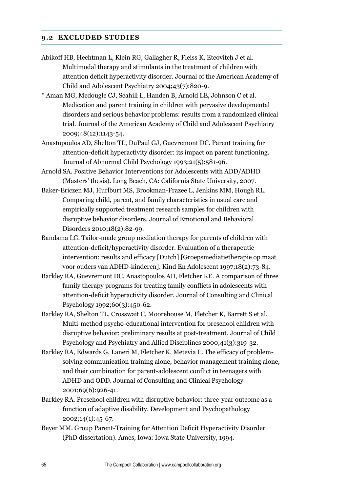#### **9.2 EXCLUDED STUDIES**

- Abikoff HB, Hechtman L, Klein RG, Gallagher R, Fleiss K, Etcovitch J et al. Multimodal therapy and stimulants in the treatment of children with attention deficit hyperactivity disorder. Journal of the American Academy of Child and Adolescent Psychiatry 2004;43(7):820-9.
- \* Aman MG, Mcdougle CJ, Scahill L, Handen B, Arnold LE, Johnson C et al. Medication and parent training in children with pervasive developmental disorders and serious behavior problems: results from a randomized clinical trial. Journal of the American Academy of Child and Adolescent Psychiatry 2009;48(12):1143-54.
- Anastopoulos AD, Shelton TL, DuPaul GJ, Guevremont DC. Parent training for attention-deficit hyperactivity disorder: its impact on parent functioning. Journal of Abnormal Child Psychology 1993;21(5):581-96.
- Arnold SA. Positive Behavior Interventions for Adolescents with ADD/ADHD (Masters' thesis). Long Beach, CA: California State University, 2007.
- Baker-Ericzen MJ, Hurlburt MS, Brookman-Frazee L, Jenkins MM, Hough RL. Comparing child, parent, and family characteristics in usual care and empirically supported treatment research samples for children with disruptive behavior disorders. Journal of Emotional and Behavioral Disorders 2010;18(2):82-99.
- Bandsma LG. Tailor-made group mediation therapy for parents of children with attention-deficit/hyperactivity disorder. Evaluation of a therapeutic intervention: results and efficacy [Dutch] [Groepsmediatietherapie op maat voor ouders van ADHD-kinderen]. Kind En Adolescent 1997;18(2):73-84.
- Barkley RA, Guevremont DC, Anastopoulos AD, Fletcher KE. A comparison of three family therapy programs for treating family conflicts in adolescents with attention-deficit hyperactivity disorder. Journal of Consulting and Clinical Psychology 1992;60(3):450-62.
- Barkley RA, Shelton TL, Crosswait C, Moorehouse M, Fletcher K, Barrett S et al. Multi-method psycho-educational intervention for preschool children with disruptive behavior: preliminary results at post-treatment. Journal of Child Psychology and Psychiatry and Allied Disciplines 2000;41(3):319-32.
- Barkley RA, Edwards G, Laneri M, Fletcher K, Metevia L. The efficacy of problemsolving communication training alone, behavior management training alone, and their combination for parent-adolescent conflict in teenagers with ADHD and ODD. Journal of Consulting and Clinical Psychology 2001;69(6):926-41.
- Barkley RA. Preschool children with disruptive behavior: three-year outcome as a function of adaptive disability. Development and Psychopathology 2002;14(1):45-67.
- Beyer MM. Group Parent-Training for Attention Deficit Hyperactivity Disorder (PhD dissertation). Ames, Iowa: Iowa State University, 1994.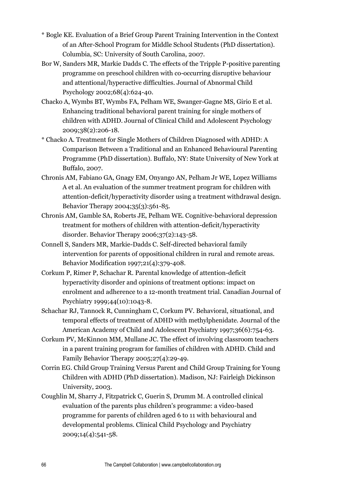- \* Bogle KE. Evaluation of a Brief Group Parent Training Intervention in the Context of an After-School Program for Middle School Students (PhD dissertation). Columbia, SC: University of South Carolina, 2007.
- Bor W, Sanders MR, Markie Dadds C. The effects of the Tripple P-positive parenting programme on preschool children with co-occurring disruptive behaviour and attentional/hyperactive difficulties. Journal of Abnormal Child Psychology 2002;68(4):624-40.
- Chacko A, Wymbs BT, Wymbs FA, Pelham WE, Swanger-Gagne MS, Girio E et al. Enhancing traditional behavioral parent training for single mothers of children with ADHD. Journal of Clinical Child and Adolescent Psychology 2009;38(2):206-18.
- \* Chacko A. Treatment for Single Mothers of Children Diagnosed with ADHD: A Comparison Between a Traditional and an Enhanced Behavioural Parenting Programme (PhD dissertation). Buffalo, NY: State University of New York at Buffalo, 2007.
- Chronis AM, Fabiano GA, Gnagy EM, Onyango AN, Pelham Jr WE, Lopez Williams A et al. An evaluation of the summer treatment program for children with attention-deficit/hyperactivity disorder using a treatment withdrawal design. Behavior Therapy 2004;35(3):561-85.
- Chronis AM, Gamble SA, Roberts JE, Pelham WE. Cognitive-behavioral depression treatment for mothers of children with attention-deficit/hyperactivity disorder. Behavior Therapy 2006;37(2):143-58.
- Connell S, Sanders MR, Markie-Dadds C. Self-directed behavioral family intervention for parents of oppositional children in rural and remote areas. Behavior Modification 1997;21(4):379-408.
- Corkum P, Rimer P, Schachar R. Parental knowledge of attention-deficit hyperactivity disorder and opinions of treatment options: impact on enrolment and adherence to a 12-month treatment trial. Canadian Journal of Psychiatry 1999;44(10):1043-8.
- Schachar RJ, Tannock R, Cunningham C, Corkum PV. Behavioral, situational, and temporal effects of treatment of ADHD with methylphenidate. Journal of the American Academy of Child and Adolescent Psychiatry 1997;36(6):754-63.
- Corkum PV, McKinnon MM, Mullane JC. The effect of involving classroom teachers in a parent training program for families of children with ADHD. Child and Family Behavior Therapy 2005;27(4):29-49.
- Corrin EG. Child Group Training Versus Parent and Child Group Training for Young Children with ADHD (PhD dissertation). Madison, NJ: Fairleigh Dickinson University, 2003.
- Coughlin M, Sharry J, Fitzpatrick C, Guerin S, Drumm M. A controlled clinical evaluation of the parents plus children's programme: a video-based programme for parents of children aged 6 to 11 with behavioural and developmental problems. Clinical Child Psychology and Psychiatry 2009;14(4):541-58.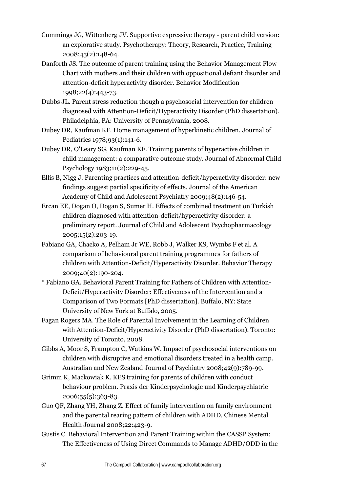- Cummings JG, Wittenberg JV. Supportive expressive therapy parent child version: an explorative study. Psychotherapy: Theory, Research, Practice, Training 2008;45(2):148-64.
- Danforth JS. The outcome of parent training using the Behavior Management Flow Chart with mothers and their children with oppositional defiant disorder and attention-deficit hyperactivity disorder. Behavior Modification 1998;22(4):443-73.
- Dubbs JL. Parent stress reduction though a psychosocial intervention for children diagnosed with Attention-Deficit/Hyperactivity Disorder (PhD dissertation). Philadelphia, PA: University of Pennsylvania, 2008.
- Dubey DR, Kaufman KF. Home management of hyperkinetic children. Journal of Pediatrics 1978;93(1):141-6.
- Dubey DR, O'Leary SG, Kaufman KF. Training parents of hyperactive children in child management: a comparative outcome study. Journal of Abnormal Child Psychology 1983;11(2):229-45.
- Ellis B, Nigg J. Parenting practices and attention-deficit/hyperactivity disorder: new findings suggest partial specificity of effects. Journal of the American Academy of Child and Adolescent Psychiatry 2009;48(2):146-54.
- Ercan EE, Dogan O, Dogan S, Sumer H. Effects of combined treatment on Turkish children diagnosed with attention-deficit/hyperactivity disorder: a preliminary report. Journal of Child and Adolescent Psychopharmacology 2005;15(2):203-19.
- Fabiano GA, Chacko A, Pelham Jr WE, Robb J, Walker KS, Wymbs F et al. A comparison of behavioural parent training programmes for fathers of children with Attention-Deficit/Hyperactivity Disorder. Behavior Therapy 2009;40(2):190-204.
- \* Fabiano GA. Behavioral Parent Training for Fathers of Children with Attention-Deficit/Hyperactivity Disorder: Effectiveness of the Intervention and a Comparison of Two Formats [PhD dissertation]. Buffalo, NY: State University of New York at Buffalo, 2005.
- Fagan Rogers MA. The Role of Parental Involvement in the Learning of Children with Attention-Deficit/Hyperactivity Disorder (PhD dissertation). Toronto: University of Toronto, 2008.
- Gibbs A, Moor S, Frampton C, Watkins W. Impact of psychosocial interventions on children with disruptive and emotional disorders treated in a health camp. Australian and New Zealand Journal of Psychiatry 2008;42(9):789-99.
- Grimm K, Mackowiak K. KES training for parents of children with conduct behaviour problem. Praxis der Kinderpsychologie und Kinderpsychiatrie 2006;55(5):363-83.
- Guo QF, Zhang YH, Zhang Z. Effect of family intervention on family environment and the parental rearing pattern of children with ADHD. Chinese Mental Health Journal 2008;22:423-9.
- Gustis C. Behavioral Intervention and Parent Training within the CASSP System: The Effectiveness of Using Direct Commands to Manage ADHD/ODD in the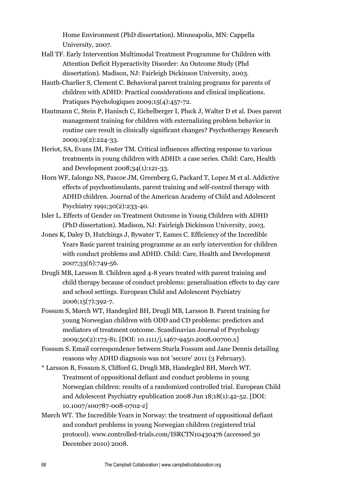Home Environment (PhD dissertation). Minneapolis, MN: Cappella University, 2007.

- Hall TF. Early Intervention Multimodal Treatment Programme for Children with Attention Deficit Hyperactivity Disorder: An Outcome Study (Phd dissertation). Madison, NJ: Fairleigh Dickinson University, 2003.
- Hauth-Charlier S, Clement C. Behavioral parent training programs for parents of children with ADHD: Practical considerations and clinical implications. Pratiques Psychologiques 2009;15(4):457-72.
- Hautmann C, Stein P, Hanisch C, Eichelberger I, Pluck J, Walter D et al. Does parent management training for children with externalizing problem behavior in routine care result in clinically significant changes? Psychotherapy Research 2009;19(2):224-33.
- Heriot, SA, Evans IM, Foster TM. Critical influences affecting response to various treatments in young children with ADHD: a case series. Child: Care, Health and Development 2008;34(1):121-33.
- Horn WF, Ialongo NS, Pascoe JM, Greenberg G, Packard T, Lopez M et al. Addictive effects of psychostimulants, parent training and self-control therapy with ADHD children. Journal of the American Academy of Child and Adolescent Psychiatry 1991;30(2):233-40.
- Isler L. Effects of Gender on Treatment Outcome in Young Children with ADHD (PhD dissertation). Madison, NJ: Fairleigh Dickinson University, 2003.
- Jones K, Daley D, Hutchings J, Bywater T, Eames C. Efficiency of the Incredible Years Basic parent training programme as an early intervention for children with conduct problems and ADHD. Child: Care, Health and Development 2007;33(6):749-56.
- Drugli MB, Larsson B. Children aged 4-8 years treated with parent training and child therapy because of conduct problems: generalisation effects to day care and school settings. European Child and Adolescent Psychiatry 2006;15(7):392-7.
- Fossum S, Mørch WT, Handegård BH, Drugli MB, Larsson B. Parent training for young Norwegian children with ODD and CD problems: predictors and mediators of treatment outcome. Scandinavian Journal of Psychology 2009;50(2):173-81. [DOI: 10.1111/j.1467-9450.2008.00700.x]
- Fossum S. Email correspondence between Sturla Fossum and Jane Dennis detailing reasons why ADHD diagnosis was not 'secure' 2011 (3 February).
- \* Larsson B, Fossum S, Clifford G, Drugli MB, Handegård BH, Mørch WT. Treatment of oppositional defiant and conduct problems in young Norwegian children: results of a randomized controlled trial. European Child and Adolescent Psychiatry epublication 2008 Jun 18;18(1):42-52. [DOI: 10.1007/s00787-008-0702-z]
- Mørch WT. The Incredible Years in Norway: the treatment of oppositional defiant and conduct problems in young Norwegian children (registered trial protocol). www.controlled-trials.com/ISRCTN10430476 (accessed 30 December 2010) 2008.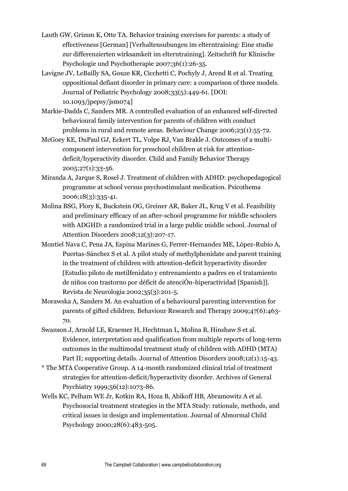- Lauth GW, Grimm K, Otte TA. Behavior training exercises for parents: a study of effectiveness [German] [Verhaltensubungen im elterntraining: Eine studie zur differenzierten wirksamkeit im elterntraining]. Zeitschrift fur Klinische Psychologie und Psychotherapie 2007;36(1):26-35.
- Lavigne JV, LeBailly SA, Gouze KR, Cicchetti C, Pochyly J, Arend R et al. Treating oppositional defiant disorder in primary care: a comparison of three models. Journal of Pediatric Psychology 2008;33(5):449-61. [DOI: 10.1093/jpepsy/jsm074]
- Markie-Dadds C, Sanders MR. A controlled evaluation of an enhanced self-directed behavioural family intervention for parents of children with conduct problems in rural and remote areas. Behaviour Change 2006;23(1):55-72.
- McGoey KE, DuPaul GJ, Eckert TL, Volpe RJ, Van Brakle J. Outcomes of a multicomponent intervention for preschool children at risk for attentiondeficit/hyperactivity disorder. Child and Family Behavior Therapy 2005;27(1):33-56.
- Miranda A, Jarque S, Rosel J. Treatment of children with ADHD: psychopedagogical programme at school versus psychostimulant medication. Psicothema 2006;18(3):335-41.
- Molina BSG, Flory K, Buckstein OG, Greiner AR, Baker JL, Krug V et al. Feasibility and preliminary efficacy of an after-school programme for middle schoolers with ADGHD: a randomized trial in a large public middle school. Journal of Attention Disorders 2008;12(3):207-17.
- Montiel Nava C, Pena JA, Espina Marines G, Ferrer-Hernandez ME, López-Rubio A, Puertas-Sánchez S et al. A pilot study of methylphenidate and parent training in the treatment of children with attention-deficit hyperactivity disorder [Estudio piloto de metilfenidato y entrenamiento a padres en el tratamiento de niños con trastorno por déficit de atenciÓn-hiperactividad [Spanish]]. Revista de Neurologia 2002;35(3):201-5.
- Morawska A, Sanders M. An evaluation of a behavioural parenting intervention for parents of gifted children. Behaviour Research and Therapy 2009;47(6):463- 70.
- Swanson J, Arnold LE, Kraemer H, Hechtman L, Molina B, Hinshaw S et al. Evidence, interpretation and qualification from multiple reports of long-term outcomes in the multimodal treatment study of children with ADHD (MTA) Part II; supporting details. Journal of Attention Disorders 2008;12(1):15-43.
- \* The MTA Cooperative Group. A 14-month randomized clinical trial of treatment strategies for attention-deficit/hyperactivity disorder. Archives of General Psychiatry 1999;56(12):1073-86.
- Wells KC, Pelham WE Jr, Kotkin RA, Hoza B, Abikoff HB, Abramowitz A et al. Psychosocial treatment strategies in the MTA Study: rationale, methods, and critical issues in design and implementation. Journal of Abnormal Child Psychology 2000;28(6):483-505.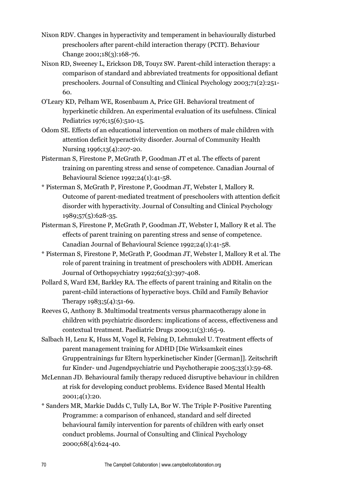- Nixon RDV. Changes in hyperactivity and temperament in behaviourally disturbed preschoolers after parent-child interaction therapy (PCIT). Behaviour Change 2001;18(3):168-76.
- Nixon RD, Sweeney L, Erickson DB, Touyz SW. Parent-child interaction therapy: a comparison of standard and abbreviated treatments for oppositional defiant preschoolers. Journal of Consulting and Clinical Psychology 2003;71(2):251- 60.
- O'Leary KD, Pelham WE, Rosenbaum A, Price GH. Behavioral treatment of hyperkinetic children. An experimental evaluation of its usefulness. Clinical Pediatrics 1976;15(6):510-15.
- Odom SE. Effects of an educational intervention on mothers of male children with attention deficit hyperactivity disorder. Journal of Community Health Nursing 1996;13(4):207-20.
- Pisterman S, Firestone P, McGrath P, Goodman JT et al. The effects of parent training on parenting stress and sense of competence. Canadian Journal of Behavioural Science 1992;24(1):41-58.
- \* Pisterman S, McGrath P, Firestone P, Goodman JT, Webster I, Mallory R. Outcome of parent-mediated treatment of preschoolers with attention deficit disorder with hyperactivity. Journal of Consulting and Clinical Psychology 1989;57(5):628-35.
- Pisterman S, Firestone P, McGrath P, Goodman JT, Webster I, Mallory R et al. The effects of parent training on parenting stress and sense of competence. Canadian Journal of Behavioural Science 1992;24(1):41-58.
- \* Pisterman S, Firestone P, McGrath P, Goodman JT, Webster I, Mallory R et al. The role of parent training in treatment of preschoolers with ADDH. American Journal of Orthopsychiatry 1992;62(3):397-408.
- Pollard S, Ward EM, Barkley RA. The effects of parent training and Ritalin on the parent-child interactions of hyperactive boys. Child and Family Behavior Therapy 1983;5(4):51-69.
- Reeves G, Anthony B. Multimodal treatments versus pharmacotherapy alone in children with psychiatric disorders: implications of access, effectiveness and contextual treatment. Paediatric Drugs 2009;11(3):165-9.
- Salbach H, Lenz K, Huss M, Vogel R, Felsing D, Lehmukel U. Treatment effects of parent management training for ADHD [Die Wirksamkeit eines Gruppentrainings fur Eltern hyperkinetischer Kinder [German]]. Zeitschrift fur Kinder- und Jugendpsychiatrie und Psychotherapie 2005;33(1):59-68.
- McLennan JD. Behavioural family therapy reduced disruptive behaviour in children at risk for developing conduct problems. Evidence Based Mental Health 2001;4(1):20.
- \* Sanders MR, Markie Dadds C, Tully LA, Bor W. The Triple P-Positive Parenting Programme: a comparison of enhanced, standard and self directed behavioural family intervention for parents of children with early onset conduct problems. Journal of Consulting and Clinical Psychology 2000;68(4):624-40.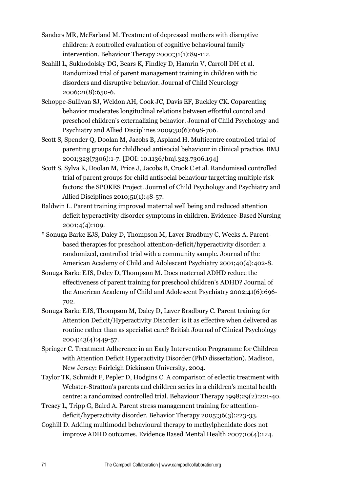- Sanders MR, McFarland M. Treatment of depressed mothers with disruptive children: A controlled evaluation of cognitive behavioural family intervention. Behaviour Therapy 2000;31(1):89-112.
- Scahill L, Sukhodolsky DG, Bears K, Findley D, Hamrin V, Carroll DH et al. Randomized trial of parent management training in children with tic disorders and disruptive behavior. Journal of Child Neurology 2006;21(8):650-6.
- Schoppe-Sullivan SJ, Weldon AH, Cook JC, Davis EF, Buckley CK. Coparenting behavior moderates longitudinal relations between effortful control and preschool children's externalizing behavior. Journal of Child Psychology and Psychiatry and Allied Disciplines 2009;50(6):698-706.
- Scott S, Spender Q, Doolan M, Jacobs B, Aspland H. Multicentre controlled trial of parenting groups for childhood antisocial behaviour in clinical practice. BMJ 2001;323(7306):1-7. [DOI: 10.1136/bmj.323.7306.194]
- Scott S, Sylva K, Doolan M, Price J, Jacobs B, Crook C et al. Randomised controlled trial of parent groups for child antisocial behaviour targetting multiple risk factors: the SPOKES Project. Journal of Child Psychology and Psychiatry and Allied Disciplines 2010;51(1):48-57.
- Baldwin L. Parent training improved maternal well being and reduced attention deficit hyperactivity disorder symptoms in children. Evidence-Based Nursing 2001;4(4):109.
- \* Sonuga Barke EJS, Daley D, Thompson M, Laver Bradbury C, Weeks A. Parentbased therapies for preschool attention-deficit/hyperactivity disorder: a randomized, controlled trial with a community sample. Journal of the American Academy of Child and Adolescent Psychiatry 2001;40(4):402-8.
- Sonuga Barke EJS, Daley D, Thompson M. Does maternal ADHD reduce the effectiveness of parent training for preschool children's ADHD? Journal of the American Academy of Child and Adolescent Psychiatry 2002;41(6):696- 702.
- Sonuga Barke EJS, Thompson M, Daley D, Laver Bradbury C. Parent training for Attention Deficit/Hyperactivity Disorder: is it as effective when delivered as routine rather than as specialist care? British Journal of Clinical Psychology 2004;43(4):449-57.
- Springer C. Treatment Adherence in an Early Intervention Programme for Children with Attention Deficit Hyperactivity Disorder (PhD dissertation). Madison, New Jersey: Fairleigh Dickinson University, 2004.
- Taylor TK, Schmidt F, Pepler D, Hodgins C. A comparison of eclectic treatment with Webster-Stratton's parents and children series in a children's mental health centre: a randomized controlled trial. Behaviour Therapy 1998;29(2):221-40.
- Treacy L, Tripp G, Baird A. Parent stress management training for attentiondeficit/hyperactivity disorder. Behavior Therapy 2005;36(3):223-33.
- Coghill D. Adding multimodal behavioural therapy to methylphenidate does not improve ADHD outcomes. Evidence Based Mental Health 2007;10(4):124.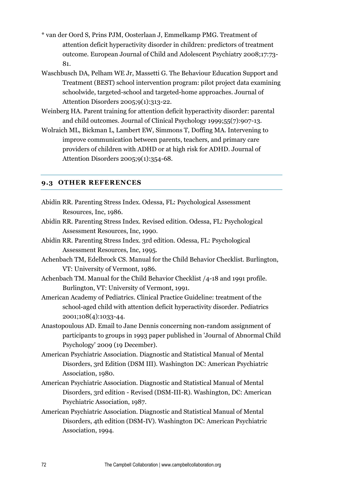- \* van der Oord S, Prins PJM, Oosterlaan J, Emmelkamp PMG. Treatment of attention deficit hyperactivity disorder in children: predictors of treatment outcome. European Journal of Child and Adolescent Psychiatry 2008;17:73- 81.
- Waschbusch DA, Pelham WE Jr, Massetti G. The Behaviour Education Support and Treatment (BEST) school intervention program: pilot project data examining schoolwide, targeted-school and targeted-home approaches. Journal of Attention Disorders 2005;9(1):313-22.
- Weinberg HA. Parent training for attention deficit hyperactivity disorder: parental and child outcomes. Journal of Clinical Psychology 1999;55(7):907-13.
- Wolraich ML, Bickman L, Lambert EW, Simmons T, Doffing MA. Intervening to improve communication between parents, teachers, and primary care providers of children with ADHD or at high risk for ADHD. Journal of Attention Disorders 2005;9(1):354-68.

# **9.3 OTHER REFERENCES**

- Abidin RR. Parenting Stress Index. Odessa, FL: Psychological Assessment Resources, Inc, 1986.
- Abidin RR. Parenting Stress Index. Revised edition. Odessa, FL: Psychological Assessment Resources, Inc, 1990.
- Abidin RR. Parenting Stress Index. 3rd edition. Odessa, FL: Psychological Assessment Resources, Inc, 1995.
- Achenbach TM, Edelbrock CS. Manual for the Child Behavior Checklist. Burlington, VT: University of Vermont, 1986.
- Achenbach TM. Manual for the Child Behavior Checklist /4-18 and 1991 profile. Burlington, VT: University of Vermont, 1991.
- American Academy of Pediatrics. Clinical Practice Guideline: treatment of the school-aged child with attention deficit hyperactivity disorder. Pediatrics 2001;108(4):1033-44.
- Anastopoulous AD. Email to Jane Dennis concerning non-random assignment of participants to groups in 1993 paper published in 'Journal of Abnormal Child Psychology' 2009 (19 December).
- American Psychiatric Association. Diagnostic and Statistical Manual of Mental Disorders, 3rd Edition (DSM III). Washington DC: American Psychiatric Association, 1980.
- American Psychiatric Association. Diagnostic and Statistical Manual of Mental Disorders, 3rd edition - Revised (DSM-III-R). Washington, DC: American Psychiatric Association, 1987.
- American Psychiatric Association. Diagnostic and Statistical Manual of Mental Disorders, 4th edition (DSM-IV). Washington DC: American Psychiatric Association, 1994.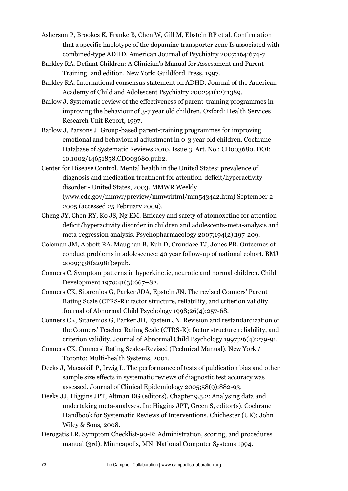- Asherson P, Brookes K, Franke B, Chen W, Gill M, Ebstein RP et al. Confirmation that a specific haplotype of the dopamine transporter gene Is associated with combined-type ADHD. American Journal of Psychiatry 2007;164:674-7.
- Barkley RA. Defiant Children: A Clinician's Manual for Assessment and Parent Training. 2nd edition. New York: Guildford Press, 1997.
- Barkley RA. International consensus statement on ADHD. Journal of the American Academy of Child and Adolescent Psychiatry 2002;41(12):1389.
- Barlow J. Systematic review of the effectiveness of parent-training programmes in improving the behaviour of 3-7 year old children. Oxford: Health Services Research Unit Report, 1997.
- Barlow J, Parsons J. Group-based parent-training programmes for improving emotional and behavioural adjustment in 0-3 year old children. Cochrane Database of Systematic Reviews 2010, Issue 3. Art. No.: CD003680. DOI: 10.1002/14651858.CD003680.pub2.
- Center for Disease Control. Mental health in the United States: prevalence of diagnosis and medication treatment for attention-deficit/hyperactivity disorder - United States, 2003. MMWR Weekly (www.cdc.gov/mmwr/preview/mmwrhtml/mm5434a2.htm) September 2 2005 (accessed 25 February 2009).
- Cheng JY, Chen RY, Ko JS, Ng EM. Efficacy and safety of atomoxetine for attentiondeficit/hyperactivity disorder in children and adolescents-meta-analysis and meta-regression analysis. Psychopharmacology 2007;194(2):197-209.
- Coleman JM, Abbott RA, Maughan B, Kuh D, Croudace TJ, Jones PB. Outcomes of conduct problems in adolescence: 40 year follow-up of national cohort. BMJ 2009;338(a2981):epub.
- Conners C. Symptom patterns in hyperkinetic, neurotic and normal children. Child Development 1970;41(3):667–82.
- Conners CK, Sitarenios G, Parker JDA, Epstein JN. The revised Conners' Parent Rating Scale (CPRS-R): factor structure, reliability, and criterion validity. Journal of Abnormal Child Psychology 1998;26(4):257-68.
- Conners CK, Sitarenios G, Parker JD, Epstein JN. Revision and restandardization of the Conners" Teacher Rating Scale (CTRS-R): factor structure reliability, and criterion validity. Journal of Abnormal Child Psychology 1997;26(4):279-91.
- Conners CK. Conners' Rating Scales-Revised (Technical Manual). New York / Toronto: Multi-health Systems, 2001.
- Deeks J, Macaskill P, Irwig L. The performance of tests of publication bias and other sample size effects in systematic reviews of diagnostic test accuracy was assessed. Journal of Clinical Epidemiology 2005;58(9):882-93.
- Deeks JJ, Higgins JPT, Altman DG (editors). Chapter 9.5.2: Analysing data and undertaking meta-analyses. In: Higgins JPT, Green S, editor(s). Cochrane Handbook for Systematic Reviews of Interventions. Chichester (UK): John Wiley & Sons, 2008.
- Derogatis LR. Symptom Checklist-90-R: Administration, scoring, and procedures manual (3rd). Minneapolis, MN: National Computer Systems 1994.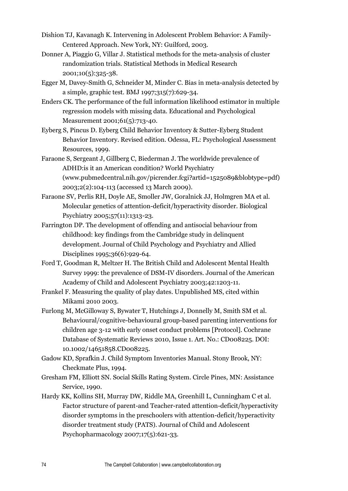- Dishion TJ, Kavanagh K. Intervening in Adolescent Problem Behavior: A Family-Centered Approach. New York, NY: Guilford, 2003.
- Donner A, Piaggio G, Villar J. Statistical methods for the meta-analysis of cluster randomization trials. Statistical Methods in Medical Research 2001;10(5):325-38.
- Egger M, Davey-Smith G, Schneider M, Minder C. Bias in meta-analysis detected by a simple, graphic test. BMJ 1997;315(7):629-34.
- Enders CK. The performance of the full information likelihood estimator in multiple regression models with missing data. Educational and Psychological Measurement 2001;61(5):713-40.
- Eyberg S, Pincus D. Eyberg Child Behavior Inventory & Sutter-Eyberg Student Behavior Inventory. Revised edition. Odessa, FL: Psychological Assessment Resources, 1999.
- Faraone S, Sergeant J, Gillberg C, Biederman J. The worldwide prevalence of ADHD:is it an American condition? World Psychiatry (www.pubmedcentral.nih.gov/picrender.fcgi?artid=1525089&blobtype=pdf) 2003;2(2):104-113 (accessed 13 March 2009).
- Faraone SV, Perlis RH, Doyle AE, Smoller JW, Goralnick JJ, Holmgren MA et al. Molecular genetics of attention-deficit/hyperactivity disorder. Biological Psychiatry 2005;57(11):1313-23.
- Farrington DP. The development of offending and antisocial behaviour from childhood: key findings from the Cambridge study in delinquent development. Journal of Child Psychology and Psychiatry and Allied Disciplines 1995;36(6):929-64.
- Ford T, Goodman R, Meltzer H. The British Child and Adolescent Mental Health Survey 1999: the prevalence of DSM-IV disorders. Journal of the American Academy of Child and Adolescent Psychiatry 2003;42:1203-11.
- Frankel F. Measuring the quality of play dates. Unpublished MS, cited within Mikami 2010 2003.
- Furlong M, McGilloway S, Bywater T, Hutchings J, Donnelly M, Smith SM et al. Behavioural/cognitive-behavioural group-based parenting interventions for children age 3-12 with early onset conduct problems [Protocol]. Cochrane Database of Systematic Reviews 2010, Issue 1. Art. No.: CD008225. DOI: 10.1002/14651858.CD008225.
- Gadow KD, Sprafkin J. Child Symptom Inventories Manual. Stony Brook, NY: Checkmate Plus, 1994.
- Gresham FM, Elliott SN. Social Skills Rating System. Circle Pines, MN: Assistance Service, 1990.
- Hardy KK, Kollins SH, Murray DW, Riddle MA, Greenhill L, Cunningham C et al. Factor structure of parent-and Teacher-rated attention-deficit/hyperactivity disorder symptoms in the preschoolers with attention-deficit/hyperactivity disorder treatment study (PATS). Journal of Child and Adolescent Psychopharmacology 2007;17(5):621-33.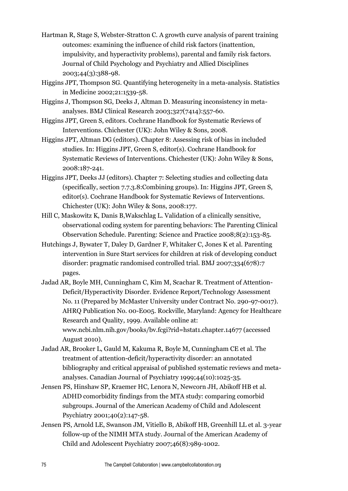- Hartman R, Stage S, Webster-Stratton C. A growth curve analysis of parent training outcomes: examining the influence of child risk factors (inattention, impulsivity, and hyperactivity problems), parental and family risk factors. Journal of Child Psychology and Psychiatry and Allied Disciplines 2003;44(3):388-98.
- Higgins JPT, Thompson SG. Quantifying heterogeneity in a meta-analysis. Statistics in Medicine 2002;21:1539-58.
- Higgins J, Thompson SG, Deeks J, Altman D. Measuring inconsistency in metaanalyses. BMJ Clinical Research 2003;327(7414):557-60.
- Higgins JPT, Green S, editors. Cochrane Handbook for Systematic Reviews of Interventions. Chichester (UK): John Wiley & Sons, 2008.
- Higgins JPT, Altman DG (editors). Chapter 8: Assessing risk of bias in included studies. In: Higgins JPT, Green S, editor(s). Cochrane Handbook for Systematic Reviews of Interventions. Chichester (UK): John Wiley & Sons, 2008:187-241.
- Higgins JPT, Deeks JJ (editors). Chapter 7: Selecting studies and collecting data (specifically, section 7.7.3.8:Combining groups). In: Higgins JPT, Green S, editor(s). Cochrane Handbook for Systematic Reviews of Interventions. Chichester (UK): John Wiley & Sons, 2008:177.
- Hill C, Maskowitz K, Danis B,Wakschlag L. Validation of a clinically sensitive, observational coding system for parenting behaviors: The Parenting Clinical Observation Schedule. Parenting: Science and Practice 2008;8(2):153-85.
- Hutchings J, Bywater T, Daley D, Gardner F, Whitaker C, Jones K et al. Parenting intervention in Sure Start services for children at risk of developing conduct disorder: pragmatic randomised controlled trial. BMJ 2007;334(678):7 pages.
- Jadad AR, Boyle MH, Cunningham C, Kim M, Scachar R. Treatment of Attention-Deficit/Hyperactivity Disorder. Evidence Report/Technology Assessment No. 11 (Prepared by McMaster University under Contract No. 290-97-0017). AHRQ Publication No. 00-E005. Rockville, Maryland: Agency for Healthcare Research and Quality, 1999. Available online at: www.ncbi.nlm.nih.gov/books/bv.fcgi?rid=hstat1.chapter.14677 (accessed August 2010).
- Jadad AR, Brooker L, Gauld M, Kakuma R, Boyle M, Cunningham CE et al. The treatment of attention-deficit/hyperactivity disorder: an annotated bibliography and critical appraisal of published systematic reviews and metaanalyses. Canadian Journal of Psychiatry 1999;44(10):1025-35.
- Jensen PS, Hinshaw SP, Kraemer HC, Lenora N, Newcorn JH, Abikoff HB et al. ADHD comorbidity findings from the MTA study: comparing comorbid subgroups. Journal of the American Academy of Child and Adolescent Psychiatry 2001;40(2):147-58.
- Jensen PS, Arnold LE, Swanson JM, Vitiello B, Abikoff HB, Greenhill LL et al. 3-year follow-up of the NIMH MTA study. Journal of the American Academy of Child and Adolescent Psychiatry 2007;46(8):989-1002.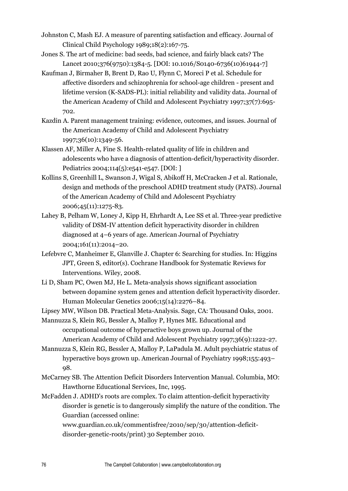- Johnston C, Mash EJ. A measure of parenting satisfaction and efficacy. Journal of Clinical Child Psychology 1989;18(2):167-75.
- Jones S. The art of medicine: bad seeds, bad science, and fairly black cats? The Lancet 2010;376(9750):1384-5. [DOI: 10.1016/S0140-6736(10)61944-7]
- Kaufman J, Birmaher B, Brent D, Rao U, Flynn C, Moreci P et al. Schedule for affective disorders and schizophrenia for school-age children - present and lifetime version (K-SADS-PL): initial reliability and validity data. Journal of the American Academy of Child and Adolescent Psychiatry 1997;37(7):695- 702.
- Kazdin A. Parent management training: evidence, outcomes, and issues. Journal of the American Academy of Child and Adolescent Psychiatry 1997;36(10):1349-56.
- Klassen AF, Miller A, Fine S. Health-related quality of life in children and adolescents who have a diagnosis of attention-deficit/hyperactivity disorder. Pediatrics 2004;114(5):e541-e547. [DOI: ]
- Kollins S, Greenhill L, Swanson J, Wigal S, Abikoff H, McCracken J et al. Rationale, design and methods of the preschool ADHD treatment study (PATS). Journal of the American Academy of Child and Adolescent Psychiatry 2006;45(11):1275-83.
- Lahey B, Pelham W, Loney J, Kipp H, Ehrhardt A, Lee SS et al. Three-year predictive validity of DSM-IV attention deficit hyperactivity disorder in children diagnosed at 4–6 years of age. American Journal of Psychiatry 2004;161(11):2014–20.
- Lefebvre C, Manheimer E, Glanville J. Chapter 6: Searching for studies. In: Higgins JPT, Green S, editor(s). Cochrane Handbook for Systematic Reviews for Interventions. Wiley, 2008.
- Li D, Sham PC, Owen MJ, He L. Meta-analysis shows significant association between dopamine system genes and attention deficit hyperactivity disorder. Human Molecular Genetics 2006;15(14):2276–84.
- Lipsey MW, Wilson DB. Practical Meta-Analysis. Sage, CA: Thousand Oaks, 2001.
- Mannuzza S, Klein RG, Bessler A, Malloy P, Hynes ME. Educational and occupational outcome of hyperactive boys grown up. Journal of the American Academy of Child and Adolescent Psychiatry 1997;36(9):1222-27.
- Mannuzza S, Klein RG, Bessler A, Malloy P, LaPadula M. Adult psychiatric status of hyperactive boys grown up. American Journal of Psychiatry 1998;155:493– 98.
- McCarney SB. The Attention Deficit Disorders Intervention Manual. Columbia, MO: Hawthorne Educational Services, Inc, 1995.
- McFadden J. ADHD's roots are complex. To claim attention-deficit hyperactivity disorder is genetic is to dangerously simplify the nature of the condition. The Guardian (accessed online:
	- www.guardian.co.uk/commentisfree/2010/sep/30/attention-deficitdisorder-genetic-roots/print) 30 September 2010.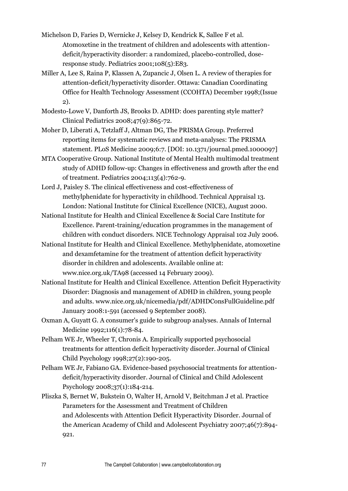- Michelson D, Faries D, Wernicke J, Kelsey D, Kendrick K, Sallee F et al. Atomoxetine in the treatment of children and adolescents with attentiondeficit/hyperactivity disorder: a randomized, placebo-controlled, doseresponse study. Pediatrics 2001;108(5):E83.
- Miller A, Lee S, Raina P, Klassen A, Zupancic J, Olsen L. A review of therapies for attention-deficit/hyperactivity disorder. Ottawa: Canadian Coordinating Office for Health Technology Assessment (CCOHTA) December 1998;(Issue 2).
- Modesto-Lowe V, Danforth JS, Brooks D. ADHD: does parenting style matter? Clinical Pediatrics 2008;47(9):865-72.
- Moher D, Liberati A, Tetzlaff J, Altman DG, The PRISMA Group. Preferred reporting items for systematic reviews and meta-analyses: The PRISMA statement. PLoS Medicine 2009;6:7. [DOI: 10.1371/journal.pmed.1000097]
- MTA Cooperative Group. National Institute of Mental Health multimodal treatment study of ADHD follow-up: Changes in effectiveness and growth after the end of treatment. Pediatrics 2004;113(4):762-9.
- Lord J, Paisley S. The clinical effectiveness and cost-effectiveness of methylphenidate for hyperactivity in childhood. Technical Appraisal 13. London: National Institute for Clinical Excellence (NICE), August 2000.
- National Institute for Health and Clinical Excellence & Social Care Institute for Excellence. Parent-training/education programmes in the management of children with conduct disorders. NICE Technology Appraisal 102 July 2006.
- National Institute for Health and Clinical Excellence. Methylphenidate, atomoxetine and dexamfetamine for the treatment of attention deficit hyperactivity disorder in children and adolescents. Available online at: www.nice.org.uk/TA98 (accessed 14 February 2009).
- National Institute for Health and Clinical Excellence. Attention Deficit Hyperactivity Disorder: Diagnosis and management of ADHD in children, young people and adults. www.nice.org.uk/nicemedia/pdf/ADHDConsFullGuideline.pdf January 2008:1-591 (accessed 9 September 2008).
- Oxman A, Guyatt G. A consumer's guide to subgroup analyses. Annals of Internal Medicine 1992;116(1):78-84.
- Pelham WE Jr, Wheeler T, Chronis A. Empirically supported psychosocial treatments for attention deficit hyperactivity disorder. Journal of Clinical Child Psychology 1998;27(2):190-205.
- Pelham WE Jr, Fabiano GA. Evidence-based psychosocial treatments for attentiondeficit/hyperactivity disorder. Journal of Clinical and Child Adolescent Psychology 2008;37(1):184-214.
- Pliszka S, Bernet W, Bukstein O, Walter H, Arnold V, Beitchman J et al. Practice Parameters for the Assessment and Treatment of Children and Adolescents with Attention Deficit Hyperactivity Disorder. Journal of the American Academy of Child and Adolescent Psychiatry 2007;46(7):894- 921.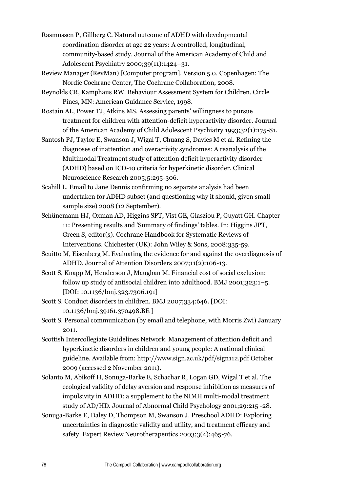- Rasmussen P, Gillberg C. Natural outcome of ADHD with developmental coordination disorder at age 22 years: A controlled, longitudinal, community-based study. Journal of the American Academy of Child and Adolescent Psychiatry 2000;39(11):1424–31.
- Review Manager (RevMan) [Computer program]. Version 5.0. Copenhagen: The Nordic Cochrane Center, The Cochrane Collaboration, 2008.
- Reynolds CR, Kamphaus RW. Behaviour Assessment System for Children. Circle Pines, MN: American Guidance Service, 1998.
- Rostain AL, Power TJ, Atkins MS. Assessing parents' willingness to pursue treatment for children with attention-deficit hyperactivity disorder. Journal of the American Academy of Child Adolescent Psychiatry 1993;32(1):175-81.
- Santosh PJ, Taylor E, Swanson J, Wigal T, Chuang S, Davies M et al. Refining the diagnoses of inattention and overactivity syndromes: A reanalysis of the Multimodal Treatment study of attention deficit hyperactivity disorder (ADHD) based on ICD-10 criteria for hyperkinetic disorder. Clinical Neuroscience Research 2005;5:295-306.
- Scahill L. Email to Jane Dennis confirming no separate analysis had been undertaken for ADHD subset (and questioning why it should, given small sample size) 2008 (12 September).
- Schünemann HJ, Oxman AD, Higgins SPT, Vist GE, Glasziou P, Guyatt GH. Chapter 11: Presenting results and "Summary of findings" tables. In: Higgins JPT, Green S, editor(s). Cochrane Handbook for Systematic Reviews of Interventions. Chichester (UK): John Wiley & Sons, 2008:335-59.
- Scuitto M, Eisenberg M. Evaluating the evidence for and against the overdiagnosis of ADHD. Journal of Attention Disorders 2007;11(2):106-13.
- Scott S, Knapp M, Henderson J, Maughan M. Financial cost of social exclusion: follow up study of antisocial children into adulthood. BMJ 2001;323:1–5. [DOI: 10.1136/bmj.323.7306.191]
- Scott S. Conduct disorders in children. BMJ 2007;334:646. [DOI: 10.1136/bmj.39161.370498.BE ]
- Scott S. Personal communication (by email and telephone, with Morris Zwi) January 2011.
- Scottish Intercollegiate Guidelines Network. Management of attention deficit and hyperkinetic disorders in children and young people: A national clinical guideline. Available from: http://www.sign.ac.uk/pdf/sign112.pdf October 2009 (accessed 2 November 2011).
- Solanto M, Abikoff H, Sonuga-Barke E, Schachar R, Logan GD, Wigal T et al. The ecological validity of delay aversion and response inhibition as measures of impulsivity in ADHD: a supplement to the NIMH multi-modal treatment study of AD/HD. Journal of Abnormal Child Psychology 2001;29:215 -28.
- Sonuga-Barke E, Daley D, Thompson M, Swanson J. Preschool ADHD: Exploring uncertainties in diagnostic validity and utility, and treatment efficacy and safety. Expert Review Neurotherapeutics 2003;3(4):465-76.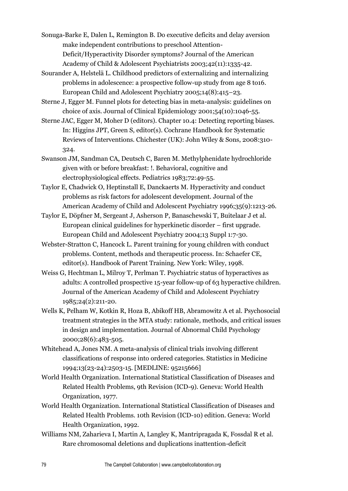Sonuga-Barke E, Dalen L, Remington B. Do executive deficits and delay aversion make independent contributions to preschool Attention-Deficit/Hyperactivity Disorder symptoms? Journal of the American Academy of Child & Adolescent Psychiatrists 2003;42(11):1335-42.

- Sourander A, Helstelä L. Childhood predictors of externalizing and internalizing problems in adolescence: a prospective follow-up study from age 8 to16. European Child and Adolescent Psychiatry 2005;14(8):415–23.
- Sterne J, Egger M. Funnel plots for detecting bias in meta-analysis: guidelines on choice of axis. Journal of Clinical Epidemiology 2001;54(10):1046-55.
- Sterne JAC, Egger M, Moher D (editors). Chapter 10.4: Detecting reporting biases. In: Higgins JPT, Green S, editor(s). Cochrane Handbook for Systematic Reviews of Interventions. Chichester (UK): John Wiley & Sons, 2008:310- 324.
- Swanson JM, Sandman CA, Deutsch C, Baren M. Methylphenidate hydrochloride given with or before breakfast: !. Behavioral, cognitive and electrophysiological effects. Pediatrics 1983;72:49-55.
- Taylor E, Chadwick O, Heptinstall E, Danckaerts M. Hyperactivity and conduct problems as risk factors for adolescent development. Journal of the American Academy of Child and Adolescent Psychiatry 1996;35(9):1213-26.
- Taylor E, Döpfner M, Sergeant J, Asherson P, Banaschewski T, Buitelaar J et al. European clinical guidelines for hyperkinetic disorder – first upgrade. European Child and Adolescent Psychiatry 2004;13 Suppl 1:7-30.
- Webster-Stratton C, Hancock L. Parent training for young children with conduct problems. Content, methods and therapeutic process. In: Schaefer CE, editor(s). Handbook of Parent Training. New York: Wiley, 1998.
- Weiss G, Hechtman L, Milroy T, Perlman T. Psychiatric status of hyperactives as adults: A controlled prospective 15-year follow-up of 63 hyperactive children. Journal of the American Academy of Child and Adolescent Psychiatry 1985;24(2):211-20.
- Wells K, Pelham W, Kotkin R, Hoza B, Abikoff HB, Abramowitz A et al. Psychosocial treatment strategies in the MTA study: rationale, methods, and critical issues in design and implementation. Journal of Abnormal Child Psychology 2000;28(6):483-505.
- Whitehead A, Jones NM. A meta-analysis of clinical trials involving different classifications of response into ordered categories. Statistics in Medicine 1994;13(23-24):2503-15. [MEDLINE: 95215666]
- World Health Organization. International Statistical Classification of Diseases and Related Health Problems, 9th Revision (ICD-9). Geneva: World Health Organization, 1977.
- World Health Organization. International Statistical Classification of Diseases and Related Health Problems. 10th Revision (ICD-10) edition. Geneva: World Health Organization, 1992.
- Williams NM, Zaharieva I, Martin A, Langley K, Mantripragada K, Fossdal R et al. Rare chromosomal deletions and duplications inattention-deficit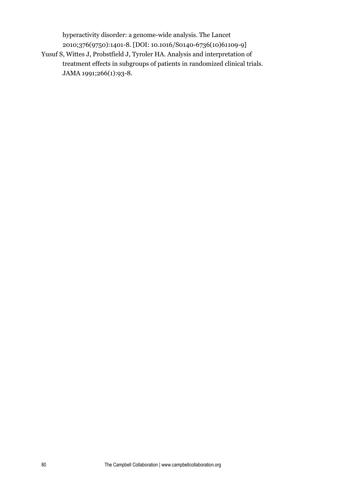hyperactivity disorder: a genome-wide analysis. The Lancet 2010;376(9750):1401-8. [DOI: 10.1016/S0140-6736(10)61109-9]

Yusuf S, Wittes J, Probstfield J, Tyroler HA. Analysis and interpretation of treatment effects in subgroups of patients in randomized clinical trials. JAMA 1991;266(1):93-8.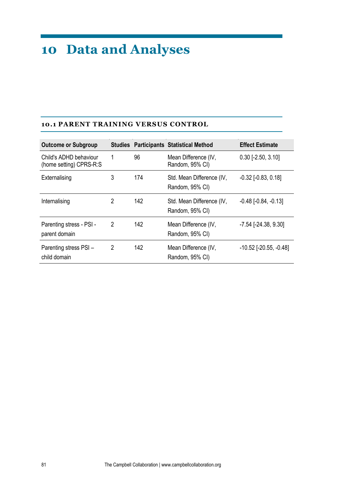# **10 Data and Analyses**

## **10.1 PARENT TRAINING VERSUS CONTROL**

| <b>Outcome or Subgroup</b>                        |   |     | <b>Studies Participants Statistical Method</b> | <b>Effect Estimate</b>          |
|---------------------------------------------------|---|-----|------------------------------------------------|---------------------------------|
| Child's ADHD behaviour<br>(home setting) CPRS-R:S |   | 96  | Mean Difference (IV,<br>Random, 95% CI)        | $0.30$ [-2.50, 3.10]            |
| Externalising                                     | 3 | 174 | Std. Mean Difference (IV,<br>Random, 95% CI)   | $-0.32$ [ $-0.83$ , $0.18$ ]    |
| Internalising                                     | 2 | 142 | Std. Mean Difference (IV,<br>Random, 95% CI)   | $-0.48$ $[-0.84, -0.13]$        |
| Parenting stress - PSI -<br>parent domain         | 2 | 142 | Mean Difference (IV,<br>Random, 95% CI)        | $-7.54$ [ $-24.38, 9.30$ ]      |
| Parenting stress PSI-<br>child domain             | 2 | 142 | Mean Difference (IV,<br>Random, 95% CI)        | $-10.52$ [ $-20.55$ , $-0.48$ ] |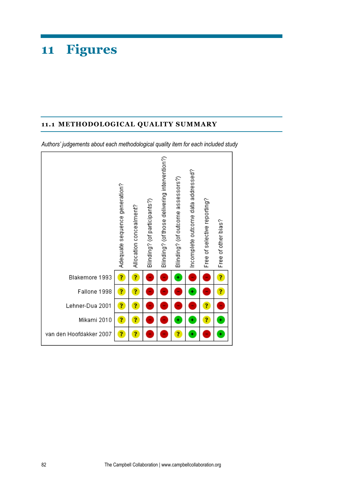# **11 Figures**

## **11.1 METHODOLOGICAL QUALITY SUMMARY**



*Authors' judgements about each methodological quality item for each included study*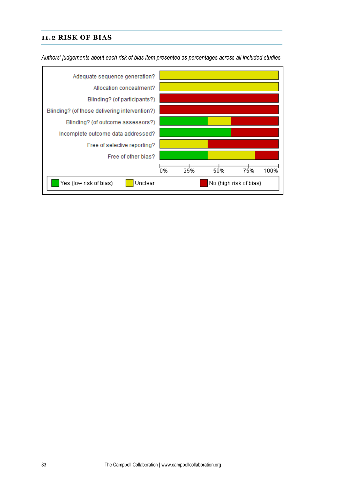## **11.2 RISK OF BIAS**



*Authors' judgements about each risk of bias item presented as percentages across all included studies*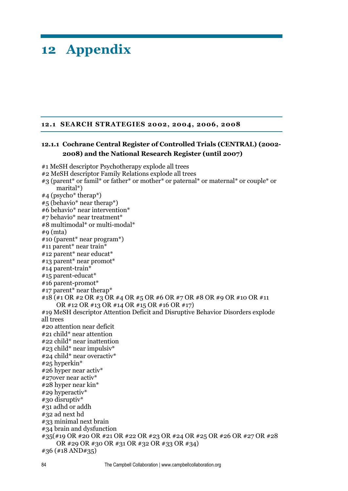# **12 Appendix**

#### **12.1 SEARCH STRATEGIES 2002, 2004, 2006, 2008**

# **12.1.1 Cochrane Central Register of Controlled Trials (CENTRAL) (2002- 2008) and the National Research Register (until 2007)**

#1 MeSH descriptor Psychotherapy explode all trees #2 MeSH descriptor Family Relations explode all trees #3 (parent\* or famil\* or father\* or mother\* or paternal\* or maternal\* or couple\* or marital\*) #4 (psycho\* therap\*) #5 (behavio\* near therap\*) #6 behavio\* near intervention\* #7 behavio\* near treatment\* #8 multimodal\* or multi-modal\*  $#9$  (mta) #10 (parent\* near program\*) #11 parent\* near train\* #12 parent\* near educat\* #13 parent\* near promot\* #14 parent-train\* #15 parent-educat\* #16 parent-promot\* #17 parent\* near therap\* #18 (#1 OR #2 OR #3 OR #4 OR #5 OR #6 OR #7 OR #8 OR #9 OR #10 OR #11 OR #12 OR #13 OR #14 OR #15 OR #16 OR #17) #19 MeSH descriptor Attention Deficit and Disruptive Behavior Disorders explode all trees #20 attention near deficit #21 child\* near attention #22 child\* near inattention #23 child\* near impulsiv\* #24 child\* near overactiv\* #25 hyperkin\* #26 hyper near activ\* #27over near activ\* #28 hyper near kin\* #29 hyperactiv\* #30 disruptiv\* #31 adhd or addh #32 ad next hd #33 minimal next brain #34 brain and dysfunction #35(#19 OR #20 OR #21 OR #22 OR #23 OR #24 OR #25 OR #26 OR #27 OR #28 OR #29 OR #30 OR #31 OR #32 OR #33 OR #34) #36 (#18 AND#35)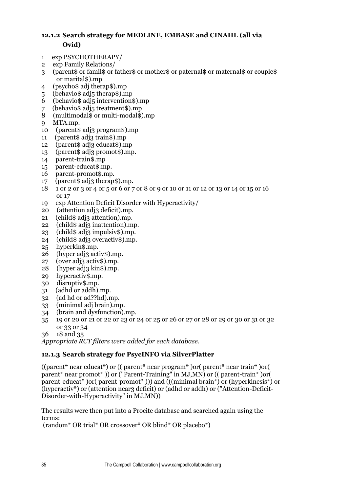## **12.1.2 Search strategy for MEDLINE, EMBASE and CINAHL (all via Ovid)**

- 1 exp PSYCHOTHERAPY/
- 2 exp Family Relations/
- 3 (parent\$ or famil\$ or father\$ or mother\$ or paternal\$ or maternal\$ or couple\$ or marital\$).mp
- 4 (psycho\$ adj therap\$).mp
- 5 (behavio\$ adj5 therap\$).mp
- 6 (behavio\$ adj5 intervention\$).mp
- 7 (behavio\$ adj5 treatment\$).mp
- 8 (multimodal\$ or multi-modal\$).mp
- 9 MTA.mp.
- 10 (parent\$ adj3 program\$).mp
- 11 (parent\$ adj3 train\$).mp
- 12 (parent\$ adj3 educat\$).mp
- 13 (parent\$ adj3 promot\$).mp.
- 14 parent-train\$.mp
- 15 parent-educat\$.mp.
- 16 parent-promot\$.mp.
- 17 (parent\$ adj3 therap\$).mp.
- 18 1 or 2 or 3 or 4 or 5 or 6 or 7 or 8 or 9 or 10 or 11 or 12 or 13 or 14 or 15 or 16 or 17
- 19 exp Attention Deficit Disorder with Hyperactivity/
- 20 (attention adj3 deficit).mp.
- 21 (child\$ adj3 attention).mp.
- 22 (child\$ adj3 inattention).mp.
- 23 (child\$ adj3 impulsiv\$).mp.
- 24 (child\$ adj3 overactiv\$).mp.
- 25 hyperkin\$.mp.
- 26 (hyper adj3 activ\$).mp.
- 27 (over adj3 activ\$).mp.
- 28 (hyper adj3 kin\$).mp.
- 29 hyperactiv\$.mp.
- 30 disruptiv\$.mp.
- 31 (adhd or addh).mp.
- 32 (ad hd or ad??hd).mp.
- 33 (minimal adj brain).mp.
- 34 (brain and dysfunction).mp.
- 35 19 or 20 or 21 or 22 or 23 or 24 or 25 or 26 or 27 or 28 or 29 or 30 or 31 or 32 or 33 or 34
- 36 18 and 35

*Appropriate RCT filters were added for each database.*

## **12.1.3 Search strategy for PsycINFO via SilverPlatter**

((parent\* near educat\*) or (( parent\* near program\* )or( parent\* near train\* )or( parent\* near promot\* )) or ("Parent-Training" in MJ,MN) or (( parent-train\* )or( parent-educat\* )or( parent-promot\* ))) and (((minimal brain\*) or (hyperkinesis\*) or (hyperactiv\*) or (attention near3 deficit) or (adhd or addh) or ("Attention-Deficit-Disorder-with-Hyperactivity" in MJ,MN))

The results were then put into a Procite database and searched again using the terms:

(random\* OR trial\* OR crossover\* OR blind\* OR placebo\*)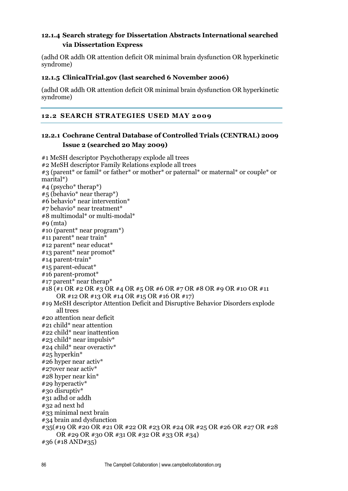# **12.1.4 Search strategy for Dissertation Abstracts International searched via Dissertation Express**

(adhd OR addh OR attention deficit OR minimal brain dysfunction OR hyperkinetic syndrome)

#### **12.1.5 ClinicalTrial.gov (last searched 6 November 2006)**

(adhd OR addh OR attention deficit OR minimal brain dysfunction OR hyperkinetic syndrome)

#### **12.2 SEARCH STRATEGIES USED MAY 2009**

# **12.2.1 Cochrane Central Database of Controlled Trials (CENTRAL) 2009 Issue 2 (searched 20 May 2009)**

```
#1 MeSH descriptor Psychotherapy explode all trees
#2 MeSH descriptor Family Relations explode all trees
#3 (parent* or famil* or father* or mother* or paternal* or maternal* or couple* or 
marital*)
#4 (psycho* therap*)
#5 (behavio* near therap*)
#6 behavio* near intervention*
#7 behavio* near treatment*
#8 multimodal* or multi-modal*
#9 (mta)
#10 (parent* near program*)
#11 parent* near train*
#12 parent* near educat*
#13 parent* near promot*
#14 parent-train*
#15 parent-educat*
#16 parent-promot*
#17 parent* near therap*
#18 (#1 OR #2 OR #3 OR #4 OR #5 OR #6 OR #7 OR #8 OR #9 OR #10 OR #11 
     OR #12 OR #13 OR #14 OR #15 OR #16 OR #17)
#19 MeSH descriptor Attention Deficit and Disruptive Behavior Disorders explode 
     all trees
#20 attention near deficit
#21 child* near attention
#22 child* near inattention
#23 child* near impulsiv*
#24 child* near overactiv*
#25 hyperkin*
#26 hyper near activ*
#27over near activ*
#28 hyper near kin*
#29 hyperactiv*
#30 disruptiv*
#31 adhd or addh
#32 ad next hd
#33 minimal next brain
#34 brain and dysfunction
#35(#19 OR #20 OR #21 OR #22 OR #23 OR #24 OR #25 OR #26 OR #27 OR #28 
     OR #29 OR #30 OR #31 OR #32 OR #33 OR #34)
#36 (#18 AND#35)
```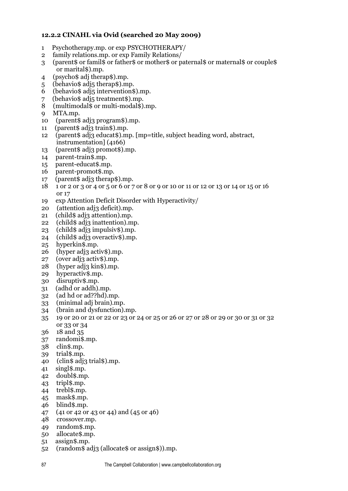## **12.2.2 CINAHL via Ovid (searched 20 May 2009)**

- 1 Psychotherapy.mp. or exp PSYCHOTHERAPY/
- 2 family relations.mp. or exp Family Relations/
- 3 (parent\$ or famil\$ or father\$ or mother\$ or paternal\$ or maternal\$ or couple\$ or marital\$).mp.
- 4 (psycho\$ adj therap\$).mp.
- 5 (behavio\$ adj5 therap\$).mp.
- 6 (behavio\$ adj5 intervention\$).mp.
- 7 (behavio\$ adj5 treatment\$).mp.<br>8 (multimodal\$ or multi-modal\$).
- $(multimodal\$ \$ or multi-modal \$).mp.
- 9 MTA.mp.
- 10 (parent\$ adj3 program\$).mp.
- 11 (parent\$ adj3 train\$).mp.
- 12 (parent\$ adj3 educat\$).mp. [mp=title, subject heading word, abstract, instrumentation] (4166)
- 13 (parent\$ adj3 promot\$).mp.
- 14 parent-train\$.mp.
- 15 parent-educat\$.mp.
- 16 parent-promot\$.mp.
- 17 (parent\$ adj3 therap\$).mp.
- 18 1 or 2 or 3 or 4 or 5 or 6 or 7 or 8 or 9 or 10 or 11 or 12 or 13 or 14 or 15 or 16 or 17
- 19 exp Attention Deficit Disorder with Hyperactivity/
- 20 (attention adj3 deficit).mp.
- 21 (child\$ adj3 attention).mp.
- 22 (child\$ adj3 inattention).mp.
- 23 (child\$ adj3 impulsiv\$).mp.
- 24 (child\$ adj3 overactiv\$).mp.
- 25 hyperkin\$.mp.
- 26 (hyper adj3 activ\$).mp.
- 27 (over adj3 activ\$).mp.
- 28 (hyper adj3 kin\$).mp.
- 29 hyperactiv\$.mp.
- 30 disruptiv\$.mp.
- 31 (adhd or addh).mp.
- 32 (ad hd or ad??hd).mp.
- 33 (minimal adj brain).mp.
- 34 (brain and dysfunction).mp.
- 35 19 or 20 or 21 or 22 or 23 or 24 or 25 or 26 or 27 or 28 or 29 or 30 or 31 or 32 or 33 or 34
- 36 18 and 35
- 37 randomi\$.mp.
- $\text{clips}$ .mp.
- 39 trial\$.mp.
- 40 (clin\$ adj3 trial\$).mp.
- 41 singl\$.mp.
- 42 doubl\$.mp.
- 43 tripl\$.mp.
- 44 trebl\$.mp.
- 45 mask\$.mp.
- 46 blind\$.mp.
- 47 (41 or 42 or 43 or 44) and (45 or 46)
- 48 crossover.mp.
- 49 random\$.mp.
- 50 allocate\$.mp.
- 51 assign\$.mp.
- 52 (random\$ adj3 (allocate\$ or assign\$)).mp.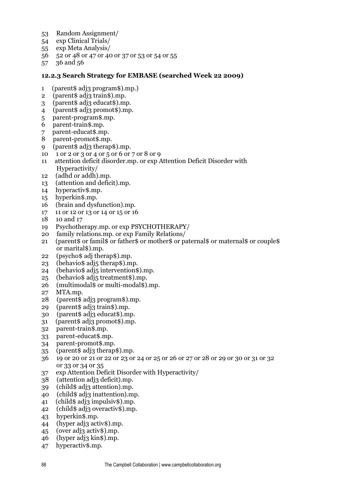- 53 Random Assignment/
- 54 exp Clinical Trials/
- 55 exp Meta Analysis/
- 56 52 or 48 or 47 or 40 or 37 or 53 or 54 or 55
- 36 and 56

#### **12.2.3 Search Strategy for EMBASE (searched Week 22 2009)**

- 1 (parent\$ adj3 program\$).mp.)
- 2 (parent\$ adj3 train\$).mp.
- 3 (parent\$ adj3 educat\$).mp.
- 4 (parent\$ adj3 promot\$).mp.
- 5 parent-program\$.mp.
- 6 parent-train\$.mp.
- 7 parent-educat\$.mp.<br>8 parent-promot\$.mp
- 8 parent-promot\$.mp.
- 9 (parent\$ adj3 therap\$).mp.
- 10 1 or 2 or 3 or 4 or 5 or 6 or 7 or 8 or 9
- 11 attention deficit disorder.mp. or exp Attention Deficit Disorder with Hyperactivity/
- 12 (adhd or addh).mp.
- 13 (attention and deficit).mp.
- 14 hyperactiv\$.mp.
- 15 hyperkin\$.mp.
- 16 (brain and dysfunction).mp.
- 17 11 or 12 or 13 or 14 or 15 or 16
- 18 10 and 17
- 19 Psychotherapy.mp. or exp PSYCHOTHERAPY/
- 20 family relations.mp. or exp Family Relations/
- 21 (parent\$ or famil\$ or father\$ or mother\$ or paternal\$ or maternal\$ or couple\$ or marital\$).mp.
- 22 (psycho\$ adj therap\$).mp.
- 23 (behavio\$ adj5 therap\$).mp.
- 24 (behavio\$ adj5 intervention\$).mp.
- 25 (behavio\$ adj5 treatment\$).mp.
- 26 (multimodal\$ or multi-modal\$).mp.
- 27 MTA.mp.
- 28 (parent\$ adj3 program\$).mp.
- 29 (parent\$ adj3 train\$).mp.
- 30 (parent\$ adj3 educat\$).mp.
- 31 (parent\$ adj3 promot\$).mp.
- 32 parent-train\$.mp.
- 33 parent-educat\$.mp.
- 34 parent-promot\$.mp.
- 35 (parent\$ adj3 therap\$).mp.
- 36 19 or 20 or 21 or 22 or 23 or 24 or 25 or 26 or 27 or 28 or 29 or 30 or 31 or 32 or 33 or 34 or 35
- 37 exp Attention Deficit Disorder with Hyperactivity/
- 38 (attention adj3 deficit).mp.
- 39 (child\$ adj3 attention).mp.
- 40 (child\$ adj3 inattention).mp.
- 41 (child\$ adj3 impulsiv\$).mp.
- 42 (child\$ adj3 overactiv\$).mp.
- 43 hyperkin\$.mp.
- 44 (hyper adj3 activ\$).mp.
- 45 (over adj3 activ\$).mp.
- 46 (hyper adj3 kin\$).mp.
- 47 hyperactiv\$.mp.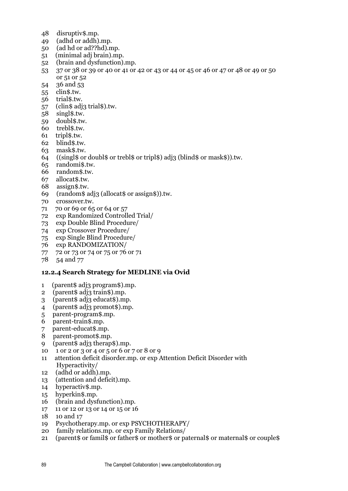- 48 disruptiv\$.mp.
- 49 (adhd or addh).mp.
- 50 (ad hd or ad??hd).mp.
- 51 (minimal adj brain).mp.
- 52 (brain and dysfunction).mp.
- 53 37 or 38 or 39 or 40 or 41 or 42 or 43 or 44 or 45 or 46 or 47 or 48 or 49 or 50 or 51 or 52
- 54 36 and 53
- 55 clin\$.tw.
- 56 trial\$.tw.
- 57 (clin\$ adj3 trial\$).tw.<br>58 singl\$.tw.
- singl\$.tw.
- 59 doubl\$.tw.
- 60 trebl\$.tw.
- 61 tripl\$.tw.
- 62 blind\$.tw.
- 63 mask\$.tw.
- 64 ((singl\$ or doubl\$ or trebl\$ or tripl\$) adj3 (blind\$ or mask\$)).tw.
- 65 randomi\$.tw.
- 66 random\$.tw.
- 67 allocat\$.tw.
- 68 assign\$.tw.
- 69 (random\$ adj3 (allocat\$ or assign\$)).tw.
- 70 crossover.tw.
- 71 70 or 69 or 65 or 64 or 57
- 72 exp Randomized Controlled Trial/
- 73 exp Double Blind Procedure/
- 74 exp Crossover Procedure/
- 75 exp Single Blind Procedure/
- 76 exp RANDOMIZATION/
- 77 72 or 73 or 74 or 75 or 76 or 71
- 78 54 and 77

### **12.2.4 Search Strategy for MEDLINE via Ovid**

- 1 (parent\$ adj3 program\$).mp.
- 2 (parent\$ adj3 train\$).mp.
- 3 (parent\$ adj3 educat\$).mp.
- 4 (parent\$ adj3 promot\$).mp.
- 5 parent-program\$.mp.
- 6 parent-train\$.mp.
- 7 parent-educat\$.mp.<br>8 parent-promot\$.mp
- parent-promot\$.mp.
- 9 (parent\$ adj3 therap\$).mp.
- 10 1 or 2 or 3 or 4 or 5 or 6 or 7 or 8 or 9
- 11 attention deficit disorder.mp. or exp Attention Deficit Disorder with Hyperactivity/
- 12 (adhd or addh).mp.
- 13 (attention and deficit).mp.
- 14 hyperactiv\$.mp.
- 15 hyperkin\$.mp.
- 16 (brain and dysfunction).mp.
- 17 11 or 12 or 13 or 14 or 15 or 16
- 18 10 and 17
- 19 Psychotherapy.mp. or exp PSYCHOTHERAPY/
- 20 family relations.mp. or exp Family Relations/
- 21 (parent\$ or famil\$ or father\$ or mother\$ or paternal\$ or maternal\$ or couple\$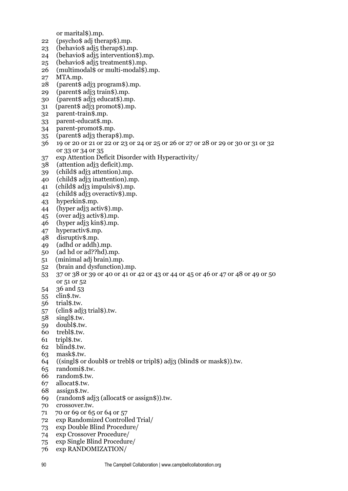or marital\$).mp.

- 22 (psycho\$ adj therap\$).mp.
- 23 (behavio\$ adj5 therap\$).mp.
- 24 (behavio\$ adj5 intervention\$).mp.
- 25 (behavio\$ adj5 treatment\$).mp.
- 26 (multimodal\$ or multi-modal $\overline{\$}$ ).mp.
- 27 MTA.mp.<br>28 (parent\$
- 28 (parent\$ adj3 program\$).mp.
- 29 (parent\$ adj3 train\$).mp.
- 30 (parent\$ adj3 educat\$).mp.
- 31 (parent\$ adj3 promot\$).mp.
- 32 parent-train\$.mp.
- 33 parent-educat\$.mp.
- 34 parent-promot\$.mp.
- 35 (parent\$ adj3 therap\$).mp.
- 36 19 or 20 or 21 or 22 or 23 or 24 or 25 or 26 or 27 or 28 or 29 or 30 or 31 or 32 or 33 or 34 or 35
- 37 exp Attention Deficit Disorder with Hyperactivity/
- 38 (attention adj3 deficit).mp.
- 39 (child\$ adj3 attention).mp.
- 40 (child\$ adj3 inattention).mp.
- 41 (child\$ adj3 impulsiv\$).mp.
- 42 (child\$ adj3 overactiv\$).mp.
- 43 hyperkin\$.mp.
- 44 (hyper adj3 activ\$).mp.
- 45 (over adj3 activ\$).mp.
- 46 (hyper adj3 kin\$).mp.
- 47 hyperactiv\$.mp.
- 48 disruptiv\$.mp.
- 49 (adhd or addh).mp.
- 50 (ad hd or ad??hd).mp.
- 51 (minimal adj brain).mp.
- 52 (brain and dysfunction).mp.
- 53 37 or 38 or 39 or 40 or 41 or 42 or 43 or 44 or 45 or 46 or 47 or 48 or 49 or 50 or 51 or 52
- 54 36 and 53
- 55 clin\$.tw.
- 56 trial\$.tw.
- 57 (clin\$ adj3 trial\$).tw.
- 58 singl\$.tw.
- 59 doubl\$.tw.
- 60 trebl\$.tw.
- 61 tripl\$.tw.
- 62 blind\$.tw.
- 63 mask\$.tw.
- 64 ((singl\$ or doubl\$ or trebl\$ or tripl\$) adj3 (blind\$ or mask\$)).tw.
- 65 randomi\$.tw.
- random\$.tw.
- 67 allocat\$.tw.
- 68 assign\$.tw.
- 69 (random\$ adj3 (allocat\$ or assign\$)).tw.
- 70 crossover.tw.
- 71 70 or 69 or 65 or 64 or 57
- 72 exp Randomized Controlled Trial/
- 73 exp Double Blind Procedure/
- 74 exp Crossover Procedure/
- 75 exp Single Blind Procedure/
- 76 exp RANDOMIZATION/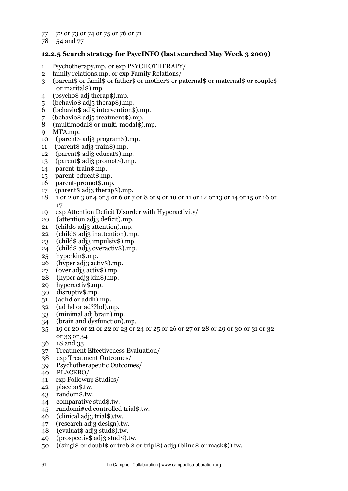- 77 72 or 73 or 74 or 75 or 76 or 71
- 78 54 and 77

## **12.2.5 Search strategy for PsycINFO (last searched May Week 3 2009)**

- 1 Psychotherapy.mp. or exp PSYCHOTHERAPY/
- 2 family relations.mp. or exp Family Relations/
- 3 (parent\$ or famil\$ or father\$ or mother\$ or paternal\$ or maternal\$ or couple\$ or marital\$).mp.
- 4 (psycho\$ adj therap\$).mp.
- 5 (behavio\$ adj5 therap\$).mp.
- 6 (behavio\$ adj5 intervention\$).mp.
- 7 (behavio\$ adj5 treatment\$).mp.<br>8 (multimodal\$ or multi-modal\$)
- 8 (multimodal\$ or multi-modal\$).mp.
- 9 MTA.mp.
- 10 (parent\$ adj3 program\$).mp.
- 11 (parent\$ adj3 train\$).mp.
- 12 (parent\$ adj3 educat\$).mp.
- 13 (parent\$ adj3 promot\$).mp.
- 14 parent-train\$.mp.
- 15 parent-educat\$.mp.
- 16 parent-promot\$.mp.
- 17 (parent\$ adj3 therap\$).mp.
- 18 1 or 2 or 3 or 4 or 5 or 6 or 7 or 8 or 9 or 10 or 11 or 12 or 13 or 14 or 15 or 16 or 17
- 19 exp Attention Deficit Disorder with Hyperactivity/
- 20 (attention adj3 deficit).mp.
- 21 (child\$ adj3 attention).mp.
- 22 (child\$ adj3 inattention).mp.
- 23 (child\$ adj3 impulsiv\$).mp.
- 24 (child\$ adj3 overactiv\$).mp.
- 25 hyperkin\$.mp.
- 26 (hyper adj3 activ\$).mp.
- 27 (over adj3 activ\$).mp.<br>28 (hyper adj3 kin\$).mp.
- $(hyper \ adi3 \ kin \$ .mp.
- 29 hyperactiv\$.mp.
- 30 disruptiv\$.mp.
- 31 (adhd or addh).mp.
- 32 (ad hd or ad??hd).mp.
- 33 (minimal adj brain).mp.
- 34 (brain and dysfunction).mp.
- 35 19 or 20 or 21 or 22 or 23 or 24 or 25 or 26 or 27 or 28 or 29 or 30 or 31 or 32 or 33 or 34
- 36 18 and 35
- 37 Treatment Effectiveness Evaluation/
- 38 exp Treatment Outcomes/
- 39 Psychotherapeutic Outcomes/
- 40 PLACEBO/
- 41 exp Followup Studies/
- 42 placebo\$.tw.
- 43 random\$.tw.
- 44 comparative stud\$.tw.
- 45 randomi#ed controlled trial\$.tw.
- 46 (clinical adj3 trial\$).tw.
- 47 (research adj3 design).tw.
- 48 (evaluat\$ adj3 stud\$).tw.
- 49 (prospectiv\$ adj3 stud\$).tw.
- 50 ((singl\$ or doubl\$ or trebl\$ or tripl\$) adj3 (blind\$ or mask\$)).tw.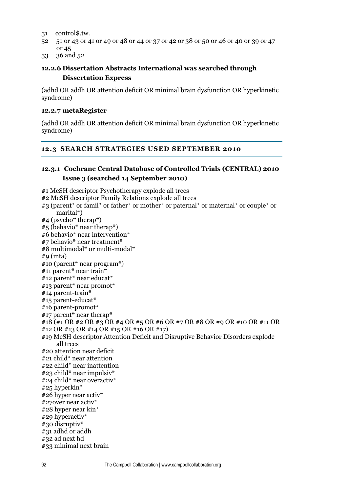- 51 control\$.tw.
- 52 51 or 43 or 41 or 49 or 48 or 44 or 37 or 42 or 38 or 50 or 46 or 40 or 39 or 47 or 45
- 53 36 and 52

## **12.2.6 Dissertation Abstracts International was searched through Dissertation Express**

(adhd OR addh OR attention deficit OR minimal brain dysfunction OR hyperkinetic syndrome)

#### **12.2.7 metaRegister**

(adhd OR addh OR attention deficit OR minimal brain dysfunction OR hyperkinetic syndrome)

#### **12.3 SEARCH STRATEGIES USED SEPTEMBER 2010**

# **12.3.1 Cochrane Central Database of Controlled Trials (CENTRAL) 2010 Issue 3 (searched 14 September 2010)**

#1 MeSH descriptor Psychotherapy explode all trees #2 MeSH descriptor Family Relations explode all trees #3 (parent\* or famil\* or father\* or mother\* or paternal\* or maternal\* or couple\* or marital\*) #4 (psycho\* therap\*) #5 (behavio\* near therap\*) #6 behavio\* near intervention\* #7 behavio\* near treatment\* #8 multimodal\* or multi-modal\* #9 (mta) #10 (parent\* near program\*) #11 parent\* near train\* #12 parent\* near educat\* #13 parent\* near promot\* #14 parent-train\* #15 parent-educat\* #16 parent-promot\* #17 parent\* near therap\* #18 (#1 OR #2 OR #3 OR #4 OR #5 OR #6 OR #7 OR #8 OR #9 OR #10 OR #11 OR #12 OR #13 OR #14 OR #15 OR #16 OR #17) #19 MeSH descriptor Attention Deficit and Disruptive Behavior Disorders explode all trees #20 attention near deficit #21 child\* near attention #22 child\* near inattention #23 child\* near impulsiv\* #24 child\* near overactiv\* #25 hyperkin\* #26 hyper near activ\* #27over near activ\* #28 hyper near kin\* #29 hyperactiv\* #30 disruptiv\* #31 adhd or addh #32 ad next hd #33 minimal next brain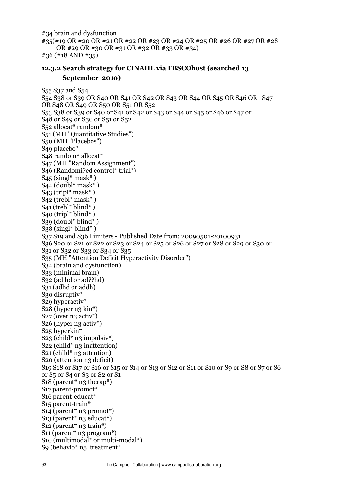#34 brain and dysfunction #35(#19 OR #20 OR #21 OR #22 OR #23 OR #24 OR #25 OR #26 OR #27 OR #28 OR #29 OR #30 OR #31 OR #32 OR #33 OR #34) #36 (#18 AND #35)

## **12.3.2 Search strategy for CINAHL via EBSCOhost (searched 13 September 2010)**

S55 S37 and S54 S54 S38 or S39 OR S40 OR S41 OR S42 OR S43 OR S44 OR S45 OR S46 OR S47 OR S48 OR S49 OR S50 OR S51 OR S52 S53 S38 or S39 or S40 or S41 or S42 or S43 or S44 or S45 or S46 or S47 or S48 or S49 or S50 or S51 or S52 S52 allocat\* random\* S51 (MH "Quantitative Studies") S50 (MH "Placebos") S49 placebo\* S48 random\* allocat\* S47 (MH "Random Assignment") S46 (Randomi?ed control\* trial\*)  $S45$  (singl\* mask\*)  $S44$  (doubl\* mask\*)  $S43$  (tripl\* mask\*)  $S<sub>42</sub>$  (trebl\* mask\*)  $S41$  (trebl\* blind\*) S<sub>40</sub> (tripl<sup>\*</sup> blind<sup>\*</sup>)  $S_39$  (doubl\* blind\*)  $S_38$  (singl\* blind\*) S37 S19 and S36 Limiters - Published Date from: 20090501-20100931 S36 S20 or S21 or S22 or S23 or S24 or S25 or S26 or S27 or S28 or S29 or S30 or S31 or S32 or S33 or S34 or S35 S35 (MH "Attention Deficit Hyperactivity Disorder") S34 (brain and dysfunction) S33 (minimal brain) S32 (ad hd or ad??hd) S31 (adhd or addh) S30 disruptiv\* S29 hyperactiv\* S28 (hyper n3 kin\*) S27 (over n3 activ\*) S26 (hyper n3 activ\*) S25 hyperkin\* S23 (child\* n3 impulsiv\*) S22 (child\* n3 inattention) S21 (child\* n3 attention) S20 (attention n3 deficit) S19 S18 or S17 or S16 or S15 or S14 or S13 or S12 or S11 or S10 or S9 or S8 or S7 or S6 or S5 or S4 or S3 or S2 or S1 S<sub>18</sub> (parent<sup>\*</sup> n<sub>3</sub> therap<sup>\*</sup>) S17 parent-promot\* S16 parent-educat\* S15 parent-train\* S14 (parent\* n3 promot\*) S13 (parent\* n3 educat\*) S12 (parent\* n3 train\*) S<sub>11</sub> (parent<sup>\*</sup> n<sub>3</sub> program<sup>\*</sup>) S10 (multimodal\* or multi-modal\*) S9 (behavio\* n5 treatment\*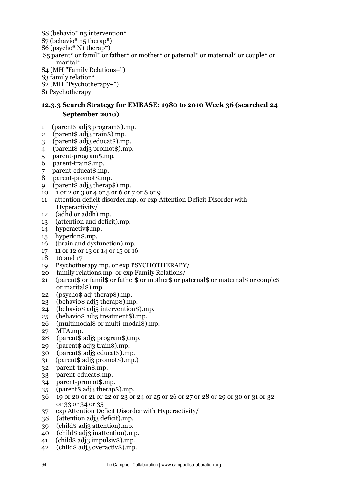S8 (behavio\* n5 intervention\* S7 (behavio\* n5 therap\*) S6 (psycho\* N1 therap\*) S5 parent\* or famil\* or father\* or mother\* or paternal\* or maternal\* or couple\* or marital\* S4 (MH "Family Relations+") S<sub>3</sub> family relation\* S2 (MH "Psychotherapy+")

S1 Psychotherapy

# **12.3.3 Search Strategy for EMBASE: 1980 to 2010 Week 36 (searched 24 September 2010)**

- 1 (parent\$ adj3 program\$).mp.
- 2 (parent\$ adj3 train\$).mp.
- 3 (parent\$ adj3 educat\$).mp.
- 4 (parent\$ adj3 promot\$).mp.
- 5 parent-program\$.mp.
- 6 parent-train\$.mp.
- 7 parent-educat\$.mp.
- 8 parent-promot\$.mp.
- 9 (parent\$ adj3 therap\$).mp.
- 10 1 or 2 or 3 or 4 or 5 or 6 or 7 or 8 or 9
- 11 attention deficit disorder.mp. or exp Attention Deficit Disorder with Hyperactivity/
- 12 (adhd or addh).mp.
- 13 (attention and deficit).mp.
- 14 hyperactiv\$.mp.
- 15 hyperkin\$.mp.
- 16 (brain and dysfunction).mp.
- 17 11 or 12 or 13 or 14 or 15 or 16
- 18 10 and 17
- 19 Psychotherapy.mp. or exp PSYCHOTHERAPY/
- 20 family relations.mp. or exp Family Relations/
- 21 (parent\$ or famil\$ or father\$ or mother\$ or paternal\$ or maternal\$ or couple\$ or marital\$).mp.
- 22 (psycho\$ adj therap\$).mp.
- 23 (behavio\$ adj5 therap\$).mp.
- 24 (behavio\$ adj5 intervention\$).mp.
- 25 (behavio\$ adj5 treatment\$).mp.
- 26 (multimodal\$ or multi-modal\$).mp.
- 27 MTA.mp.
- 28 (parent\$ adj3 program\$).mp.
- 29 (parent\$ adj3 train\$).mp.
- 30 (parent\$ adj3 educat\$).mp.
- 31 (parent\$ adj3 promot\$).mp.)
- 32 parent-train\$.mp.
- 33 parent-educat\$.mp.
- 34 parent-promot\$.mp.
- 35 (parent\$ adj3 therap\$).mp.
- 36 19 or 20 or 21 or 22 or 23 or 24 or 25 or 26 or 27 or 28 or 29 or 30 or 31 or 32 or 33 or 34 or 35
- 37 exp Attention Deficit Disorder with Hyperactivity/
- 38 (attention adj3 deficit).mp.
- 39 (child\$ adj3 attention).mp.
- 40 (child\$ adj3 inattention).mp.
- 41 (child\$ adj3 impulsiv\$).mp.
- 42 (child\$ adj3 overactiv\$).mp.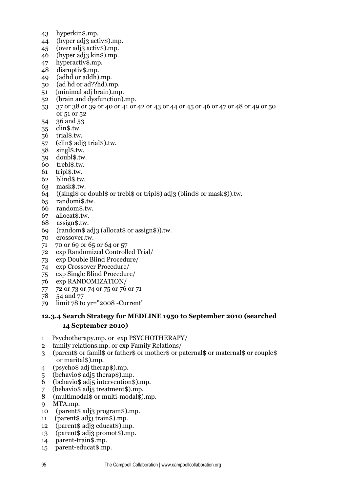- 43 hyperkin\$.mp.
- 44 (hyper adj3 activ\$).mp.
- 45 (over adj3 activ\$).mp.
- 46 (hyper adj3 kin\$).mp.
- 47 hyperactiv\$.mp.
- 48 disruptiv\$.mp.
- 49 (adhd or addh).mp.
- 50 (ad hd or ad??hd).mp.
- 51 (minimal adj brain).mp.
- 52 (brain and dysfunction).mp.
- 53 37 or 38 or 39 or 40 or 41 or 42 or 43 or 44 or 45 or 46 or 47 or 48 or 49 or 50 or 51 or 52
- 54 36 and 53
- 55 clin\$.tw.
- 56 trial\$.tw.
- 57 (clin\$ adj3 trial\$).tw.
- 58 singl\$.tw.
- 59 doubl\$.tw.
- 60 trebl\$.tw.
- 61 tripl\$.tw.
- 62 blind\$.tw.
- 63 mask\$.tw.
- 64 ((singl\$ or doubl\$ or trebl\$ or tripl\$) adj3 (blind\$ or mask\$)).tw.
- 65 randomi\$.tw.
- 66 random\$.tw.
- 67 allocat\$.tw.
- 68 assign\$.tw.
- 69 (random\$ adj3 (allocat\$ or assign\$)).tw.
- 70 crossover.tw.
- 71 70 or 69 or 65 or 64 or 57
- 72 exp Randomized Controlled Trial/
- 73 exp Double Blind Procedure/
- 74 exp Crossover Procedure/
- 75 exp Single Blind Procedure/
- 76 exp RANDOMIZATION/
- 77 72 or 73 or 74 or 75 or 76 or 71
- 78 54 and 77
- 79 limit 78 to yr="2008 -Current"

# **12.3.4 Search Strategy for MEDLINE 1950 to September 2010 (searched 14 September 2010)**

- 1 Psychotherapy.mp. or exp PSYCHOTHERAPY/
- 2 family relations.mp. or exp Family Relations/
- 3 (parent\$ or famil\$ or father\$ or mother\$ or paternal\$ or maternal\$ or couple\$ or marital\$).mp.
- 4 (psycho\$ adj therap\$).mp.
- 5 (behavio\$ adj5 therap\$).mp.
- 6 (behavio\$ adj5 intervention\$).mp.
- 7 (behavio\$ adj5 treatment\$).mp.
- 8 (multimodal\$ or multi-modal\$).mp.
- 9 MTA.mp.
- 10 (parent\$ adj3 program\$).mp.
- 11 (parent\$ adj3 train\$).mp.
- 12 (parent\$ adj3 educat\$).mp.
- 13 (parent\$ adj3 promot\$).mp.
- 14 parent-train\$.mp.
- 15 parent-educat\$.mp.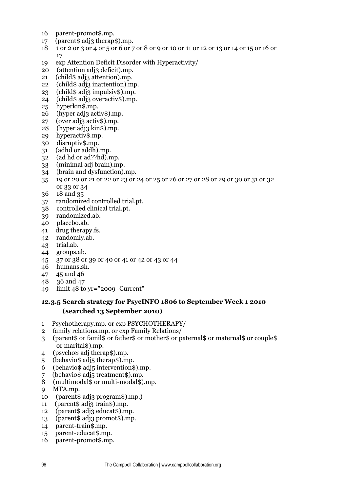- 16 parent-promot\$.mp.
- 17 (parent\$ adj3 therap\$).mp.
- 18 1 or 2 or 3 or 4 or 5 or 6 or 7 or 8 or 9 or 10 or 11 or 12 or 13 or 14 or 15 or 16 or 17
- 19 exp Attention Deficit Disorder with Hyperactivity/
- 20 (attention adj3 deficit).mp.
- 21 (child\$ adj3 attention).mp.
- 22 (child\$ adj3 inattention).mp.
- 23 (child\$ adj3 impulsiv\$).mp.
- 24 (child\$ adj3 overactiv\$).mp.
- 25 hyperkin\$.mp.
- 26 (hyper adj3 activ\$).mp.
- 27 (over adj3 activ\$).mp.
- 28 (hyper adj3 kin\$).mp.
- 29 hyperactiv\$.mp.
- 30 disruptiv\$.mp.
- 31 (adhd or addh).mp.
- 32 (ad hd or ad??hd).mp.
- 33 (minimal adj brain).mp.
- 34 (brain and dysfunction).mp.
- 35 19 or 20 or 21 or 22 or 23 or 24 or 25 or 26 or 27 or 28 or 29 or 30 or 31 or 32 or 33 or 34
- 36 18 and 35
- 37 randomized controlled trial.pt.
- 38 controlled clinical trial.pt.
- 39 randomized.ab.
- 40 placebo.ab.
- 41 drug therapy.fs.
- 42 randomly.ab.
- 43 trial.ab.
- 44 groups.ab.
- 45 37 or 38 or 39 or 40 or 41 or 42 or 43 or 44
- 46 humans.sh.
- 47 45 and 46<br>48 36 and 47
- 36 and 47
- 49 limit 48 to yr="2009 -Current"

# **12.3.5 Search strategy for PsycINFO 1806 to September Week 1 2010 (searched 13 September 2010)**

- 1 Psychotherapy.mp. or exp PSYCHOTHERAPY/
- 2 family relations.mp. or exp Family Relations/
- 3 (parent\$ or famil\$ or father\$ or mother\$ or paternal\$ or maternal\$ or couple\$ or marital\$).mp.
- 4 (psycho\$ adj therap\$).mp.
- 5 (behavio\$ adj5 therap\$).mp.
- 6 (behavio\$ adj5 intervention\$).mp.
- 7 (behavio\$ adj5 treatment\$).mp.
- 8 (multimodal\$ or multi-modal\$).mp.
- 9 MTA.mp.
- 10 (parent\$ adj3 program\$).mp.)
- 11 (parent\$ adj3 train\$).mp.
- 12 (parent\$ adj3 educat\$).mp.
- 13 (parent\$ adj3 promot\$).mp.
- 14 parent-train\$.mp.
- 15 parent-educat\$.mp.
- 16 parent-promot\$.mp.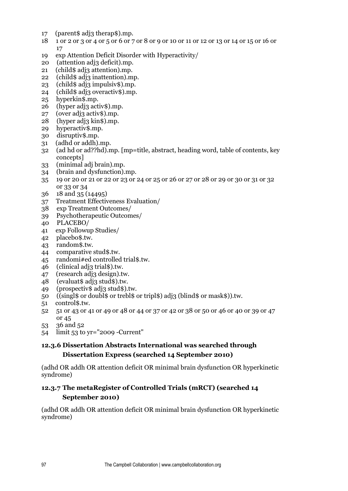- 17 (parent\$ adj3 therap\$).mp.
- 18 1 or 2 or 3 or 4 or 5 or 6 or 7 or 8 or 9 or 10 or 11 or 12 or 13 or 14 or 15 or 16 or 17
- 19 exp Attention Deficit Disorder with Hyperactivity/
- 20 (attention adj3 deficit).mp.
- 21 (child\$ adj3 attention).mp.
- 22 (child\$ adj3 inattention).mp.
- 23 (child\$ adj3 impulsiv\$).mp.
- 24 (child\$ adj3 overactiv\$).mp.
- 25 hyperkin\$.mp.
- 26 (hyper adj3 activ\$).mp.
- 27 (over adj3 activ\$).mp.
- 28 (hyper adj3 kin\$).mp.
- 29 hyperactiv\$.mp.
- 30 disruptiv\$.mp.
- 31 (adhd or addh).mp.
- 32 (ad hd or ad??hd).mp. [mp=title, abstract, heading word, table of contents, key concepts]
- 33 (minimal adj brain).mp.
- 34 (brain and dysfunction).mp.
- 35 19 or 20 or 21 or 22 or 23 or 24 or 25 or 26 or 27 or 28 or 29 or 30 or 31 or 32 or 33 or 34
- 36 18 and 35 (14495)
- 37 Treatment Effectiveness Evaluation/
- 38 exp Treatment Outcomes/
- 39 Psychotherapeutic Outcomes/
- 40 PLACEBO/
- 41 exp Followup Studies/
- 42 placebo\$.tw.
- 43 random\$.tw.
- 44 comparative stud\$.tw.
- 45 randomi#ed controlled trial\$.tw.
- 46 (clinical adj3 trial\$).tw.
- 47 (research adj3 design).tw.
- 48 (evaluat\$ adj3 stud\$).tw.
- 49 (prospectiv\$ adj3 stud\$).tw.
- 50 ((singl\$ or doubl\$ or trebl\$ or tripl\$) adj3 (blind\$ or mask\$)).tw.
- 51 control\$.tw.
- 52 51 or 43 or 41 or 49 or 48 or 44 or 37 or 42 or 38 or 50 or 46 or 40 or 39 or 47 or 45
- 53 36 and 52
- 54 limit 53 to yr="2009 -Current"

# **12.3.6 Dissertation Abstracts International was searched through Dissertation Express (searched 14 September 2010)**

(adhd OR addh OR attention deficit OR minimal brain dysfunction OR hyperkinetic syndrome)

## **12.3.7 The metaRegister of Controlled Trials (mRCT) (searched 14 September 2010)**

(adhd OR addh OR attention deficit OR minimal brain dysfunction OR hyperkinetic syndrome)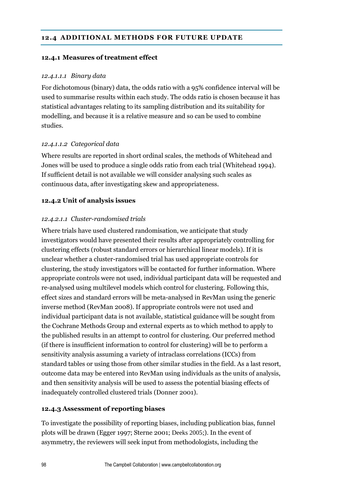## **12.4 ADDITIONAL METHODS FOR FUTURE UPDATE**

## **12.4.1 Measures of treatment effect**

### *12.4.1.1.1 Binary data*

For dichotomous (binary) data, the odds ratio with a 95% confidence interval will be used to summarise results within each study. The odds ratio is chosen because it has statistical advantages relating to its sampling distribution and its suitability for modelling, and because it is a relative measure and so can be used to combine studies.

## *12.4.1.1.2 Categorical data*

Where results are reported in short ordinal scales, the methods of Whitehead and Jones will be used to produce a single odds ratio from each trial (Whitehead 1994). If sufficient detail is not available we will consider analysing such scales as continuous data, after investigating skew and appropriateness.

## **12.4.2 Unit of analysis issues**

## *12.4.2.1.1 Cluster-randomised trials*

Where trials have used clustered randomisation, we anticipate that study investigators would have presented their results after appropriately controlling for clustering effects (robust standard errors or hierarchical linear models). If it is unclear whether a cluster-randomised trial has used appropriate controls for clustering, the study investigators will be contacted for further information. Where appropriate controls were not used, individual participant data will be requested and re-analysed using multilevel models which control for clustering. Following this, effect sizes and standard errors will be meta-analysed in RevMan using the generic inverse method (RevMan 2008). If appropriate controls were not used and individual participant data is not available, statistical guidance will be sought from the Cochrane Methods Group and external experts as to which method to apply to the published results in an attempt to control for clustering. Our preferred method (if there is insufficient information to control for clustering) will be to perform a sensitivity analysis assuming a variety of intraclass correlations (ICCs) from standard tables or using those from other similar studies in the field. As a last resort, outcome data may be entered into RevMan using individuals as the units of analysis, and then sensitivity analysis will be used to assess the potential biasing effects of inadequately controlled clustered trials (Donner 2001).

## **12.4.3 Assessment of reporting biases**

To investigate the possibility of reporting biases, including publication bias, funnel plots will be drawn (Egger 1997; Sterne 2001; Deeks 2005;). In the event of asymmetry, the reviewers will seek input from methodologists, including the